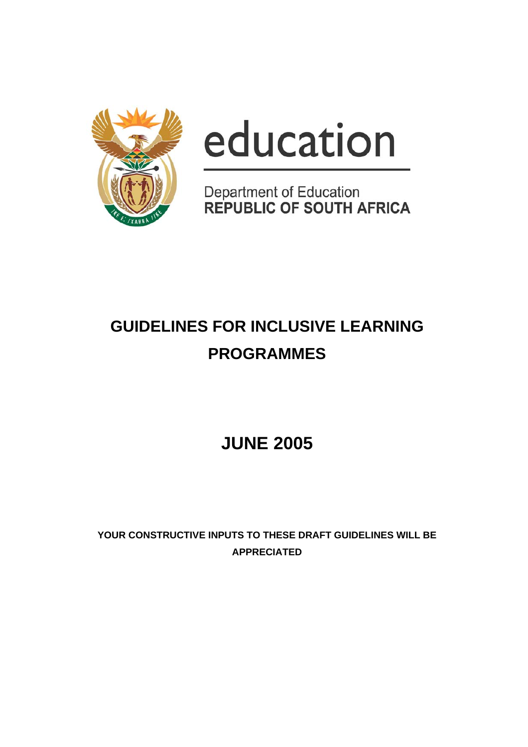

# education

Department of Education<br>REPUBLIC OF SOUTH AFRICA

## **GUIDELINES FOR INCLUSIVE LEARNING PROGRAMMES**

**JUNE 2005** 

**YOUR CONSTRUCTIVE INPUTS TO THESE DRAFT GUIDELINES WILL BE APPRECIATED**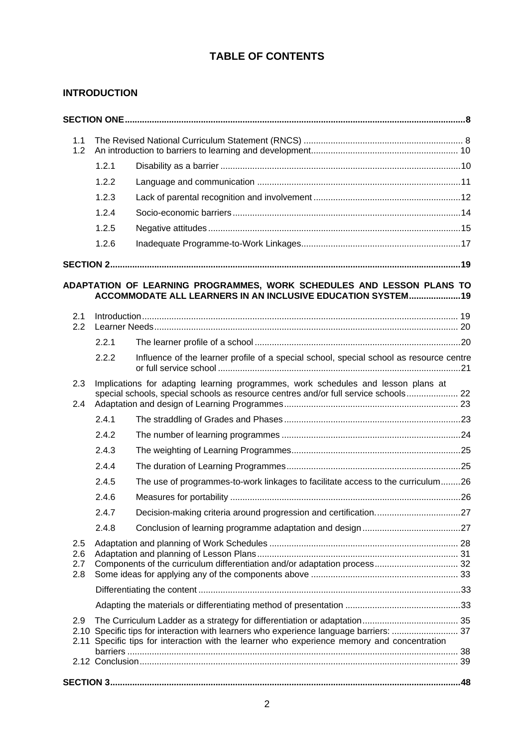## **TABLE OF CONTENTS**

#### **INTRODUCTION**

| 1.1<br>1.2 |       |                                                                                                                                                                                       |  |
|------------|-------|---------------------------------------------------------------------------------------------------------------------------------------------------------------------------------------|--|
|            | 1.2.1 |                                                                                                                                                                                       |  |
|            | 1.2.2 |                                                                                                                                                                                       |  |
|            | 1.2.3 |                                                                                                                                                                                       |  |
|            | 1.2.4 |                                                                                                                                                                                       |  |
|            | 1.2.5 |                                                                                                                                                                                       |  |
|            | 1.2.6 |                                                                                                                                                                                       |  |
|            |       |                                                                                                                                                                                       |  |
|            |       | ADAPTATION OF LEARNING PROGRAMMES, WORK SCHEDULES AND LESSON PLANS TO<br>ACCOMMODATE ALL LEARNERS IN AN INCLUSIVE EDUCATION SYSTEM 19                                                 |  |
| 2.1<br>2.2 |       |                                                                                                                                                                                       |  |
|            | 2.2.1 |                                                                                                                                                                                       |  |
|            | 2.2.2 | Influence of the learner profile of a special school, special school as resource centre                                                                                               |  |
| 2.3<br>2.4 |       | Implications for adapting learning programmes, work schedules and lesson plans at<br>special schools, special schools as resource centres and/or full service schools 22              |  |
|            | 2.4.1 |                                                                                                                                                                                       |  |
|            | 2.4.2 |                                                                                                                                                                                       |  |
|            | 2.4.3 |                                                                                                                                                                                       |  |
|            | 2.4.4 |                                                                                                                                                                                       |  |
|            | 2.4.5 | The use of programmes-to-work linkages to facilitate access to the curriculum26                                                                                                       |  |
|            | 2.4.6 |                                                                                                                                                                                       |  |
|            | 2.4.7 |                                                                                                                                                                                       |  |
|            | 2.4.8 |                                                                                                                                                                                       |  |
| 2.5<br>2.6 |       |                                                                                                                                                                                       |  |
| 2.7<br>2.8 |       |                                                                                                                                                                                       |  |
|            |       |                                                                                                                                                                                       |  |
|            |       |                                                                                                                                                                                       |  |
|            |       |                                                                                                                                                                                       |  |
| 2.9        |       | 2.10 Specific tips for interaction with learners who experience language barriers:  37<br>2.11 Specific tips for interaction with the learner who experience memory and concentration |  |
|            |       |                                                                                                                                                                                       |  |
|            |       |                                                                                                                                                                                       |  |
|            |       |                                                                                                                                                                                       |  |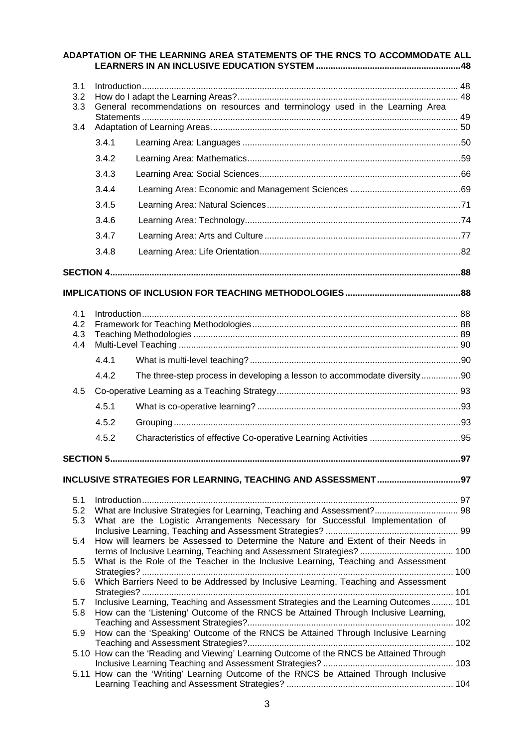|                   | ADAPTATION OF THE LEARNING AREA STATEMENTS OF THE RNCS TO ACCOMMODATE ALL                                                                                   |  |  |  |
|-------------------|-------------------------------------------------------------------------------------------------------------------------------------------------------------|--|--|--|
| 3.1<br>3.2<br>3.3 | General recommendations on resources and terminology used in the Learning Area                                                                              |  |  |  |
| 3.4               |                                                                                                                                                             |  |  |  |
|                   | 3.4.1                                                                                                                                                       |  |  |  |
|                   | 3.4.2                                                                                                                                                       |  |  |  |
|                   | 3.4.3                                                                                                                                                       |  |  |  |
|                   | 3.4.4                                                                                                                                                       |  |  |  |
|                   | 3.4.5                                                                                                                                                       |  |  |  |
|                   | 3.4.6                                                                                                                                                       |  |  |  |
|                   | 3.4.7                                                                                                                                                       |  |  |  |
|                   | 3.4.8                                                                                                                                                       |  |  |  |
|                   |                                                                                                                                                             |  |  |  |
|                   |                                                                                                                                                             |  |  |  |
|                   |                                                                                                                                                             |  |  |  |
| 4.1               |                                                                                                                                                             |  |  |  |
| 4.2               |                                                                                                                                                             |  |  |  |
| 4.3               |                                                                                                                                                             |  |  |  |
| 4.4               |                                                                                                                                                             |  |  |  |
|                   | 4.4.1                                                                                                                                                       |  |  |  |
|                   | The three-step process in developing a lesson to accommodate diversity90<br>4.4.2                                                                           |  |  |  |
| 4.5               |                                                                                                                                                             |  |  |  |
|                   | 4.5.1                                                                                                                                                       |  |  |  |
|                   | 4.5.2                                                                                                                                                       |  |  |  |
|                   | 4.5.2                                                                                                                                                       |  |  |  |
|                   |                                                                                                                                                             |  |  |  |
| 5.1               |                                                                                                                                                             |  |  |  |
| 5.2<br>5.3        | What are the Logistic Arrangements Necessary for Successful Implementation of                                                                               |  |  |  |
| 5.4               | How will learners be Assessed to Determine the Nature and Extent of their Needs in<br>terms of Inclusive Learning, Teaching and Assessment Strategies?  100 |  |  |  |
| 5.5               | What is the Role of the Teacher in the Inclusive Learning, Teaching and Assessment                                                                          |  |  |  |
| 5.6               | Which Barriers Need to be Addressed by Inclusive Learning, Teaching and Assessment                                                                          |  |  |  |
| 5.7               | Inclusive Learning, Teaching and Assessment Strategies and the Learning Outcomes 101                                                                        |  |  |  |
| 5.8               | How can the 'Listening' Outcome of the RNCS be Attained Through Inclusive Learning,                                                                         |  |  |  |
| 5.9               | How can the 'Speaking' Outcome of the RNCS be Attained Through Inclusive Learning                                                                           |  |  |  |
|                   | 5.10 How can the 'Reading and Viewing' Learning Outcome of the RNCS be Attained Through                                                                     |  |  |  |
|                   | 5.11 How can the 'Writing' Learning Outcome of the RNCS be Attained Through Inclusive                                                                       |  |  |  |
|                   |                                                                                                                                                             |  |  |  |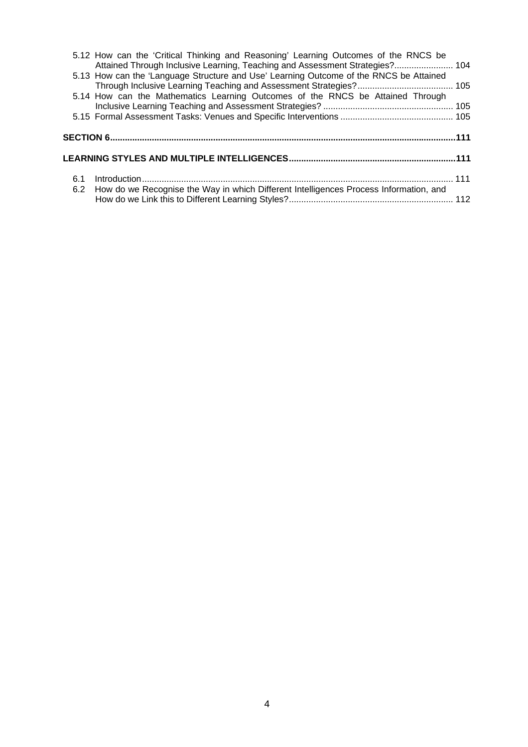| 5.12 How can the 'Critical Thinking and Reasoning' Learning Outcomes of the RNCS be<br>Attained Through Inclusive Learning, Teaching and Assessment Strategies? 104 |  |
|---------------------------------------------------------------------------------------------------------------------------------------------------------------------|--|
| 5.13 How can the 'Language Structure and Use' Learning Outcome of the RNCS be Attained                                                                              |  |
|                                                                                                                                                                     |  |
| 5.14 How can the Mathematics Learning Outcomes of the RNCS be Attained Through                                                                                      |  |
|                                                                                                                                                                     |  |
|                                                                                                                                                                     |  |
|                                                                                                                                                                     |  |
|                                                                                                                                                                     |  |
|                                                                                                                                                                     |  |
|                                                                                                                                                                     |  |
| 6.1                                                                                                                                                                 |  |
| 6.2 How do we Recognise the Way in which Different Intelligences Process Information, and                                                                           |  |
|                                                                                                                                                                     |  |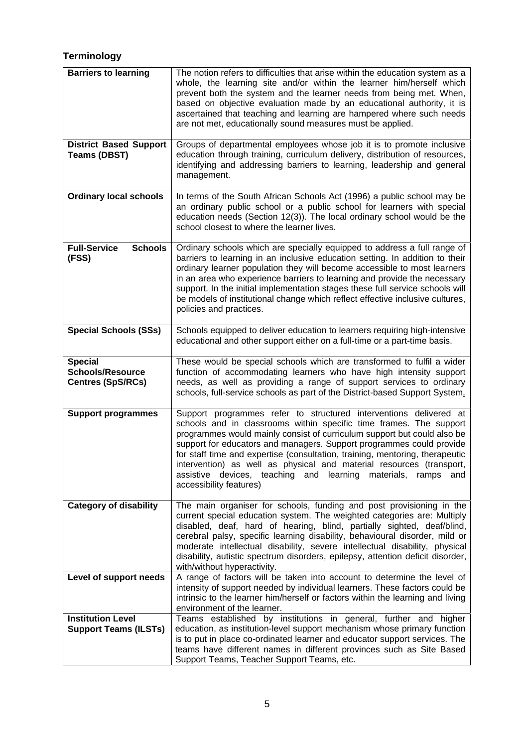## **Terminology**

| <b>Barriers to learning</b>                                           | The notion refers to difficulties that arise within the education system as a<br>whole, the learning site and/or within the learner him/herself which<br>prevent both the system and the learner needs from being met. When,<br>based on objective evaluation made by an educational authority, it is<br>ascertained that teaching and learning are hampered where such needs<br>are not met, educationally sound measures must be applied.                                                                                                             |  |  |  |
|-----------------------------------------------------------------------|---------------------------------------------------------------------------------------------------------------------------------------------------------------------------------------------------------------------------------------------------------------------------------------------------------------------------------------------------------------------------------------------------------------------------------------------------------------------------------------------------------------------------------------------------------|--|--|--|
| <b>District Based Support</b><br><b>Teams (DBST)</b>                  | Groups of departmental employees whose job it is to promote inclusive<br>education through training, curriculum delivery, distribution of resources,<br>identifying and addressing barriers to learning, leadership and general<br>management.                                                                                                                                                                                                                                                                                                          |  |  |  |
| <b>Ordinary local schools</b>                                         | In terms of the South African Schools Act (1996) a public school may be<br>an ordinary public school or a public school for learners with special<br>education needs (Section 12(3)). The local ordinary school would be the<br>school closest to where the learner lives.                                                                                                                                                                                                                                                                              |  |  |  |
| <b>Schools</b><br><b>Full-Service</b><br>(FSS)                        | Ordinary schools which are specially equipped to address a full range of<br>barriers to learning in an inclusive education setting. In addition to their<br>ordinary learner population they will become accessible to most learners<br>in an area who experience barriers to learning and provide the necessary<br>support. In the initial implementation stages these full service schools will<br>be models of institutional change which reflect effective inclusive cultures,<br>policies and practices.                                           |  |  |  |
| <b>Special Schools (SSs)</b>                                          | Schools equipped to deliver education to learners requiring high-intensive<br>educational and other support either on a full-time or a part-time basis.                                                                                                                                                                                                                                                                                                                                                                                                 |  |  |  |
| <b>Special</b><br><b>Schools/Resource</b><br><b>Centres (SpS/RCs)</b> | These would be special schools which are transformed to fulfil a wider<br>function of accommodating learners who have high intensity support<br>needs, as well as providing a range of support services to ordinary<br>schools, full-service schools as part of the District-based Support System.                                                                                                                                                                                                                                                      |  |  |  |
| <b>Support programmes</b>                                             | Support programmes refer to structured interventions delivered at<br>schools and in classrooms within specific time frames. The support<br>programmes would mainly consist of curriculum support but could also be<br>support for educators and managers. Support programmes could provide<br>for staff time and expertise (consultation, training, mentoring, therapeutic<br>intervention) as well as physical and material resources (transport,<br>devices, teaching and learning materials,<br>assistive<br>ramps<br>and<br>accessibility features) |  |  |  |
| <b>Category of disability</b>                                         | The main organiser for schools, funding and post provisioning in the<br>current special education system. The weighted categories are: Multiply<br>disabled, deaf, hard of hearing, blind, partially sighted, deaf/blind,<br>cerebral palsy, specific learning disability, behavioural disorder, mild or<br>moderate intellectual disability, severe intellectual disability, physical<br>disability, autistic spectrum disorders, epilepsy, attention deficit disorder,<br>with/without hyperactivity.                                                 |  |  |  |
| Level of support needs                                                | A range of factors will be taken into account to determine the level of<br>intensity of support needed by individual learners. These factors could be<br>intrinsic to the learner him/herself or factors within the learning and living<br>environment of the learner.                                                                                                                                                                                                                                                                                  |  |  |  |
| <b>Institution Level</b><br><b>Support Teams (ILSTs)</b>              | Teams established by institutions in general, further and higher<br>education, as institution-level support mechanism whose primary function<br>is to put in place co-ordinated learner and educator support services. The<br>teams have different names in different provinces such as Site Based<br>Support Teams, Teacher Support Teams, etc.                                                                                                                                                                                                        |  |  |  |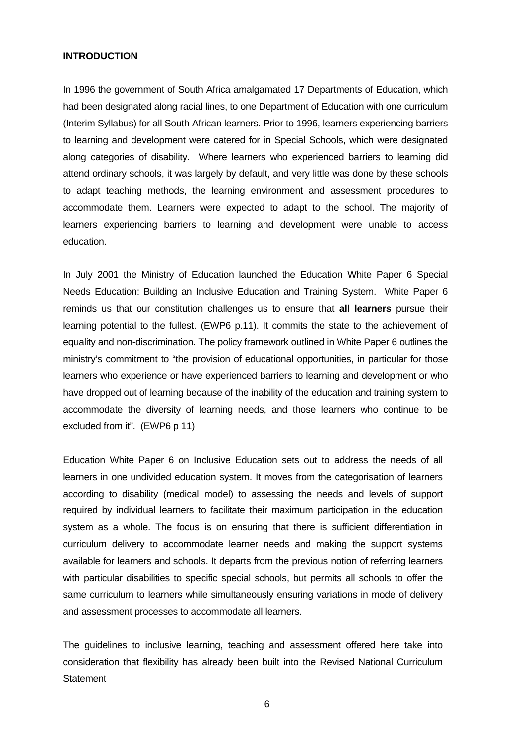#### **INTRODUCTION**

In 1996 the government of South Africa amalgamated 17 Departments of Education, which had been designated along racial lines, to one Department of Education with one curriculum (Interim Syllabus) for all South African learners. Prior to 1996, learners experiencing barriers to learning and development were catered for in Special Schools, which were designated along categories of disability. Where learners who experienced barriers to learning did attend ordinary schools, it was largely by default, and very little was done by these schools to adapt teaching methods, the learning environment and assessment procedures to accommodate them. Learners were expected to adapt to the school. The majority of learners experiencing barriers to learning and development were unable to access education.

In July 2001 the Ministry of Education launched the Education White Paper 6 Special Needs Education: Building an Inclusive Education and Training System. White Paper 6 reminds us that our constitution challenges us to ensure that **all learners** pursue their learning potential to the fullest. (EWP6 p.11). It commits the state to the achievement of equality and non-discrimination. The policy framework outlined in White Paper 6 outlines the ministry's commitment to "the provision of educational opportunities, in particular for those learners who experience or have experienced barriers to learning and development or who have dropped out of learning because of the inability of the education and training system to accommodate the diversity of learning needs, and those learners who continue to be excluded from it". (EWP6 p 11)

Education White Paper 6 on Inclusive Education sets out to address the needs of all learners in one undivided education system. It moves from the categorisation of learners according to disability (medical model) to assessing the needs and levels of support required by individual learners to facilitate their maximum participation in the education system as a whole. The focus is on ensuring that there is sufficient differentiation in curriculum delivery to accommodate learner needs and making the support systems available for learners and schools. It departs from the previous notion of referring learners with particular disabilities to specific special schools, but permits all schools to offer the same curriculum to learners while simultaneously ensuring variations in mode of delivery and assessment processes to accommodate all learners.

The guidelines to inclusive learning, teaching and assessment offered here take into consideration that flexibility has already been built into the Revised National Curriculum **Statement** 

6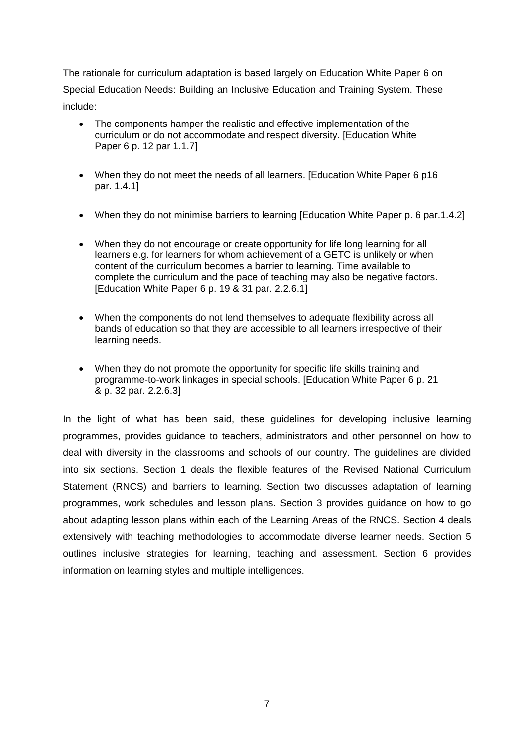The rationale for curriculum adaptation is based largely on Education White Paper 6 on Special Education Needs: Building an Inclusive Education and Training System. These include:

- The components hamper the realistic and effective implementation of the curriculum or do not accommodate and respect diversity. [Education White Paper 6 p. 12 par 1.1.7]
- When they do not meet the needs of all learners. [Education White Paper 6 p16 par. 1.4.1]
- When they do not minimise barriers to learning [Education White Paper p. 6 par.1.4.2]
- When they do not encourage or create opportunity for life long learning for all learners e.g. for learners for whom achievement of a GETC is unlikely or when content of the curriculum becomes a barrier to learning. Time available to complete the curriculum and the pace of teaching may also be negative factors. [Education White Paper 6 p. 19 & 31 par. 2.2.6.1]
- When the components do not lend themselves to adequate flexibility across all bands of education so that they are accessible to all learners irrespective of their learning needs.
- When they do not promote the opportunity for specific life skills training and programme-to-work linkages in special schools. [Education White Paper 6 p. 21 & p. 32 par. 2.2.6.3]

In the light of what has been said, these guidelines for developing inclusive learning programmes, provides guidance to teachers, administrators and other personnel on how to deal with diversity in the classrooms and schools of our country. The guidelines are divided into six sections. Section 1 deals the flexible features of the Revised National Curriculum Statement (RNCS) and barriers to learning. Section two discusses adaptation of learning programmes, work schedules and lesson plans. Section 3 provides guidance on how to go about adapting lesson plans within each of the Learning Areas of the RNCS. Section 4 deals extensively with teaching methodologies to accommodate diverse learner needs. Section 5 outlines inclusive strategies for learning, teaching and assessment. Section 6 provides information on learning styles and multiple intelligences.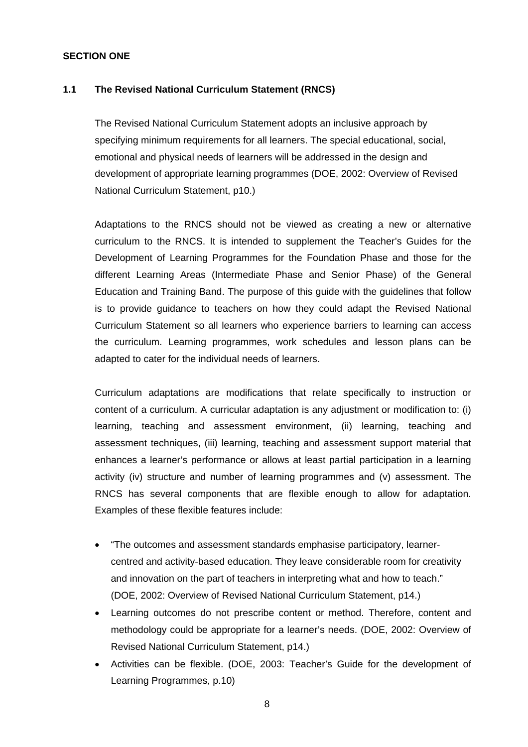#### **SECTION ONE**

#### **1.1 The Revised National Curriculum Statement (RNCS)**

The Revised National Curriculum Statement adopts an inclusive approach by specifying minimum requirements for all learners. The special educational, social, emotional and physical needs of learners will be addressed in the design and development of appropriate learning programmes (DOE, 2002: Overview of Revised National Curriculum Statement, p10.)

Adaptations to the RNCS should not be viewed as creating a new or alternative curriculum to the RNCS. It is intended to supplement the Teacher's Guides for the Development of Learning Programmes for the Foundation Phase and those for the different Learning Areas (Intermediate Phase and Senior Phase) of the General Education and Training Band. The purpose of this guide with the guidelines that follow is to provide guidance to teachers on how they could adapt the Revised National Curriculum Statement so all learners who experience barriers to learning can access the curriculum. Learning programmes, work schedules and lesson plans can be adapted to cater for the individual needs of learners.

Curriculum adaptations are modifications that relate specifically to instruction or content of a curriculum. A curricular adaptation is any adjustment or modification to: (i) learning, teaching and assessment environment, (ii) learning, teaching and assessment techniques, (iii) learning, teaching and assessment support material that enhances a learner's performance or allows at least partial participation in a learning activity (iv) structure and number of learning programmes and (v) assessment. The RNCS has several components that are flexible enough to allow for adaptation. Examples of these flexible features include:

- "The outcomes and assessment standards emphasise participatory, learnercentred and activity-based education. They leave considerable room for creativity and innovation on the part of teachers in interpreting what and how to teach." (DOE, 2002: Overview of Revised National Curriculum Statement, p14.)
- Learning outcomes do not prescribe content or method. Therefore, content and methodology could be appropriate for a learner's needs. (DOE, 2002: Overview of Revised National Curriculum Statement, p14.)
- Activities can be flexible. (DOE, 2003: Teacher's Guide for the development of Learning Programmes, p.10)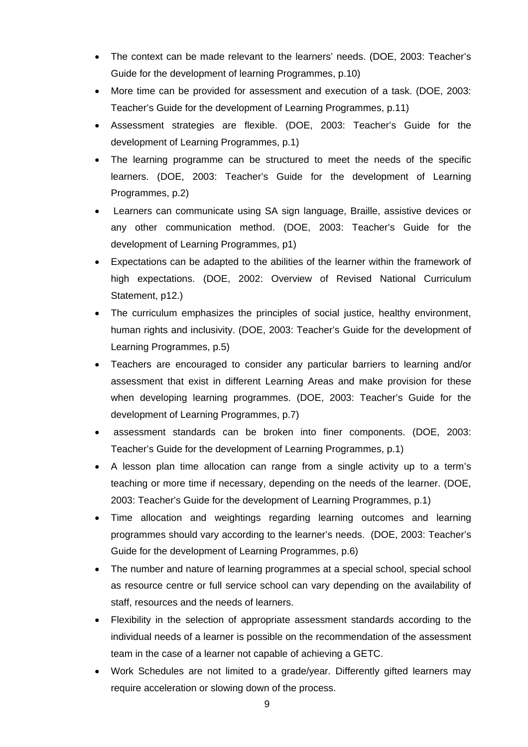- The context can be made relevant to the learners' needs. (DOE, 2003: Teacher's Guide for the development of learning Programmes, p.10)
- More time can be provided for assessment and execution of a task. (DOE, 2003: Teacher's Guide for the development of Learning Programmes, p.11)
- Assessment strategies are flexible. (DOE, 2003: Teacher's Guide for the development of Learning Programmes, p.1)
- The learning programme can be structured to meet the needs of the specific learners. (DOE, 2003: Teacher's Guide for the development of Learning Programmes, p.2)
- Learners can communicate using SA sign language, Braille, assistive devices or any other communication method. (DOE, 2003: Teacher's Guide for the development of Learning Programmes, p1)
- Expectations can be adapted to the abilities of the learner within the framework of high expectations. (DOE, 2002: Overview of Revised National Curriculum Statement, p12.)
- The curriculum emphasizes the principles of social justice, healthy environment, human rights and inclusivity. (DOE, 2003: Teacher's Guide for the development of Learning Programmes, p.5)
- Teachers are encouraged to consider any particular barriers to learning and/or assessment that exist in different Learning Areas and make provision for these when developing learning programmes. (DOE, 2003: Teacher's Guide for the development of Learning Programmes, p.7)
- assessment standards can be broken into finer components. (DOE, 2003: Teacher's Guide for the development of Learning Programmes, p.1)
- A lesson plan time allocation can range from a single activity up to a term's teaching or more time if necessary, depending on the needs of the learner. (DOE, 2003: Teacher's Guide for the development of Learning Programmes, p.1)
- Time allocation and weightings regarding learning outcomes and learning programmes should vary according to the learner's needs. (DOE, 2003: Teacher's Guide for the development of Learning Programmes, p.6)
- The number and nature of learning programmes at a special school, special school as resource centre or full service school can vary depending on the availability of staff, resources and the needs of learners.
- Flexibility in the selection of appropriate assessment standards according to the individual needs of a learner is possible on the recommendation of the assessment team in the case of a learner not capable of achieving a GETC.
- Work Schedules are not limited to a grade/year. Differently gifted learners may require acceleration or slowing down of the process.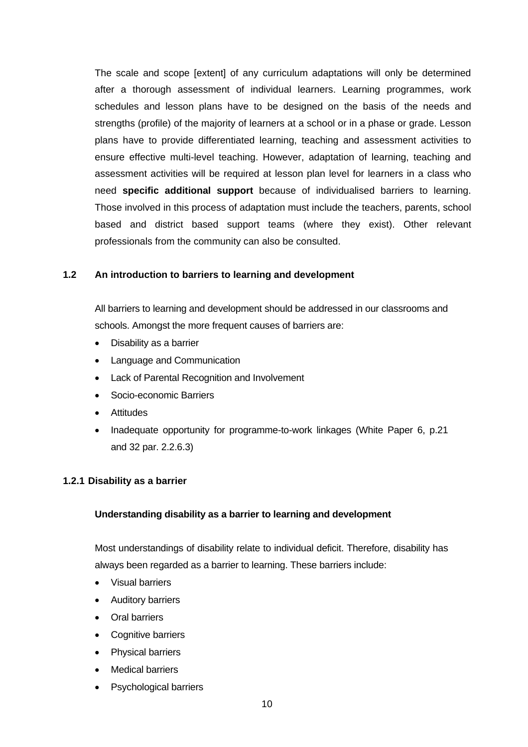The scale and scope [extent] of any curriculum adaptations will only be determined after a thorough assessment of individual learners. Learning programmes, work schedules and lesson plans have to be designed on the basis of the needs and strengths (profile) of the majority of learners at a school or in a phase or grade. Lesson plans have to provide differentiated learning, teaching and assessment activities to ensure effective multi-level teaching. However, adaptation of learning, teaching and assessment activities will be required at lesson plan level for learners in a class who need **specific additional support** because of individualised barriers to learning. Those involved in this process of adaptation must include the teachers, parents, school based and district based support teams (where they exist). Other relevant professionals from the community can also be consulted.

#### **1.2 An introduction to barriers to learning and development**

All barriers to learning and development should be addressed in our classrooms and schools. Amongst the more frequent causes of barriers are:

- Disability as a barrier
- Language and Communication
- Lack of Parental Recognition and Involvement
- Socio-economic Barriers
- Attitudes
- Inadequate opportunity for programme-to-work linkages (White Paper 6, p.21 and 32 par. 2.2.6.3)

#### **1.2.1 Disability as a barrier**

#### **Understanding disability as a barrier to learning and development**

Most understandings of disability relate to individual deficit. Therefore, disability has always been regarded as a barrier to learning. These barriers include:

- Visual barriers
- Auditory barriers
- Oral barriers
- Cognitive barriers
- Physical barriers
- **Medical barriers**
- Psychological barriers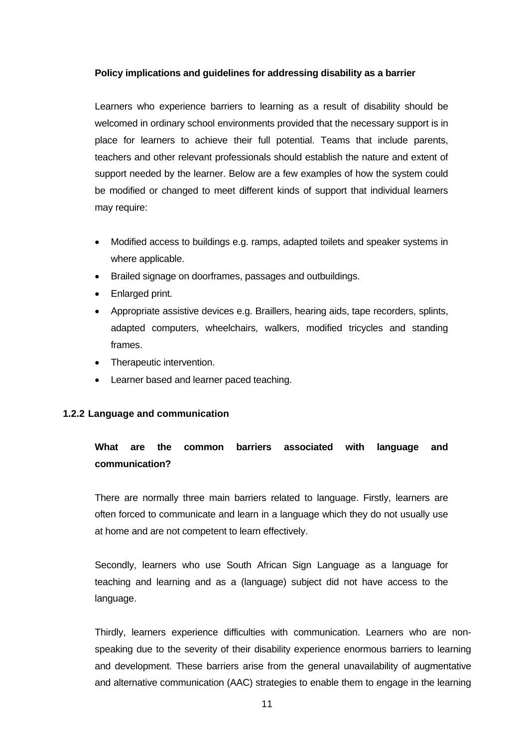#### **Policy implications and guidelines for addressing disability as a barrier**

Learners who experience barriers to learning as a result of disability should be welcomed in ordinary school environments provided that the necessary support is in place for learners to achieve their full potential. Teams that include parents, teachers and other relevant professionals should establish the nature and extent of support needed by the learner. Below are a few examples of how the system could be modified or changed to meet different kinds of support that individual learners may require:

- Modified access to buildings e.g. ramps, adapted toilets and speaker systems in where applicable.
- Brailed signage on doorframes, passages and outbuildings.
- Enlarged print.
- Appropriate assistive devices e.g. Braillers, hearing aids, tape recorders, splints, adapted computers, wheelchairs, walkers, modified tricycles and standing frames.
- Therapeutic intervention.
- Learner based and learner paced teaching.

#### **1.2.2 Language and communication**

## **What are the common barriers associated with language and communication?**

There are normally three main barriers related to language. Firstly, learners are often forced to communicate and learn in a language which they do not usually use at home and are not competent to learn effectively.

Secondly, learners who use South African Sign Language as a language for teaching and learning and as a (language) subject did not have access to the language.

Thirdly, learners experience difficulties with communication. Learners who are nonspeaking due to the severity of their disability experience enormous barriers to learning and development. These barriers arise from the general unavailability of augmentative and alternative communication (AAC) strategies to enable them to engage in the learning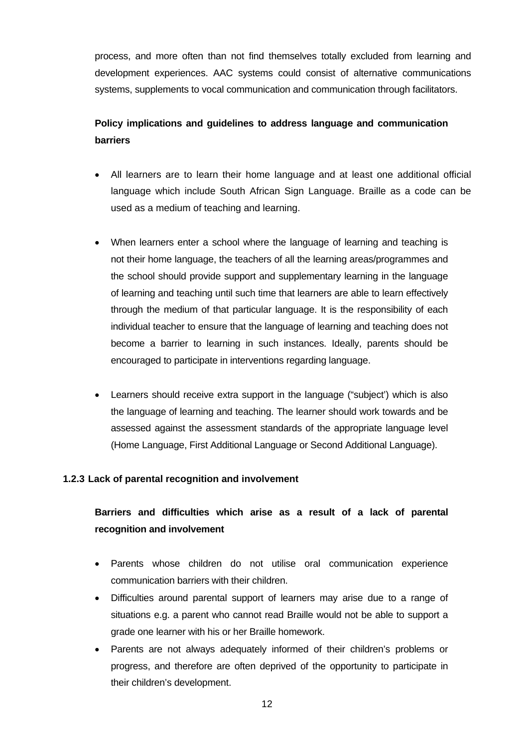process, and more often than not find themselves totally excluded from learning and development experiences. AAC systems could consist of alternative communications systems, supplements to vocal communication and communication through facilitators.

## **Policy implications and guidelines to address language and communication barriers**

- All learners are to learn their home language and at least one additional official language which include South African Sign Language. Braille as a code can be used as a medium of teaching and learning.
- When learners enter a school where the language of learning and teaching is not their home language, the teachers of all the learning areas/programmes and the school should provide support and supplementary learning in the language of learning and teaching until such time that learners are able to learn effectively through the medium of that particular language. It is the responsibility of each individual teacher to ensure that the language of learning and teaching does not become a barrier to learning in such instances. Ideally, parents should be encouraged to participate in interventions regarding language.
- Learners should receive extra support in the language ("subject') which is also the language of learning and teaching. The learner should work towards and be assessed against the assessment standards of the appropriate language level (Home Language, First Additional Language or Second Additional Language).

#### **1.2.3 Lack of parental recognition and involvement**

## **Barriers and difficulties which arise as a result of a lack of parental recognition and involvement**

- Parents whose children do not utilise oral communication experience communication barriers with their children.
- Difficulties around parental support of learners may arise due to a range of situations e.g. a parent who cannot read Braille would not be able to support a grade one learner with his or her Braille homework.
- Parents are not always adequately informed of their children's problems or progress, and therefore are often deprived of the opportunity to participate in their children's development.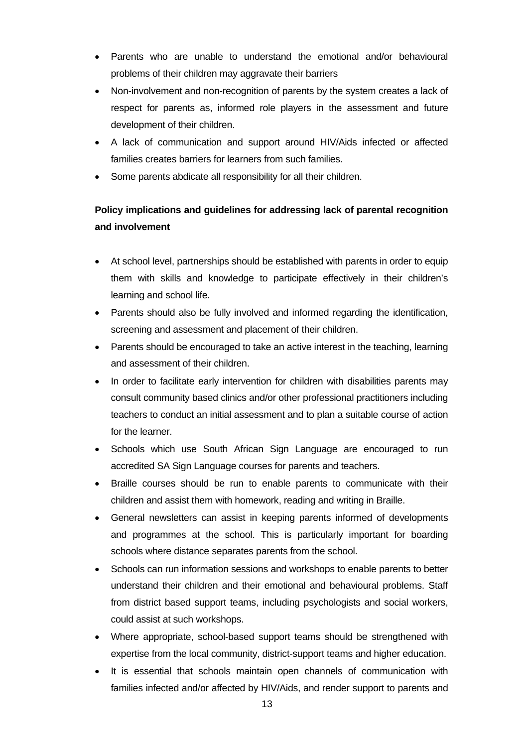- Parents who are unable to understand the emotional and/or behavioural problems of their children may aggravate their barriers
- Non-involvement and non-recognition of parents by the system creates a lack of respect for parents as, informed role players in the assessment and future development of their children.
- A lack of communication and support around HIV/Aids infected or affected families creates barriers for learners from such families.
- Some parents abdicate all responsibility for all their children.

## **Policy implications and guidelines for addressing lack of parental recognition and involvement**

- At school level, partnerships should be established with parents in order to equip them with skills and knowledge to participate effectively in their children's learning and school life.
- Parents should also be fully involved and informed regarding the identification, screening and assessment and placement of their children.
- Parents should be encouraged to take an active interest in the teaching, learning and assessment of their children.
- In order to facilitate early intervention for children with disabilities parents may consult community based clinics and/or other professional practitioners including teachers to conduct an initial assessment and to plan a suitable course of action for the learner.
- Schools which use South African Sign Language are encouraged to run accredited SA Sign Language courses for parents and teachers.
- Braille courses should be run to enable parents to communicate with their children and assist them with homework, reading and writing in Braille.
- General newsletters can assist in keeping parents informed of developments and programmes at the school. This is particularly important for boarding schools where distance separates parents from the school.
- Schools can run information sessions and workshops to enable parents to better understand their children and their emotional and behavioural problems. Staff from district based support teams, including psychologists and social workers, could assist at such workshops.
- Where appropriate, school-based support teams should be strengthened with expertise from the local community, district-support teams and higher education.
- It is essential that schools maintain open channels of communication with families infected and/or affected by HIV/Aids, and render support to parents and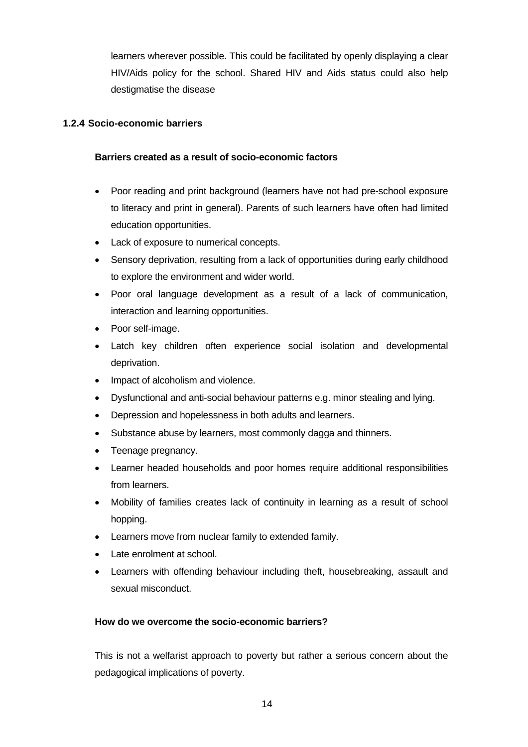learners wherever possible. This could be facilitated by openly displaying a clear HIV/Aids policy for the school. Shared HIV and Aids status could also help destigmatise the disease

#### **1.2.4 Socio-economic barriers**

#### **Barriers created as a result of socio-economic factors**

- Poor reading and print background (learners have not had pre-school exposure to literacy and print in general). Parents of such learners have often had limited education opportunities.
- Lack of exposure to numerical concepts.
- Sensory deprivation, resulting from a lack of opportunities during early childhood to explore the environment and wider world.
- Poor oral language development as a result of a lack of communication, interaction and learning opportunities.
- Poor self-image.
- Latch key children often experience social isolation and developmental deprivation.
- Impact of alcoholism and violence.
- Dysfunctional and anti-social behaviour patterns e.g. minor stealing and lying.
- Depression and hopelessness in both adults and learners.
- Substance abuse by learners, most commonly dagga and thinners.
- Teenage pregnancy.
- Learner headed households and poor homes require additional responsibilities from learners.
- Mobility of families creates lack of continuity in learning as a result of school hopping.
- Learners move from nuclear family to extended family.
- Late enrolment at school.
- Learners with offending behaviour including theft, housebreaking, assault and sexual misconduct.

#### **How do we overcome the socio-economic barriers?**

This is not a welfarist approach to poverty but rather a serious concern about the pedagogical implications of poverty.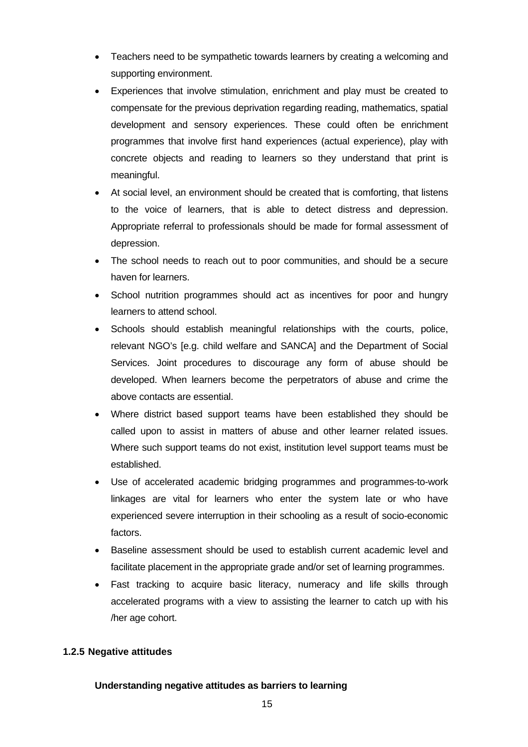- Teachers need to be sympathetic towards learners by creating a welcoming and supporting environment.
- Experiences that involve stimulation, enrichment and play must be created to compensate for the previous deprivation regarding reading, mathematics, spatial development and sensory experiences. These could often be enrichment programmes that involve first hand experiences (actual experience), play with concrete objects and reading to learners so they understand that print is meaningful.
- At social level, an environment should be created that is comforting, that listens to the voice of learners, that is able to detect distress and depression. Appropriate referral to professionals should be made for formal assessment of depression.
- The school needs to reach out to poor communities, and should be a secure haven for learners.
- School nutrition programmes should act as incentives for poor and hungry learners to attend school.
- Schools should establish meaningful relationships with the courts, police, relevant NGO's [e.g. child welfare and SANCA] and the Department of Social Services. Joint procedures to discourage any form of abuse should be developed. When learners become the perpetrators of abuse and crime the above contacts are essential.
- Where district based support teams have been established they should be called upon to assist in matters of abuse and other learner related issues. Where such support teams do not exist, institution level support teams must be established.
- Use of accelerated academic bridging programmes and programmes-to-work linkages are vital for learners who enter the system late or who have experienced severe interruption in their schooling as a result of socio-economic factors.
- Baseline assessment should be used to establish current academic level and facilitate placement in the appropriate grade and/or set of learning programmes.
- Fast tracking to acquire basic literacy, numeracy and life skills through accelerated programs with a view to assisting the learner to catch up with his /her age cohort.

#### **1.2.5 Negative attitudes**

#### **Understanding negative attitudes as barriers to learning**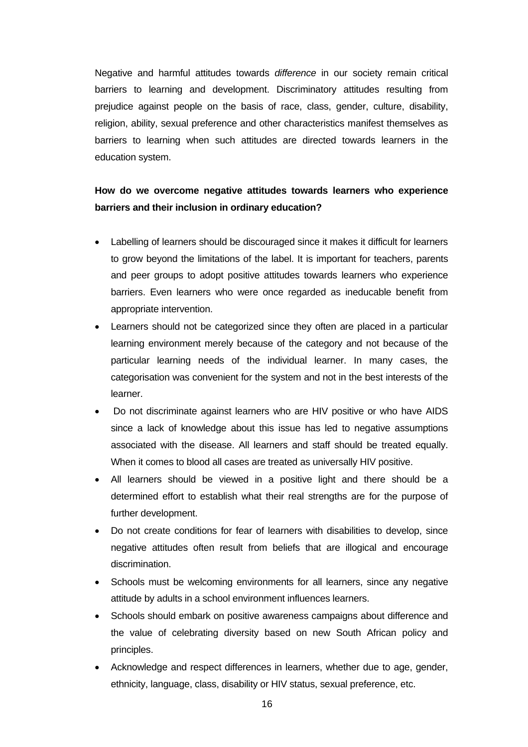Negative and harmful attitudes towards *difference* in our society remain critical barriers to learning and development. Discriminatory attitudes resulting from prejudice against people on the basis of race, class, gender, culture, disability, religion, ability, sexual preference and other characteristics manifest themselves as barriers to learning when such attitudes are directed towards learners in the education system.

## **How do we overcome negative attitudes towards learners who experience barriers and their inclusion in ordinary education?**

- Labelling of learners should be discouraged since it makes it difficult for learners to grow beyond the limitations of the label. It is important for teachers, parents and peer groups to adopt positive attitudes towards learners who experience barriers. Even learners who were once regarded as ineducable benefit from appropriate intervention.
- Learners should not be categorized since they often are placed in a particular learning environment merely because of the category and not because of the particular learning needs of the individual learner. In many cases, the categorisation was convenient for the system and not in the best interests of the learner.
- Do not discriminate against learners who are HIV positive or who have AIDS since a lack of knowledge about this issue has led to negative assumptions associated with the disease. All learners and staff should be treated equally. When it comes to blood all cases are treated as universally HIV positive.
- All learners should be viewed in a positive light and there should be a determined effort to establish what their real strengths are for the purpose of further development.
- Do not create conditions for fear of learners with disabilities to develop, since negative attitudes often result from beliefs that are illogical and encourage discrimination.
- Schools must be welcoming environments for all learners, since any negative attitude by adults in a school environment influences learners.
- Schools should embark on positive awareness campaigns about difference and the value of celebrating diversity based on new South African policy and principles.
- Acknowledge and respect differences in learners, whether due to age, gender, ethnicity, language, class, disability or HIV status, sexual preference, etc.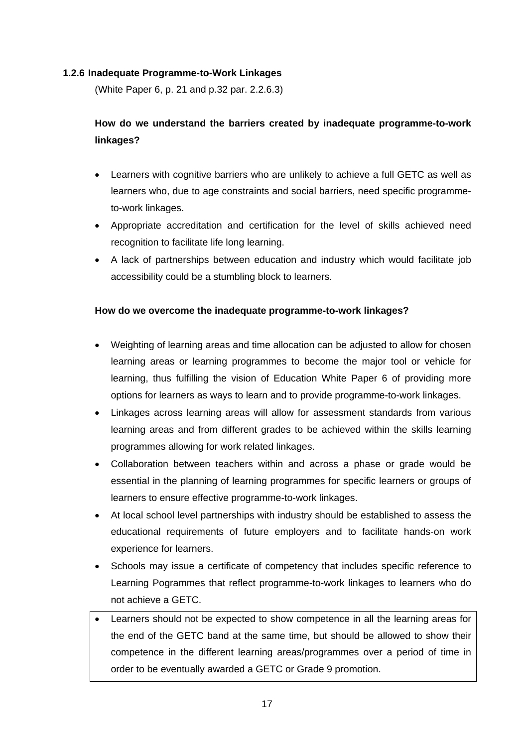#### **1.2.6 Inadequate Programme-to-Work Linkages**

(White Paper 6, p. 21 and p.32 par. 2.2.6.3)

## **How do we understand the barriers created by inadequate programme-to-work linkages?**

- Learners with cognitive barriers who are unlikely to achieve a full GETC as well as learners who, due to age constraints and social barriers, need specific programmeto-work linkages.
- Appropriate accreditation and certification for the level of skills achieved need recognition to facilitate life long learning.
- A lack of partnerships between education and industry which would facilitate job accessibility could be a stumbling block to learners.

#### **How do we overcome the inadequate programme-to-work linkages?**

- Weighting of learning areas and time allocation can be adjusted to allow for chosen learning areas or learning programmes to become the major tool or vehicle for learning, thus fulfilling the vision of Education White Paper 6 of providing more options for learners as ways to learn and to provide programme-to-work linkages.
- Linkages across learning areas will allow for assessment standards from various learning areas and from different grades to be achieved within the skills learning programmes allowing for work related linkages.
- Collaboration between teachers within and across a phase or grade would be essential in the planning of learning programmes for specific learners or groups of learners to ensure effective programme-to-work linkages.
- At local school level partnerships with industry should be established to assess the educational requirements of future employers and to facilitate hands-on work experience for learners.
- Schools may issue a certificate of competency that includes specific reference to Learning Pogrammes that reflect programme-to-work linkages to learners who do not achieve a GETC.
- Learners should not be expected to show competence in all the learning areas for the end of the GETC band at the same time, but should be allowed to show their competence in the different learning areas/programmes over a period of time in order to be eventually awarded a GETC or Grade 9 promotion.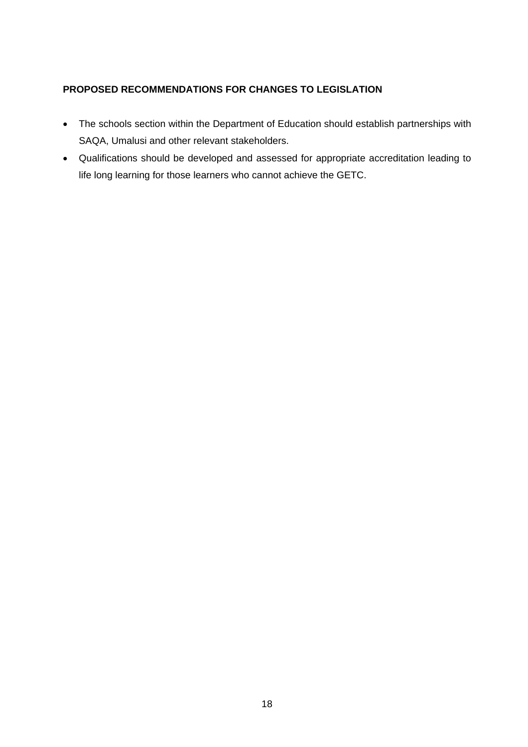### **PROPOSED RECOMMENDATIONS FOR CHANGES TO LEGISLATION**

- The schools section within the Department of Education should establish partnerships with SAQA, Umalusi and other relevant stakeholders.
- Qualifications should be developed and assessed for appropriate accreditation leading to life long learning for those learners who cannot achieve the GETC.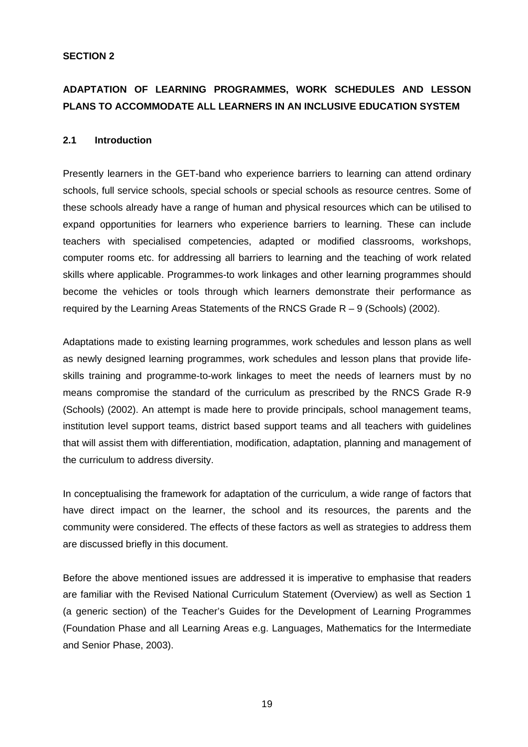#### **SECTION 2**

## **ADAPTATION OF LEARNING PROGRAMMES, WORK SCHEDULES AND LESSON PLANS TO ACCOMMODATE ALL LEARNERS IN AN INCLUSIVE EDUCATION SYSTEM**

#### **2.1 Introduction**

Presently learners in the GET-band who experience barriers to learning can attend ordinary schools, full service schools, special schools or special schools as resource centres. Some of these schools already have a range of human and physical resources which can be utilised to expand opportunities for learners who experience barriers to learning. These can include teachers with specialised competencies, adapted or modified classrooms, workshops, computer rooms etc. for addressing all barriers to learning and the teaching of work related skills where applicable. Programmes-to work linkages and other learning programmes should become the vehicles or tools through which learners demonstrate their performance as required by the Learning Areas Statements of the RNCS Grade R – 9 (Schools) (2002).

Adaptations made to existing learning programmes, work schedules and lesson plans as well as newly designed learning programmes, work schedules and lesson plans that provide lifeskills training and programme-to-work linkages to meet the needs of learners must by no means compromise the standard of the curriculum as prescribed by the RNCS Grade R-9 (Schools) (2002). An attempt is made here to provide principals, school management teams, institution level support teams, district based support teams and all teachers with guidelines that will assist them with differentiation, modification, adaptation, planning and management of the curriculum to address diversity.

In conceptualising the framework for adaptation of the curriculum, a wide range of factors that have direct impact on the learner, the school and its resources, the parents and the community were considered. The effects of these factors as well as strategies to address them are discussed briefly in this document.

Before the above mentioned issues are addressed it is imperative to emphasise that readers are familiar with the Revised National Curriculum Statement (Overview) as well as Section 1 (a generic section) of the Teacher's Guides for the Development of Learning Programmes (Foundation Phase and all Learning Areas e.g. Languages, Mathematics for the Intermediate and Senior Phase, 2003).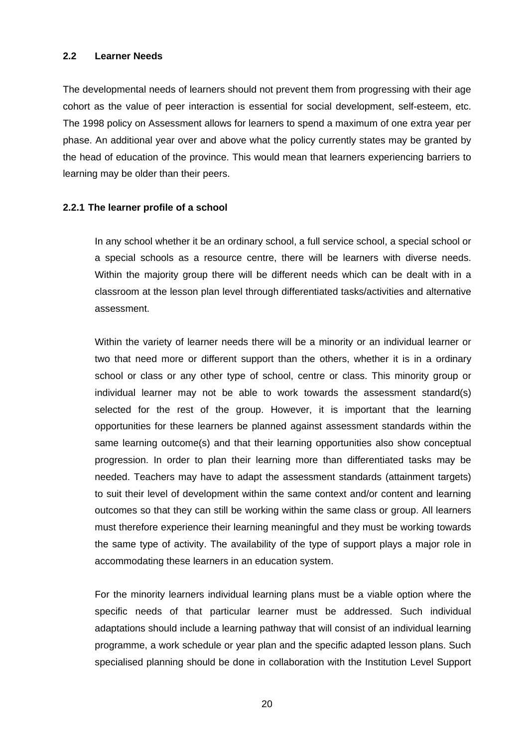#### **2.2 Learner Needs**

The developmental needs of learners should not prevent them from progressing with their age cohort as the value of peer interaction is essential for social development, self-esteem, etc. The 1998 policy on Assessment allows for learners to spend a maximum of one extra year per phase. An additional year over and above what the policy currently states may be granted by the head of education of the province. This would mean that learners experiencing barriers to learning may be older than their peers.

#### **2.2.1 The learner profile of a school**

In any school whether it be an ordinary school, a full service school, a special school or a special schools as a resource centre, there will be learners with diverse needs. Within the majority group there will be different needs which can be dealt with in a classroom at the lesson plan level through differentiated tasks/activities and alternative assessment.

Within the variety of learner needs there will be a minority or an individual learner or two that need more or different support than the others, whether it is in a ordinary school or class or any other type of school, centre or class. This minority group or individual learner may not be able to work towards the assessment standard(s) selected for the rest of the group. However, it is important that the learning opportunities for these learners be planned against assessment standards within the same learning outcome(s) and that their learning opportunities also show conceptual progression. In order to plan their learning more than differentiated tasks may be needed. Teachers may have to adapt the assessment standards (attainment targets) to suit their level of development within the same context and/or content and learning outcomes so that they can still be working within the same class or group. All learners must therefore experience their learning meaningful and they must be working towards the same type of activity. The availability of the type of support plays a major role in accommodating these learners in an education system.

For the minority learners individual learning plans must be a viable option where the specific needs of that particular learner must be addressed. Such individual adaptations should include a learning pathway that will consist of an individual learning programme, a work schedule or year plan and the specific adapted lesson plans. Such specialised planning should be done in collaboration with the Institution Level Support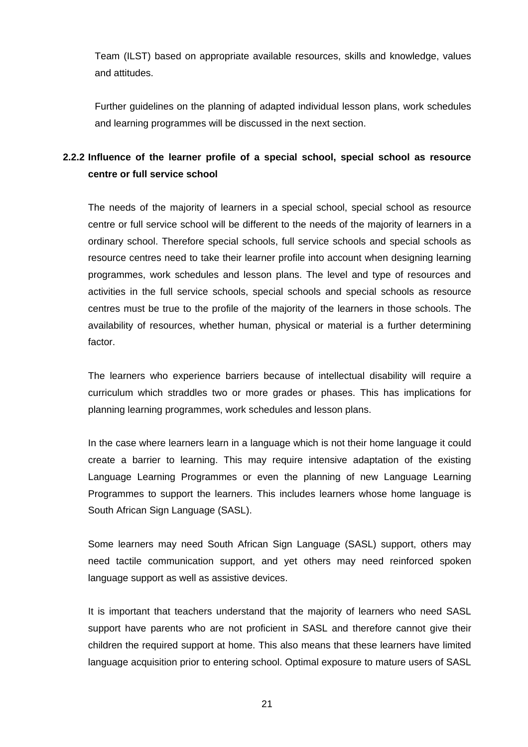Team (ILST) based on appropriate available resources, skills and knowledge, values and attitudes.

Further guidelines on the planning of adapted individual lesson plans, work schedules and learning programmes will be discussed in the next section.

## **2.2.2 Influence of the learner profile of a special school, special school as resource centre or full service school**

The needs of the majority of learners in a special school, special school as resource centre or full service school will be different to the needs of the majority of learners in a ordinary school. Therefore special schools, full service schools and special schools as resource centres need to take their learner profile into account when designing learning programmes, work schedules and lesson plans. The level and type of resources and activities in the full service schools, special schools and special schools as resource centres must be true to the profile of the majority of the learners in those schools. The availability of resources, whether human, physical or material is a further determining factor.

The learners who experience barriers because of intellectual disability will require a curriculum which straddles two or more grades or phases. This has implications for planning learning programmes, work schedules and lesson plans.

In the case where learners learn in a language which is not their home language it could create a barrier to learning. This may require intensive adaptation of the existing Language Learning Programmes or even the planning of new Language Learning Programmes to support the learners. This includes learners whose home language is South African Sign Language (SASL).

Some learners may need South African Sign Language (SASL) support, others may need tactile communication support, and yet others may need reinforced spoken language support as well as assistive devices.

It is important that teachers understand that the majority of learners who need SASL support have parents who are not proficient in SASL and therefore cannot give their children the required support at home. This also means that these learners have limited language acquisition prior to entering school. Optimal exposure to mature users of SASL

21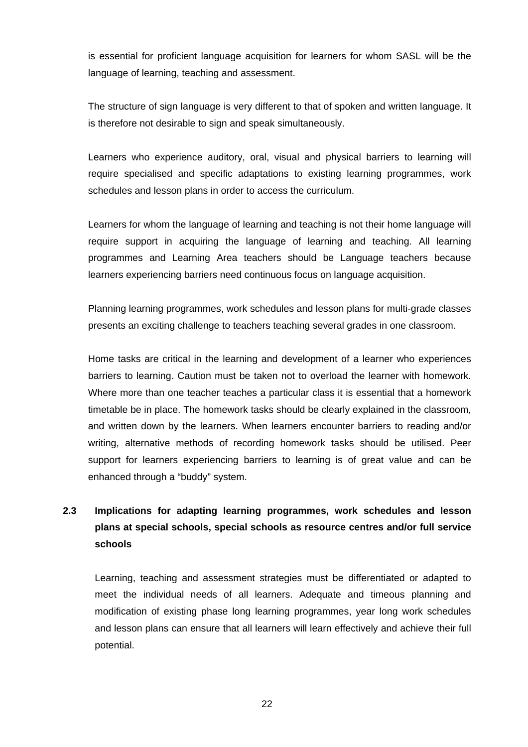is essential for proficient language acquisition for learners for whom SASL will be the language of learning, teaching and assessment.

The structure of sign language is very different to that of spoken and written language. It is therefore not desirable to sign and speak simultaneously.

Learners who experience auditory, oral, visual and physical barriers to learning will require specialised and specific adaptations to existing learning programmes, work schedules and lesson plans in order to access the curriculum.

Learners for whom the language of learning and teaching is not their home language will require support in acquiring the language of learning and teaching. All learning programmes and Learning Area teachers should be Language teachers because learners experiencing barriers need continuous focus on language acquisition.

Planning learning programmes, work schedules and lesson plans for multi-grade classes presents an exciting challenge to teachers teaching several grades in one classroom.

Home tasks are critical in the learning and development of a learner who experiences barriers to learning. Caution must be taken not to overload the learner with homework. Where more than one teacher teaches a particular class it is essential that a homework timetable be in place. The homework tasks should be clearly explained in the classroom, and written down by the learners. When learners encounter barriers to reading and/or writing, alternative methods of recording homework tasks should be utilised. Peer support for learners experiencing barriers to learning is of great value and can be enhanced through a "buddy" system.

## **2.3 Implications for adapting learning programmes, work schedules and lesson plans at special schools, special schools as resource centres and/or full service schools**

Learning, teaching and assessment strategies must be differentiated or adapted to meet the individual needs of all learners. Adequate and timeous planning and modification of existing phase long learning programmes, year long work schedules and lesson plans can ensure that all learners will learn effectively and achieve their full potential.

22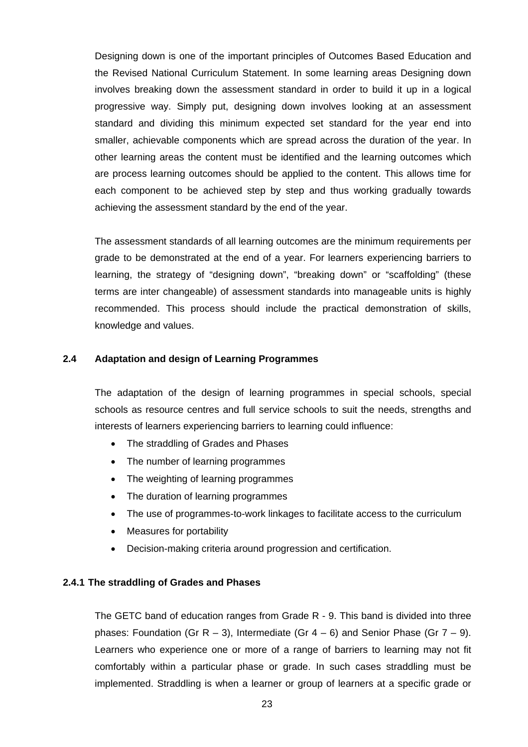Designing down is one of the important principles of Outcomes Based Education and the Revised National Curriculum Statement. In some learning areas Designing down involves breaking down the assessment standard in order to build it up in a logical progressive way. Simply put, designing down involves looking at an assessment standard and dividing this minimum expected set standard for the year end into smaller, achievable components which are spread across the duration of the year. In other learning areas the content must be identified and the learning outcomes which are process learning outcomes should be applied to the content. This allows time for each component to be achieved step by step and thus working gradually towards achieving the assessment standard by the end of the year.

The assessment standards of all learning outcomes are the minimum requirements per grade to be demonstrated at the end of a year. For learners experiencing barriers to learning, the strategy of "designing down", "breaking down" or "scaffolding" (these terms are inter changeable) of assessment standards into manageable units is highly recommended. This process should include the practical demonstration of skills, knowledge and values.

#### **2.4 Adaptation and design of Learning Programmes**

The adaptation of the design of learning programmes in special schools, special schools as resource centres and full service schools to suit the needs, strengths and interests of learners experiencing barriers to learning could influence:

- The straddling of Grades and Phases
- The number of learning programmes
- The weighting of learning programmes
- The duration of learning programmes
- The use of programmes-to-work linkages to facilitate access to the curriculum
- Measures for portability
- Decision-making criteria around progression and certification.

#### **2.4.1 The straddling of Grades and Phases**

The GETC band of education ranges from Grade R - 9. This band is divided into three phases: Foundation (Gr R – 3), Intermediate (Gr  $4 - 6$ ) and Senior Phase (Gr  $7 - 9$ ). Learners who experience one or more of a range of barriers to learning may not fit comfortably within a particular phase or grade. In such cases straddling must be implemented. Straddling is when a learner or group of learners at a specific grade or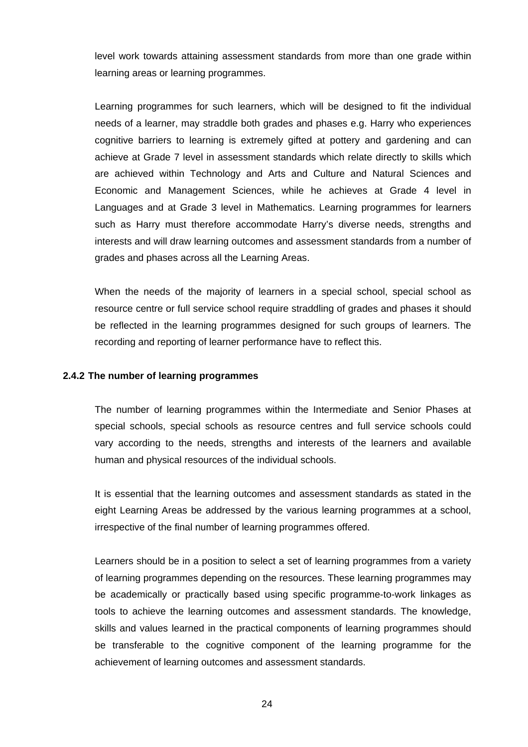level work towards attaining assessment standards from more than one grade within learning areas or learning programmes.

Learning programmes for such learners, which will be designed to fit the individual needs of a learner, may straddle both grades and phases e.g. Harry who experiences cognitive barriers to learning is extremely gifted at pottery and gardening and can achieve at Grade 7 level in assessment standards which relate directly to skills which are achieved within Technology and Arts and Culture and Natural Sciences and Economic and Management Sciences, while he achieves at Grade 4 level in Languages and at Grade 3 level in Mathematics. Learning programmes for learners such as Harry must therefore accommodate Harry's diverse needs, strengths and interests and will draw learning outcomes and assessment standards from a number of grades and phases across all the Learning Areas.

When the needs of the majority of learners in a special school, special school as resource centre or full service school require straddling of grades and phases it should be reflected in the learning programmes designed for such groups of learners. The recording and reporting of learner performance have to reflect this.

#### **2.4.2 The number of learning programmes**

The number of learning programmes within the Intermediate and Senior Phases at special schools, special schools as resource centres and full service schools could vary according to the needs, strengths and interests of the learners and available human and physical resources of the individual schools.

It is essential that the learning outcomes and assessment standards as stated in the eight Learning Areas be addressed by the various learning programmes at a school, irrespective of the final number of learning programmes offered.

Learners should be in a position to select a set of learning programmes from a variety of learning programmes depending on the resources. These learning programmes may be academically or practically based using specific programme-to-work linkages as tools to achieve the learning outcomes and assessment standards. The knowledge, skills and values learned in the practical components of learning programmes should be transferable to the cognitive component of the learning programme for the achievement of learning outcomes and assessment standards.

24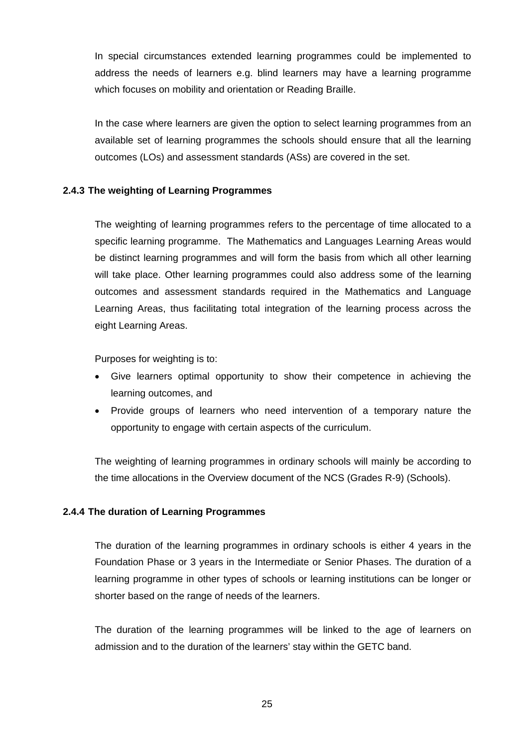In special circumstances extended learning programmes could be implemented to address the needs of learners e.g. blind learners may have a learning programme which focuses on mobility and orientation or Reading Braille.

In the case where learners are given the option to select learning programmes from an available set of learning programmes the schools should ensure that all the learning outcomes (LOs) and assessment standards (ASs) are covered in the set.

#### **2.4.3 The weighting of Learning Programmes**

The weighting of learning programmes refers to the percentage of time allocated to a specific learning programme. The Mathematics and Languages Learning Areas would be distinct learning programmes and will form the basis from which all other learning will take place. Other learning programmes could also address some of the learning outcomes and assessment standards required in the Mathematics and Language Learning Areas, thus facilitating total integration of the learning process across the eight Learning Areas.

Purposes for weighting is to:

- Give learners optimal opportunity to show their competence in achieving the learning outcomes, and
- Provide groups of learners who need intervention of a temporary nature the opportunity to engage with certain aspects of the curriculum.

The weighting of learning programmes in ordinary schools will mainly be according to the time allocations in the Overview document of the NCS (Grades R-9) (Schools).

#### **2.4.4 The duration of Learning Programmes**

The duration of the learning programmes in ordinary schools is either 4 years in the Foundation Phase or 3 years in the Intermediate or Senior Phases. The duration of a learning programme in other types of schools or learning institutions can be longer or shorter based on the range of needs of the learners.

The duration of the learning programmes will be linked to the age of learners on admission and to the duration of the learners' stay within the GETC band.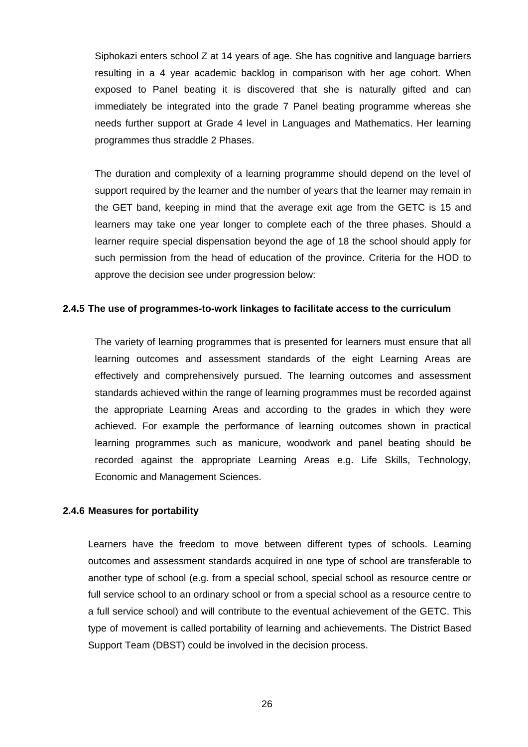Siphokazi enters school Z at 14 years of age. She has cognitive and language barriers resulting in a 4 year academic backlog in comparison with her age cohort. When exposed to Panel beating it is discovered that she is naturally gifted and can immediately be integrated into the grade 7 Panel beating programme whereas she needs further support at Grade 4 level in Languages and Mathematics. Her learning programmes thus straddle 2 Phases.

The duration and complexity of a learning programme should depend on the level of support required by the learner and the number of years that the learner may remain in the GET band, keeping in mind that the average exit age from the GETC is 15 and learners may take one year longer to complete each of the three phases. Should a learner require special dispensation beyond the age of 18 the school should apply for such permission from the head of education of the province. Criteria for the HOD to approve the decision see under progression below:

#### **2.4.5 The use of programmes-to-work linkages to facilitate access to the curriculum**

The variety of learning programmes that is presented for learners must ensure that all learning outcomes and assessment standards of the eight Learning Areas are effectively and comprehensively pursued. The learning outcomes and assessment standards achieved within the range of learning programmes must be recorded against the appropriate Learning Areas and according to the grades in which they were achieved. For example the performance of learning outcomes shown in practical learning programmes such as manicure, woodwork and panel beating should be recorded against the appropriate Learning Areas e.g. Life Skills, Technology, Economic and Management Sciences.

#### **2.4.6 Measures for portability**

Learners have the freedom to move between different types of schools. Learning outcomes and assessment standards acquired in one type of school are transferable to another type of school (e.g. from a special school, special school as resource centre or full service school to an ordinary school or from a special school as a resource centre to a full service school) and will contribute to the eventual achievement of the GETC. This type of movement is called portability of learning and achievements. The District Based Support Team (DBST) could be involved in the decision process.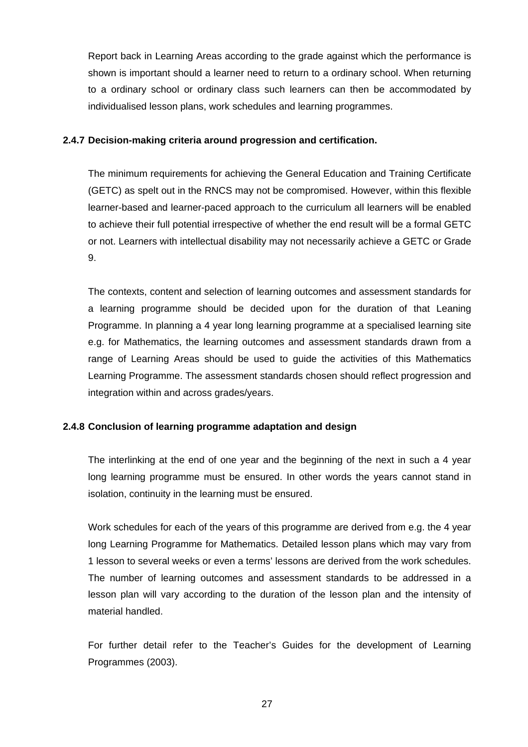Report back in Learning Areas according to the grade against which the performance is shown is important should a learner need to return to a ordinary school. When returning to a ordinary school or ordinary class such learners can then be accommodated by individualised lesson plans, work schedules and learning programmes.

#### **2.4.7 Decision-making criteria around progression and certification.**

The minimum requirements for achieving the General Education and Training Certificate (GETC) as spelt out in the RNCS may not be compromised. However, within this flexible learner-based and learner-paced approach to the curriculum all learners will be enabled to achieve their full potential irrespective of whether the end result will be a formal GETC or not. Learners with intellectual disability may not necessarily achieve a GETC or Grade 9.

The contexts, content and selection of learning outcomes and assessment standards for a learning programme should be decided upon for the duration of that Leaning Programme. In planning a 4 year long learning programme at a specialised learning site e.g. for Mathematics, the learning outcomes and assessment standards drawn from a range of Learning Areas should be used to guide the activities of this Mathematics Learning Programme. The assessment standards chosen should reflect progression and integration within and across grades/years.

#### **2.4.8 Conclusion of learning programme adaptation and design**

The interlinking at the end of one year and the beginning of the next in such a 4 year long learning programme must be ensured. In other words the years cannot stand in isolation, continuity in the learning must be ensured.

Work schedules for each of the years of this programme are derived from e.g. the 4 year long Learning Programme for Mathematics. Detailed lesson plans which may vary from 1 lesson to several weeks or even a terms' lessons are derived from the work schedules. The number of learning outcomes and assessment standards to be addressed in a lesson plan will vary according to the duration of the lesson plan and the intensity of material handled.

For further detail refer to the Teacher's Guides for the development of Learning Programmes (2003).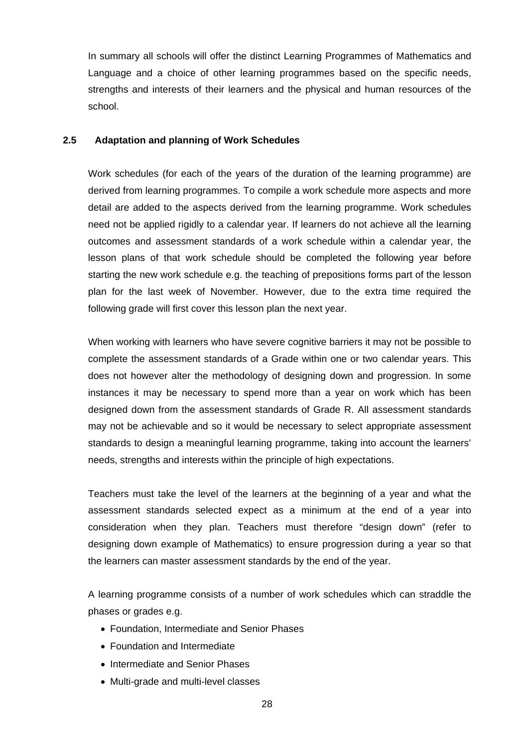In summary all schools will offer the distinct Learning Programmes of Mathematics and Language and a choice of other learning programmes based on the specific needs, strengths and interests of their learners and the physical and human resources of the school.

#### **2.5 Adaptation and planning of Work Schedules**

Work schedules (for each of the years of the duration of the learning programme) are derived from learning programmes. To compile a work schedule more aspects and more detail are added to the aspects derived from the learning programme. Work schedules need not be applied rigidly to a calendar year. If learners do not achieve all the learning outcomes and assessment standards of a work schedule within a calendar year, the lesson plans of that work schedule should be completed the following year before starting the new work schedule e.g. the teaching of prepositions forms part of the lesson plan for the last week of November. However, due to the extra time required the following grade will first cover this lesson plan the next year.

When working with learners who have severe cognitive barriers it may not be possible to complete the assessment standards of a Grade within one or two calendar years. This does not however alter the methodology of designing down and progression. In some instances it may be necessary to spend more than a year on work which has been designed down from the assessment standards of Grade R. All assessment standards may not be achievable and so it would be necessary to select appropriate assessment standards to design a meaningful learning programme, taking into account the learners' needs, strengths and interests within the principle of high expectations.

Teachers must take the level of the learners at the beginning of a year and what the assessment standards selected expect as a minimum at the end of a year into consideration when they plan. Teachers must therefore "design down" (refer to designing down example of Mathematics) to ensure progression during a year so that the learners can master assessment standards by the end of the year.

A learning programme consists of a number of work schedules which can straddle the phases or grades e.g.

- Foundation, Intermediate and Senior Phases
- Foundation and Intermediate
- Intermediate and Senior Phases
- Multi-grade and multi-level classes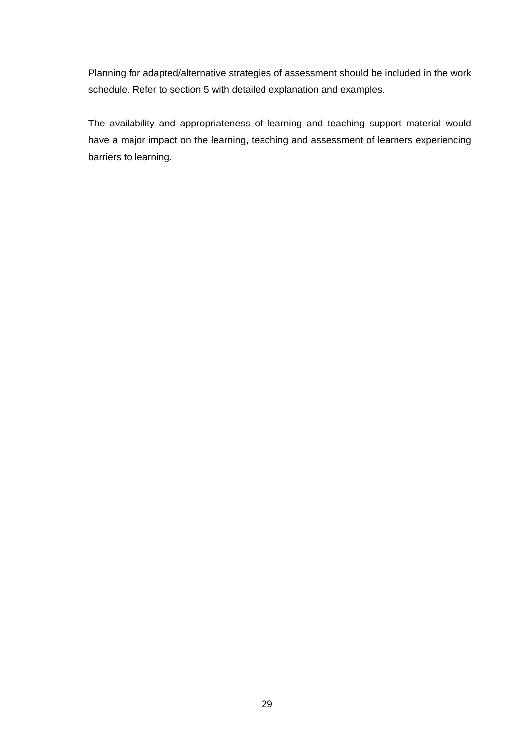Planning for adapted/alternative strategies of assessment should be included in the work schedule. Refer to section 5 with detailed explanation and examples.

The availability and appropriateness of learning and teaching support material would have a major impact on the learning, teaching and assessment of learners experiencing barriers to learning.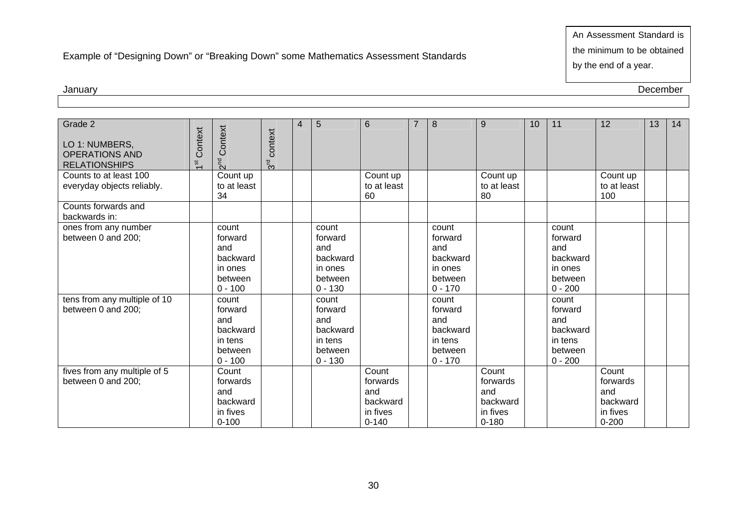#### Example of "Designing Down" or "Breaking Down" some Mathematics Assessment Standards

An Assessment Standard is the minimum to be obtained

by the end of a year.

| Grade 2<br>LO 1: NUMBERS,<br><b>OPERATIONS AND</b><br><b>RELATIONSHIPS</b> | Context<br>$\frac{5}{10}$ | Context<br>2 <sup>nd</sup>                                             | context<br>3 <sup>d</sup> | 4 | $5\phantom{.0}$                                                        | 6                                                             | 7 | 8                                                                      | 9                                                             | 10 | 11                                                                     | 12                                                            | 13 | 14 |
|----------------------------------------------------------------------------|---------------------------|------------------------------------------------------------------------|---------------------------|---|------------------------------------------------------------------------|---------------------------------------------------------------|---|------------------------------------------------------------------------|---------------------------------------------------------------|----|------------------------------------------------------------------------|---------------------------------------------------------------|----|----|
| Counts to at least 100<br>everyday objects reliably.                       |                           | Count up<br>to at least<br>34                                          |                           |   |                                                                        | Count up<br>to at least<br>60                                 |   |                                                                        | Count up<br>to at least<br>80                                 |    |                                                                        | Count up<br>to at least<br>100                                |    |    |
| Counts forwards and<br>backwards in:                                       |                           |                                                                        |                           |   |                                                                        |                                                               |   |                                                                        |                                                               |    |                                                                        |                                                               |    |    |
| ones from any number<br>between 0 and 200;                                 |                           | count<br>forward<br>and<br>backward<br>in ones<br>between<br>$0 - 100$ |                           |   | count<br>forward<br>and<br>backward<br>in ones<br>between<br>$0 - 130$ |                                                               |   | count<br>forward<br>and<br>backward<br>in ones<br>between<br>$0 - 170$ |                                                               |    | count<br>forward<br>and<br>backward<br>in ones<br>between<br>$0 - 200$ |                                                               |    |    |
| tens from any multiple of 10<br>between 0 and 200;                         |                           | count<br>forward<br>and<br>backward<br>in tens<br>between<br>$0 - 100$ |                           |   | count<br>forward<br>and<br>backward<br>in tens<br>between<br>$0 - 130$ |                                                               |   | count<br>forward<br>and<br>backward<br>in tens<br>between<br>$0 - 170$ |                                                               |    | count<br>forward<br>and<br>backward<br>in tens<br>between<br>$0 - 200$ |                                                               |    |    |
| fives from any multiple of 5<br>between 0 and 200;                         |                           | Count<br>forwards<br>and<br>backward<br>in fives<br>$0 - 100$          |                           |   |                                                                        | Count<br>forwards<br>and<br>backward<br>in fives<br>$0 - 140$ |   |                                                                        | Count<br>forwards<br>and<br>backward<br>in fives<br>$0 - 180$ |    |                                                                        | Count<br>forwards<br>and<br>backward<br>in fives<br>$0 - 200$ |    |    |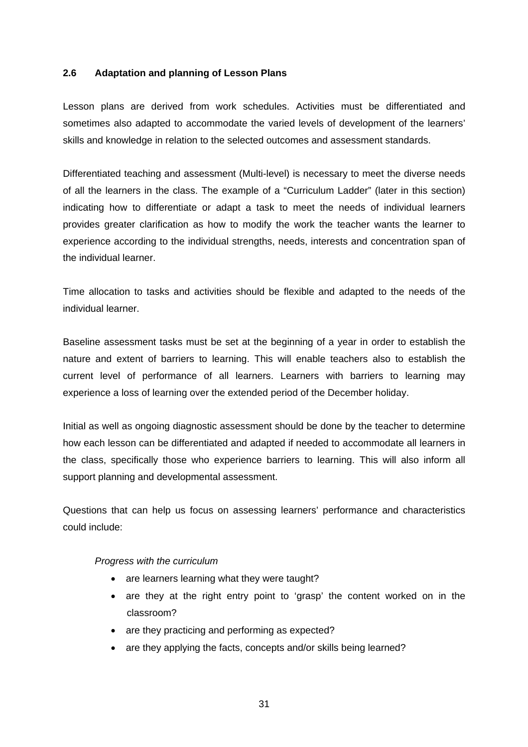#### **2.6 Adaptation and planning of Lesson Plans**

Lesson plans are derived from work schedules. Activities must be differentiated and sometimes also adapted to accommodate the varied levels of development of the learners' skills and knowledge in relation to the selected outcomes and assessment standards.

Differentiated teaching and assessment (Multi-level) is necessary to meet the diverse needs of all the learners in the class. The example of a "Curriculum Ladder" (later in this section) indicating how to differentiate or adapt a task to meet the needs of individual learners provides greater clarification as how to modify the work the teacher wants the learner to experience according to the individual strengths, needs, interests and concentration span of the individual learner.

Time allocation to tasks and activities should be flexible and adapted to the needs of the individual learner.

Baseline assessment tasks must be set at the beginning of a year in order to establish the nature and extent of barriers to learning. This will enable teachers also to establish the current level of performance of all learners. Learners with barriers to learning may experience a loss of learning over the extended period of the December holiday.

Initial as well as ongoing diagnostic assessment should be done by the teacher to determine how each lesson can be differentiated and adapted if needed to accommodate all learners in the class, specifically those who experience barriers to learning. This will also inform all support planning and developmental assessment.

Questions that can help us focus on assessing learners' performance and characteristics could include:

#### *Progress with the curriculum*

- are learners learning what they were taught?
- are they at the right entry point to 'grasp' the content worked on in the classroom?
- are they practicing and performing as expected?
- are they applying the facts, concepts and/or skills being learned?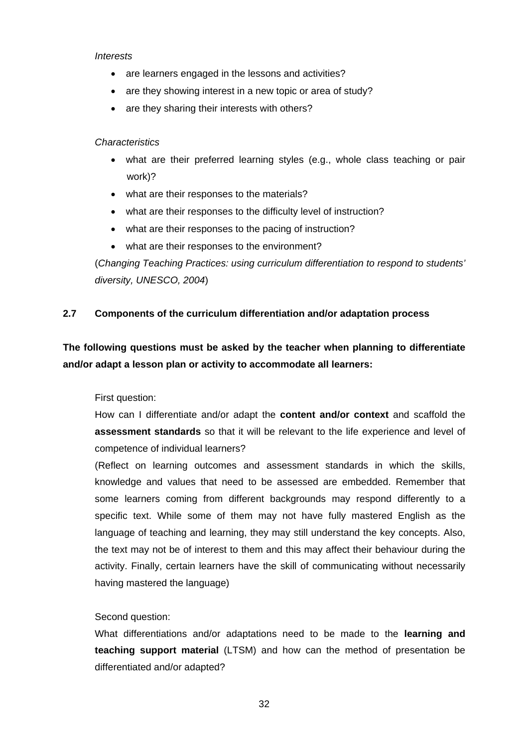#### *Interests*

- are learners engaged in the lessons and activities?
- are they showing interest in a new topic or area of study?
- are they sharing their interests with others?

#### *Characteristics*

- what are their preferred learning styles (e.g., whole class teaching or pair work)?
- what are their responses to the materials?
- what are their responses to the difficulty level of instruction?
- what are their responses to the pacing of instruction?
- what are their responses to the environment?

(*Changing Teaching Practices: using curriculum differentiation to respond to students' diversity, UNESCO, 2004*)

#### **2.7 Components of the curriculum differentiation and/or adaptation process**

## **The following questions must be asked by the teacher when planning to differentiate and/or adapt a lesson plan or activity to accommodate all learners:**

First question:

How can I differentiate and/or adapt the **content and/or context** and scaffold the **assessment standards** so that it will be relevant to the life experience and level of competence of individual learners?

(Reflect on learning outcomes and assessment standards in which the skills, knowledge and values that need to be assessed are embedded. Remember that some learners coming from different backgrounds may respond differently to a specific text. While some of them may not have fully mastered English as the language of teaching and learning, they may still understand the key concepts. Also, the text may not be of interest to them and this may affect their behaviour during the activity. Finally, certain learners have the skill of communicating without necessarily having mastered the language)

#### Second question:

What differentiations and/or adaptations need to be made to the **learning and teaching support material** (LTSM) and how can the method of presentation be differentiated and/or adapted?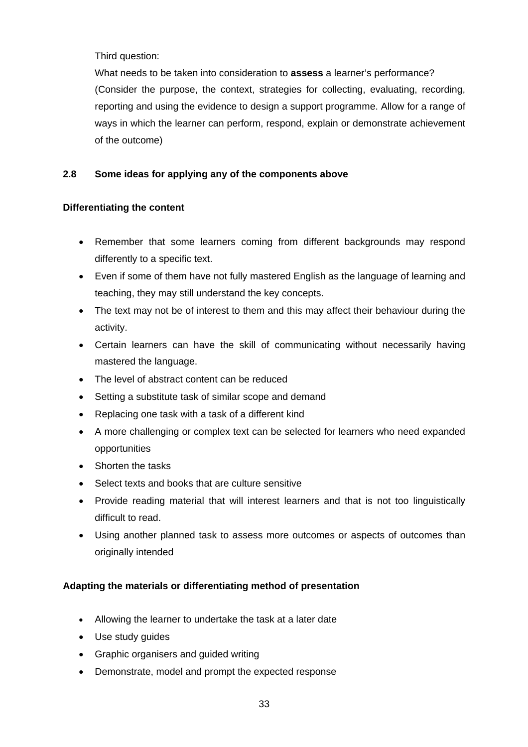Third question:

What needs to be taken into consideration to **assess** a learner's performance? (Consider the purpose, the context, strategies for collecting, evaluating, recording, reporting and using the evidence to design a support programme. Allow for a range of ways in which the learner can perform, respond, explain or demonstrate achievement of the outcome)

#### **2.8 Some ideas for applying any of the components above**

#### **Differentiating the content**

- Remember that some learners coming from different backgrounds may respond differently to a specific text.
- Even if some of them have not fully mastered English as the language of learning and teaching, they may still understand the key concepts.
- The text may not be of interest to them and this may affect their behaviour during the activity.
- Certain learners can have the skill of communicating without necessarily having mastered the language.
- The level of abstract content can be reduced
- Setting a substitute task of similar scope and demand
- Replacing one task with a task of a different kind
- A more challenging or complex text can be selected for learners who need expanded opportunities
- Shorten the tasks
- Select texts and books that are culture sensitive
- Provide reading material that will interest learners and that is not too linguistically difficult to read.
- Using another planned task to assess more outcomes or aspects of outcomes than originally intended

#### **Adapting the materials or differentiating method of presentation**

- Allowing the learner to undertake the task at a later date
- Use study guides
- Graphic organisers and guided writing
- Demonstrate, model and prompt the expected response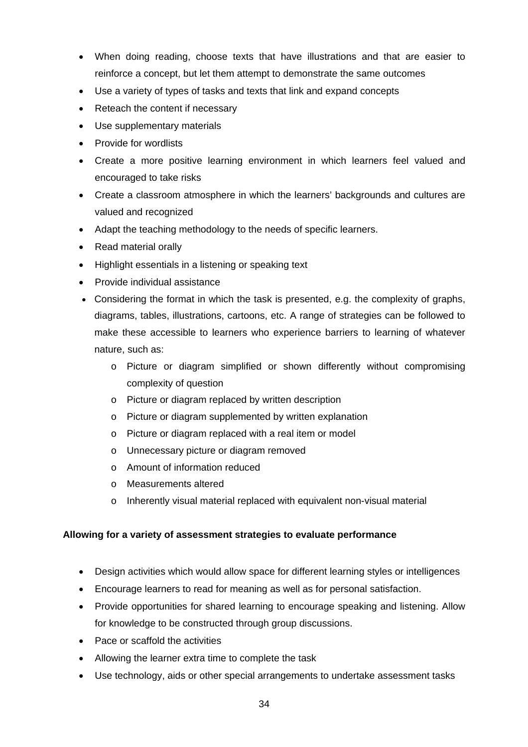- When doing reading, choose texts that have illustrations and that are easier to reinforce a concept, but let them attempt to demonstrate the same outcomes
- Use a variety of types of tasks and texts that link and expand concepts
- Reteach the content if necessary
- Use supplementary materials
- Provide for wordlists
- Create a more positive learning environment in which learners feel valued and encouraged to take risks
- Create a classroom atmosphere in which the learners' backgrounds and cultures are valued and recognized
- Adapt the teaching methodology to the needs of specific learners.
- Read material orally
- Highlight essentials in a listening or speaking text
- Provide individual assistance
- Considering the format in which the task is presented, e.g. the complexity of graphs, diagrams, tables, illustrations, cartoons, etc. A range of strategies can be followed to make these accessible to learners who experience barriers to learning of whatever nature, such as:
	- o Picture or diagram simplified or shown differently without compromising complexity of question
	- o Picture or diagram replaced by written description
	- o Picture or diagram supplemented by written explanation
	- o Picture or diagram replaced with a real item or model
	- o Unnecessary picture or diagram removed
	- o Amount of information reduced
	- o Measurements altered
	- o Inherently visual material replaced with equivalent non-visual material

#### **Allowing for a variety of assessment strategies to evaluate performance**

- Design activities which would allow space for different learning styles or intelligences
- Encourage learners to read for meaning as well as for personal satisfaction.
- Provide opportunities for shared learning to encourage speaking and listening. Allow for knowledge to be constructed through group discussions.
- Pace or scaffold the activities
- Allowing the learner extra time to complete the task
- Use technology, aids or other special arrangements to undertake assessment tasks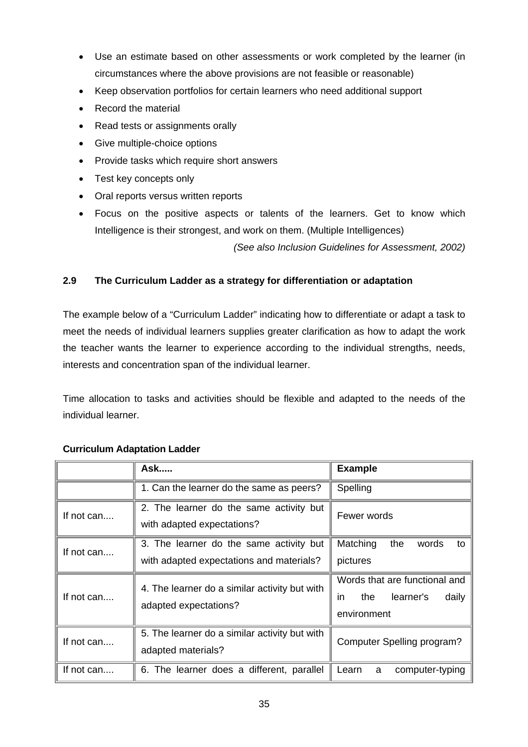- Use an estimate based on other assessments or work completed by the learner (in circumstances where the above provisions are not feasible or reasonable)
- Keep observation portfolios for certain learners who need additional support
- Record the material
- Read tests or assignments orally
- Give multiple-choice options
- Provide tasks which require short answers
- Test key concepts only
- Oral reports versus written reports
- Focus on the positive aspects or talents of the learners. Get to know which Intelligence is their strongest, and work on them. (Multiple Intelligences)

*(See also Inclusion Guidelines for Assessment, 2002)* 

#### **2.9 The Curriculum Ladder as a strategy for differentiation or adaptation**

The example below of a "Curriculum Ladder" indicating how to differentiate or adapt a task to meet the needs of individual learners supplies greater clarification as how to adapt the work the teacher wants the learner to experience according to the individual strengths, needs, interests and concentration span of the individual learner.

Time allocation to tasks and activities should be flexible and adapted to the needs of the individual learner.

|            | <b>Ask</b>                                                                          | <b>Example</b>                                                                         |  |  |  |  |
|------------|-------------------------------------------------------------------------------------|----------------------------------------------------------------------------------------|--|--|--|--|
|            | 1. Can the learner do the same as peers?                                            | Spelling                                                                               |  |  |  |  |
| If not can | 2. The learner do the same activity but<br>with adapted expectations?               | Fewer words                                                                            |  |  |  |  |
| If not can | 3. The learner do the same activity but<br>with adapted expectations and materials? | Matching<br>the<br>words<br>to<br>pictures                                             |  |  |  |  |
| If not can | 4. The learner do a similar activity but with<br>adapted expectations?              | Words that are functional and<br>the<br>learner's<br>daily<br><i>in</i><br>environment |  |  |  |  |
| If not can | 5. The learner do a similar activity but with<br>adapted materials?                 | Computer Spelling program?                                                             |  |  |  |  |
| If not can | 6. The learner does a different, parallel                                           | Learn<br>computer-typing<br>a                                                          |  |  |  |  |

#### **Curriculum Adaptation Ladder**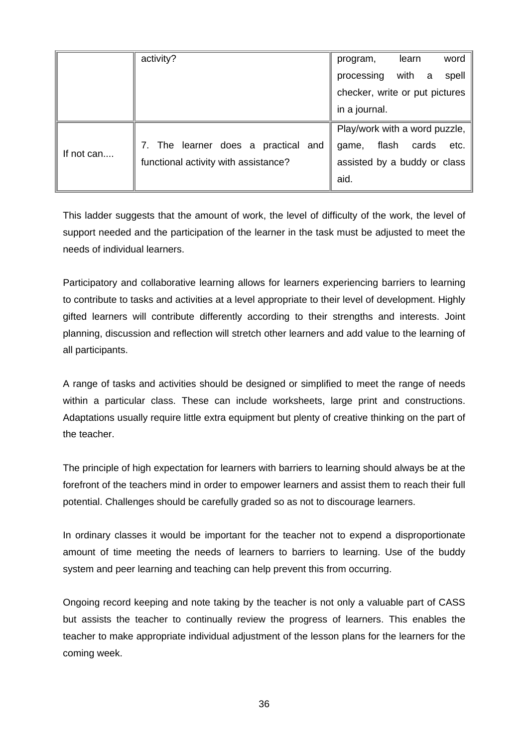|            | activity?                            | word  <br>learn<br>program,              |
|------------|--------------------------------------|------------------------------------------|
|            |                                      | with<br>spell $\vert$<br>processing<br>a |
|            |                                      | checker, write or put pictures           |
|            |                                      | in a journal.                            |
|            |                                      | Play/work with a word puzzle,            |
|            | 7. The learner does a practical and  | flash<br>cards<br>etc.<br>game,          |
| If not can | functional activity with assistance? | assisted by a buddy or class             |
|            |                                      | aid.                                     |

This ladder suggests that the amount of work, the level of difficulty of the work, the level of support needed and the participation of the learner in the task must be adjusted to meet the needs of individual learners.

Participatory and collaborative learning allows for learners experiencing barriers to learning to contribute to tasks and activities at a level appropriate to their level of development. Highly gifted learners will contribute differently according to their strengths and interests. Joint planning, discussion and reflection will stretch other learners and add value to the learning of all participants.

A range of tasks and activities should be designed or simplified to meet the range of needs within a particular class. These can include worksheets, large print and constructions. Adaptations usually require little extra equipment but plenty of creative thinking on the part of the teacher.

The principle of high expectation for learners with barriers to learning should always be at the forefront of the teachers mind in order to empower learners and assist them to reach their full potential. Challenges should be carefully graded so as not to discourage learners.

In ordinary classes it would be important for the teacher not to expend a disproportionate amount of time meeting the needs of learners to barriers to learning. Use of the buddy system and peer learning and teaching can help prevent this from occurring.

Ongoing record keeping and note taking by the teacher is not only a valuable part of CASS but assists the teacher to continually review the progress of learners. This enables the teacher to make appropriate individual adjustment of the lesson plans for the learners for the coming week.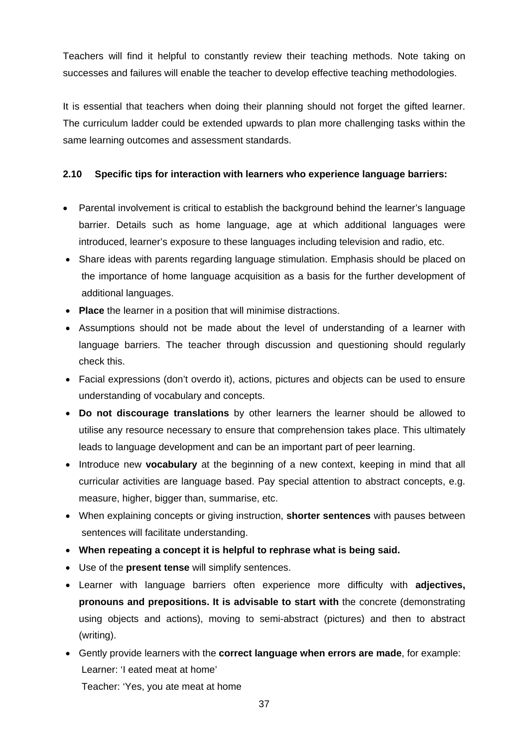Teachers will find it helpful to constantly review their teaching methods. Note taking on successes and failures will enable the teacher to develop effective teaching methodologies.

It is essential that teachers when doing their planning should not forget the gifted learner. The curriculum ladder could be extended upwards to plan more challenging tasks within the same learning outcomes and assessment standards.

# **2.10 Specific tips for interaction with learners who experience language barriers:**

- Parental involvement is critical to establish the background behind the learner's language barrier. Details such as home language, age at which additional languages were introduced, learner's exposure to these languages including television and radio, etc.
- Share ideas with parents regarding language stimulation. Emphasis should be placed on the importance of home language acquisition as a basis for the further development of additional languages.
- **Place** the learner in a position that will minimise distractions.
- Assumptions should not be made about the level of understanding of a learner with language barriers. The teacher through discussion and questioning should regularly check this.
- Facial expressions (don't overdo it), actions, pictures and objects can be used to ensure understanding of vocabulary and concepts.
- **Do not discourage translations** by other learners the learner should be allowed to utilise any resource necessary to ensure that comprehension takes place. This ultimately leads to language development and can be an important part of peer learning.
- Introduce new **vocabulary** at the beginning of a new context, keeping in mind that all curricular activities are language based. Pay special attention to abstract concepts, e.g. measure, higher, bigger than, summarise, etc.
- When explaining concepts or giving instruction, **shorter sentences** with pauses between sentences will facilitate understanding.
- **When repeating a concept it is helpful to rephrase what is being said.**
- Use of the **present tense** will simplify sentences.
- Learner with language barriers often experience more difficulty with **adjectives, pronouns and prepositions. It is advisable to start with** the concrete (demonstrating using objects and actions), moving to semi-abstract (pictures) and then to abstract (writing).
- Gently provide learners with the **correct language when errors are made**, for example: Learner: 'I eated meat at home' Teacher: 'Yes, you ate meat at home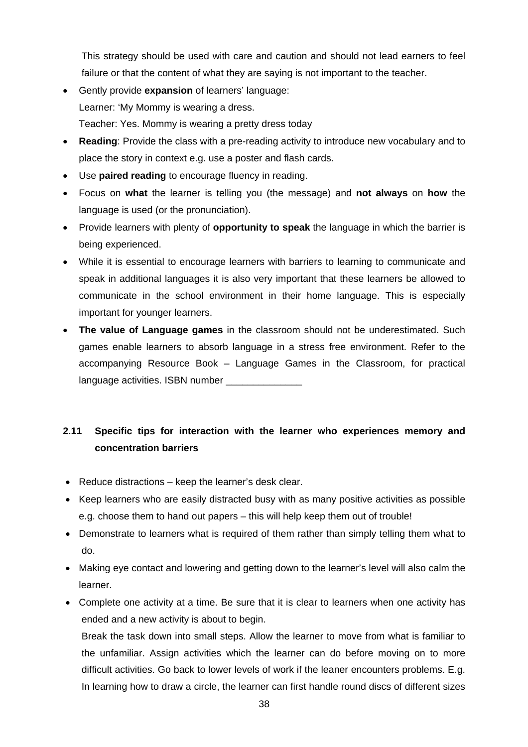This strategy should be used with care and caution and should not lead earners to feel failure or that the content of what they are saying is not important to the teacher.

- Gently provide **expansion** of learners' language: Learner: 'My Mommy is wearing a dress. Teacher: Yes. Mommy is wearing a pretty dress today
- **Reading**: Provide the class with a pre-reading activity to introduce new vocabulary and to place the story in context e.g. use a poster and flash cards.
- Use **paired reading** to encourage fluency in reading.
- Focus on **what** the learner is telling you (the message) and **not always** on **how** the language is used (or the pronunciation).
- Provide learners with plenty of **opportunity to speak** the language in which the barrier is being experienced.
- While it is essential to encourage learners with barriers to learning to communicate and speak in additional languages it is also very important that these learners be allowed to communicate in the school environment in their home language. This is especially important for younger learners.
- **The value of Language games** in the classroom should not be underestimated. Such games enable learners to absorb language in a stress free environment. Refer to the accompanying Resource Book – Language Games in the Classroom, for practical language activities. ISBN number

# **2.11 Specific tips for interaction with the learner who experiences memory and concentration barriers**

- Reduce distractions keep the learner's desk clear.
- Keep learners who are easily distracted busy with as many positive activities as possible e.g. choose them to hand out papers – this will help keep them out of trouble!
- Demonstrate to learners what is required of them rather than simply telling them what to do.
- Making eye contact and lowering and getting down to the learner's level will also calm the learner.
- Complete one activity at a time. Be sure that it is clear to learners when one activity has ended and a new activity is about to begin.

Break the task down into small steps. Allow the learner to move from what is familiar to the unfamiliar. Assign activities which the learner can do before moving on to more difficult activities. Go back to lower levels of work if the leaner encounters problems. E.g. In learning how to draw a circle, the learner can first handle round discs of different sizes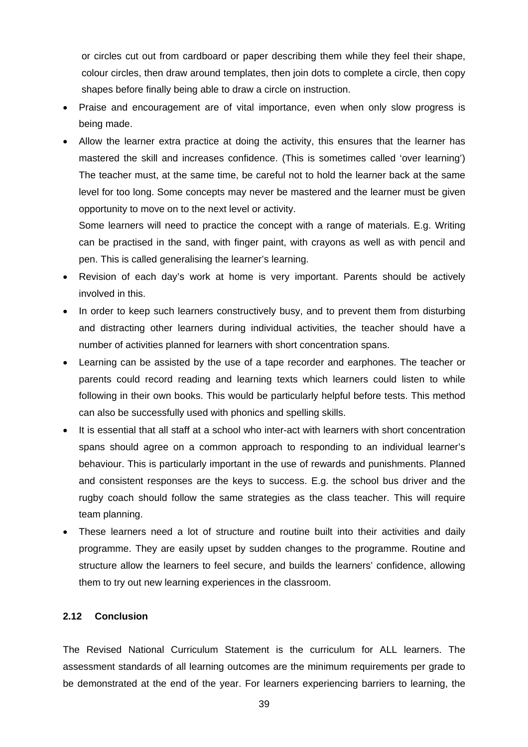or circles cut out from cardboard or paper describing them while they feel their shape, colour circles, then draw around templates, then join dots to complete a circle, then copy shapes before finally being able to draw a circle on instruction.

- Praise and encouragement are of vital importance, even when only slow progress is being made.
- Allow the learner extra practice at doing the activity, this ensures that the learner has mastered the skill and increases confidence. (This is sometimes called 'over learning') The teacher must, at the same time, be careful not to hold the learner back at the same level for too long. Some concepts may never be mastered and the learner must be given opportunity to move on to the next level or activity.

Some learners will need to practice the concept with a range of materials. E.g. Writing can be practised in the sand, with finger paint, with crayons as well as with pencil and pen. This is called generalising the learner's learning.

- Revision of each day's work at home is very important. Parents should be actively involved in this.
- In order to keep such learners constructively busy, and to prevent them from disturbing and distracting other learners during individual activities, the teacher should have a number of activities planned for learners with short concentration spans.
- Learning can be assisted by the use of a tape recorder and earphones. The teacher or parents could record reading and learning texts which learners could listen to while following in their own books. This would be particularly helpful before tests. This method can also be successfully used with phonics and spelling skills.
- It is essential that all staff at a school who inter-act with learners with short concentration spans should agree on a common approach to responding to an individual learner's behaviour. This is particularly important in the use of rewards and punishments. Planned and consistent responses are the keys to success. E.g. the school bus driver and the rugby coach should follow the same strategies as the class teacher. This will require team planning.
- These learners need a lot of structure and routine built into their activities and daily programme. They are easily upset by sudden changes to the programme. Routine and structure allow the learners to feel secure, and builds the learners' confidence, allowing them to try out new learning experiences in the classroom.

# **2.12 Conclusion**

The Revised National Curriculum Statement is the curriculum for ALL learners. The assessment standards of all learning outcomes are the minimum requirements per grade to be demonstrated at the end of the year. For learners experiencing barriers to learning, the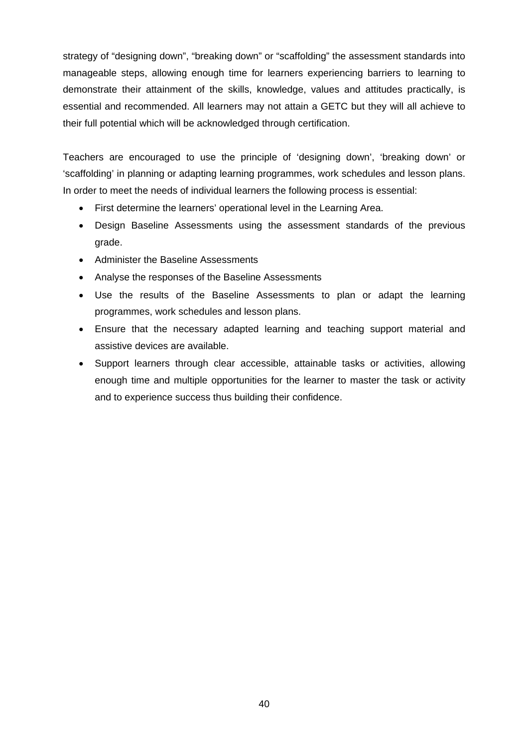strategy of "designing down", "breaking down" or "scaffolding" the assessment standards into manageable steps, allowing enough time for learners experiencing barriers to learning to demonstrate their attainment of the skills, knowledge, values and attitudes practically, is essential and recommended. All learners may not attain a GETC but they will all achieve to their full potential which will be acknowledged through certification.

Teachers are encouraged to use the principle of 'designing down', 'breaking down' or 'scaffolding' in planning or adapting learning programmes, work schedules and lesson plans. In order to meet the needs of individual learners the following process is essential:

- First determine the learners' operational level in the Learning Area.
- Design Baseline Assessments using the assessment standards of the previous grade.
- Administer the Baseline Assessments
- Analyse the responses of the Baseline Assessments
- Use the results of the Baseline Assessments to plan or adapt the learning programmes, work schedules and lesson plans.
- Ensure that the necessary adapted learning and teaching support material and assistive devices are available.
- Support learners through clear accessible, attainable tasks or activities, allowing enough time and multiple opportunities for the learner to master the task or activity and to experience success thus building their confidence.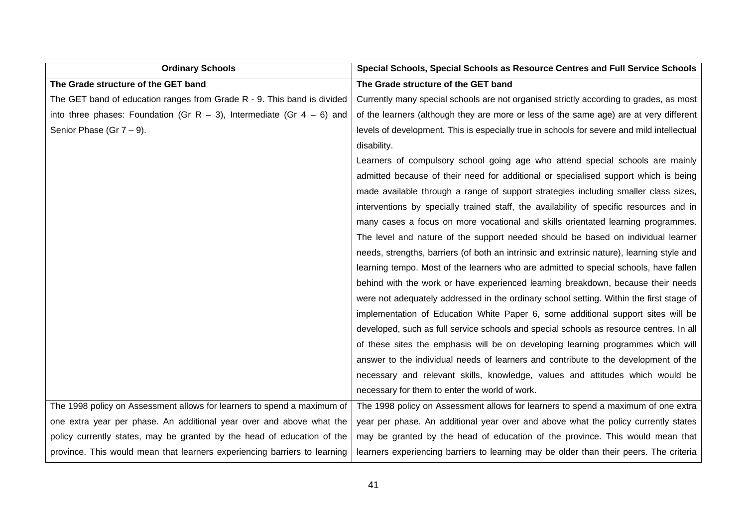| <b>Ordinary Schools</b>                                                   | Special Schools, Special Schools as Resource Centres and Full Service Schools              |
|---------------------------------------------------------------------------|--------------------------------------------------------------------------------------------|
| The Grade structure of the GET band                                       | The Grade structure of the GET band                                                        |
| The GET band of education ranges from Grade R - 9. This band is divided   | Currently many special schools are not organised strictly according to grades, as most     |
| into three phases: Foundation (Gr R - 3), Intermediate (Gr 4 - 6) and     | of the learners (although they are more or less of the same age) are at very different     |
| Senior Phase (Gr $7 - 9$ ).                                               | levels of development. This is especially true in schools for severe and mild intellectual |
|                                                                           | disability.                                                                                |
|                                                                           | Learners of compulsory school going age who attend special schools are mainly              |
|                                                                           | admitted because of their need for additional or specialised support which is being        |
|                                                                           | made available through a range of support strategies including smaller class sizes,        |
|                                                                           | interventions by specially trained staff, the availability of specific resources and in    |
|                                                                           | many cases a focus on more vocational and skills orientated learning programmes.           |
|                                                                           | The level and nature of the support needed should be based on individual learner           |
|                                                                           | needs, strengths, barriers (of both an intrinsic and extrinsic nature), learning style and |
|                                                                           | learning tempo. Most of the learners who are admitted to special schools, have fallen      |
|                                                                           | behind with the work or have experienced learning breakdown, because their needs           |
|                                                                           | were not adequately addressed in the ordinary school setting. Within the first stage of    |
|                                                                           | implementation of Education White Paper 6, some additional support sites will be           |
|                                                                           | developed, such as full service schools and special schools as resource centres. In all    |
|                                                                           | of these sites the emphasis will be on developing learning programmes which will           |
|                                                                           | answer to the individual needs of learners and contribute to the development of the        |
|                                                                           | necessary and relevant skills, knowledge, values and attitudes which would be              |
|                                                                           | necessary for them to enter the world of work.                                             |
| The 1998 policy on Assessment allows for learners to spend a maximum of   | The 1998 policy on Assessment allows for learners to spend a maximum of one extra          |
| one extra year per phase. An additional year over and above what the      | year per phase. An additional year over and above what the policy currently states         |
| policy currently states, may be granted by the head of education of the   | may be granted by the head of education of the province. This would mean that              |
| province. This would mean that learners experiencing barriers to learning | learners experiencing barriers to learning may be older than their peers. The criteria     |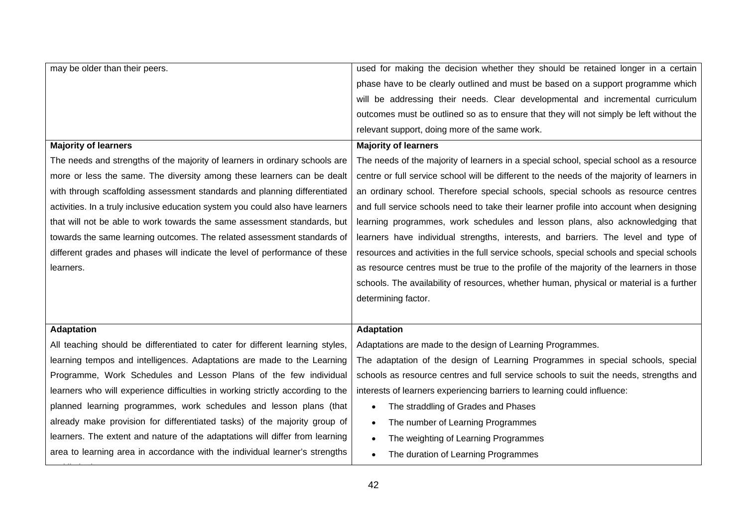| may be older than their peers.                                                 | used for making the decision whether they should be retained longer in a certain            |
|--------------------------------------------------------------------------------|---------------------------------------------------------------------------------------------|
|                                                                                | phase have to be clearly outlined and must be based on a support programme which            |
|                                                                                | will be addressing their needs. Clear developmental and incremental curriculum              |
|                                                                                | outcomes must be outlined so as to ensure that they will not simply be left without the     |
|                                                                                | relevant support, doing more of the same work.                                              |
| <b>Majority of learners</b>                                                    | <b>Majority of learners</b>                                                                 |
| The needs and strengths of the majority of learners in ordinary schools are    | The needs of the majority of learners in a special school, special school as a resource     |
| more or less the same. The diversity among these learners can be dealt         | centre or full service school will be different to the needs of the majority of learners in |
| with through scaffolding assessment standards and planning differentiated      | an ordinary school. Therefore special schools, special schools as resource centres          |
| activities. In a truly inclusive education system you could also have learners | and full service schools need to take their learner profile into account when designing     |
| that will not be able to work towards the same assessment standards, but       | learning programmes, work schedules and lesson plans, also acknowledging that               |
| towards the same learning outcomes. The related assessment standards of        | learners have individual strengths, interests, and barriers. The level and type of          |
| different grades and phases will indicate the level of performance of these    | resources and activities in the full service schools, special schools and special schools   |
| learners.                                                                      | as resource centres must be true to the profile of the majority of the learners in those    |
|                                                                                | schools. The availability of resources, whether human, physical or material is a further    |
|                                                                                | determining factor.                                                                         |
|                                                                                |                                                                                             |
| <b>Adaptation</b>                                                              | <b>Adaptation</b>                                                                           |
| All teaching should be differentiated to cater for different learning styles,  | Adaptations are made to the design of Learning Programmes.                                  |
| learning tempos and intelligences. Adaptations are made to the Learning        | The adaptation of the design of Learning Programmes in special schools, special             |
| Programme, Work Schedules and Lesson Plans of the few individual               | schools as resource centres and full service schools to suit the needs, strengths and       |
| learners who will experience difficulties in working strictly according to the | interests of learners experiencing barriers to learning could influence:                    |
| planned learning programmes, work schedules and lesson plans (that             | The straddling of Grades and Phases<br>$\bullet$                                            |
| already make provision for differentiated tasks) of the majority group of      | The number of Learning Programmes<br>$\bullet$                                              |
| learners. The extent and nature of the adaptations will differ from learning   | The weighting of Learning Programmes<br>$\bullet$                                           |
| area to learning area in accordance with the individual learner's strengths    | The duration of Learning Programmes                                                         |

d literatur.<br>Die bestehende von der gewone der gewone der gewone der gewone der gewone der gewone der gewone der gewone der<br>Die bestehende von der gewone der gewone der gewone der gewone der gewone der gewone der gewone de i i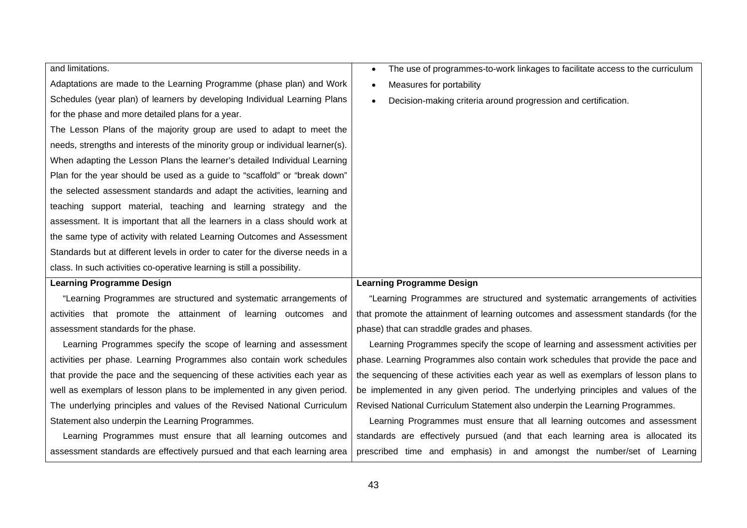| and limitations.                                                               | The use of programmes-to-work linkages to facilitate access to the curriculum        |
|--------------------------------------------------------------------------------|--------------------------------------------------------------------------------------|
| Adaptations are made to the Learning Programme (phase plan) and Work           | Measures for portability                                                             |
| Schedules (year plan) of learners by developing Individual Learning Plans      | Decision-making criteria around progression and certification.                       |
| for the phase and more detailed plans for a year.                              |                                                                                      |
| The Lesson Plans of the majority group are used to adapt to meet the           |                                                                                      |
| needs, strengths and interests of the minority group or individual learner(s). |                                                                                      |
| When adapting the Lesson Plans the learner's detailed Individual Learning      |                                                                                      |
| Plan for the year should be used as a guide to "scaffold" or "break down"      |                                                                                      |
| the selected assessment standards and adapt the activities, learning and       |                                                                                      |
| teaching support material, teaching and learning strategy and the              |                                                                                      |
| assessment. It is important that all the learners in a class should work at    |                                                                                      |
| the same type of activity with related Learning Outcomes and Assessment        |                                                                                      |
| Standards but at different levels in order to cater for the diverse needs in a |                                                                                      |
|                                                                                |                                                                                      |
| class. In such activities co-operative learning is still a possibility.        |                                                                                      |
| <b>Learning Programme Design</b>                                               | <b>Learning Programme Design</b>                                                     |
| "Learning Programmes are structured and systematic arrangements of             | "Learning Programmes are structured and systematic arrangements of activities        |
| activities that promote the attainment of learning outcomes and                | that promote the attainment of learning outcomes and assessment standards (for the   |
| assessment standards for the phase.                                            | phase) that can straddle grades and phases.                                          |
| Learning Programmes specify the scope of learning and assessment               | Learning Programmes specify the scope of learning and assessment activities per      |
| activities per phase. Learning Programmes also contain work schedules          | phase. Learning Programmes also contain work schedules that provide the pace and     |
| that provide the pace and the sequencing of these activities each year as      | the sequencing of these activities each year as well as exemplars of lesson plans to |
| well as exemplars of lesson plans to be implemented in any given period.       | be implemented in any given period. The underlying principles and values of the      |
| The underlying principles and values of the Revised National Curriculum        | Revised National Curriculum Statement also underpin the Learning Programmes.         |
| Statement also underpin the Learning Programmes.                               | Learning Programmes must ensure that all learning outcomes and assessment            |
| Learning Programmes must ensure that all learning outcomes and                 | standards are effectively pursued (and that each learning area is allocated its      |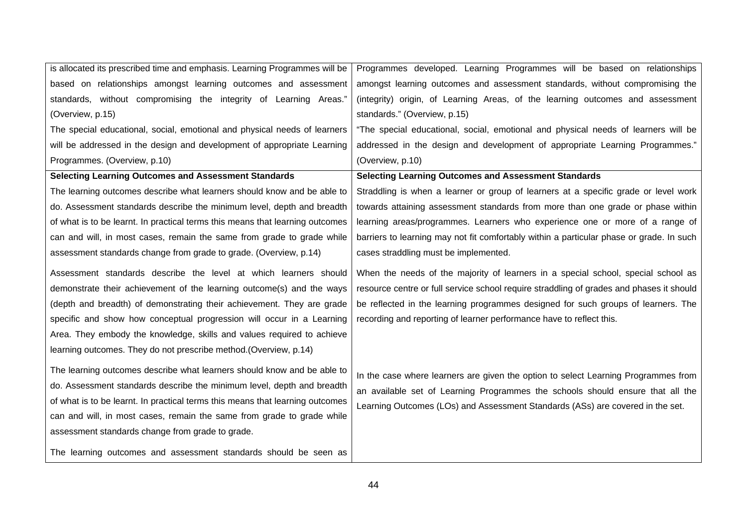| is allocated its prescribed time and emphasis. Learning Programmes will be    | Programmes developed. Learning Programmes will be based on relationships                 |  |
|-------------------------------------------------------------------------------|------------------------------------------------------------------------------------------|--|
| based on relationships amongst learning outcomes and assessment               | amongst learning outcomes and assessment standards, without compromising the             |  |
| standards, without compromising the integrity of Learning Areas."             | (integrity) origin, of Learning Areas, of the learning outcomes and assessment           |  |
| (Overview, p.15)                                                              | standards." (Overview, p.15)                                                             |  |
| The special educational, social, emotional and physical needs of learners     | "The special educational, social, emotional and physical needs of learners will be       |  |
| will be addressed in the design and development of appropriate Learning       | addressed in the design and development of appropriate Learning Programmes."             |  |
| Programmes. (Overview, p.10)                                                  | (Overview, p.10)                                                                         |  |
| <b>Selecting Learning Outcomes and Assessment Standards</b>                   | <b>Selecting Learning Outcomes and Assessment Standards</b>                              |  |
| The learning outcomes describe what learners should know and be able to       | Straddling is when a learner or group of learners at a specific grade or level work      |  |
| do. Assessment standards describe the minimum level, depth and breadth        | towards attaining assessment standards from more than one grade or phase within          |  |
| of what is to be learnt. In practical terms this means that learning outcomes | learning areas/programmes. Learners who experience one or more of a range of             |  |
| can and will, in most cases, remain the same from grade to grade while        | barriers to learning may not fit comfortably within a particular phase or grade. In such |  |
| assessment standards change from grade to grade. (Overview, p.14)             | cases straddling must be implemented.                                                    |  |
| Assessment standards describe the level at which learners should              | When the needs of the majority of learners in a special school, special school as        |  |
| demonstrate their achievement of the learning outcome(s) and the ways         | resource centre or full service school require straddling of grades and phases it should |  |
| (depth and breadth) of demonstrating their achievement. They are grade        | be reflected in the learning programmes designed for such groups of learners. The        |  |
| specific and show how conceptual progression will occur in a Learning         | recording and reporting of learner performance have to reflect this.                     |  |
| Area. They embody the knowledge, skills and values required to achieve        |                                                                                          |  |
| learning outcomes. They do not prescribe method. (Overview, p.14)             |                                                                                          |  |
|                                                                               |                                                                                          |  |
| The learning outcomes describe what learners should know and be able to       | In the case where learners are given the option to select Learning Programmes from       |  |
| do. Assessment standards describe the minimum level, depth and breadth        | an available set of Learning Programmes the schools should ensure that all the           |  |
| of what is to be learnt. In practical terms this means that learning outcomes | Learning Outcomes (LOs) and Assessment Standards (ASs) are covered in the set.           |  |
| can and will, in most cases, remain the same from grade to grade while        |                                                                                          |  |
| assessment standards change from grade to grade.                              |                                                                                          |  |
| The learning outcomes and assessment standards should be seen as              |                                                                                          |  |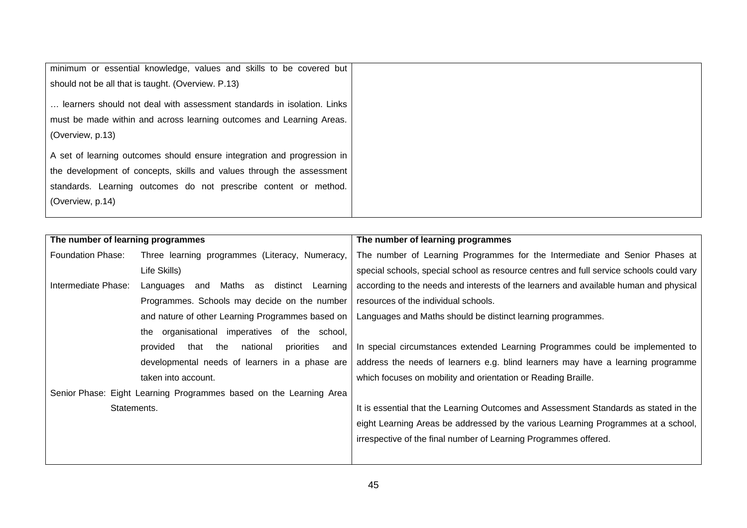| minimum or essential knowledge, values and skills to be covered but     |
|-------------------------------------------------------------------------|
| should not be all that is taught. (Overview. P.13)                      |
| learners should not deal with assessment standards in isolation. Links  |
| must be made within and across learning outcomes and Learning Areas.    |
| (Overview, p.13)                                                        |
| A set of learning outcomes should ensure integration and progression in |
| the development of concepts, skills and values through the assessment   |
| standards. Learning outcomes do not prescribe content or method.        |
| (Overview, p.14)                                                        |
|                                                                         |

| The number of learning programmes                                  |                                                          | The number of learning programmes                                                       |
|--------------------------------------------------------------------|----------------------------------------------------------|-----------------------------------------------------------------------------------------|
| Foundation Phase:                                                  | Three learning programmes (Literacy, Numeracy,           | The number of Learning Programmes for the Intermediate and Senior Phases at             |
|                                                                    | Life Skills)                                             | special schools, special school as resource centres and full service schools could vary |
| Intermediate Phase:                                                | distinct<br>Maths<br>Learning<br>Languages<br>and<br>as  | according to the needs and interests of the learners and available human and physical   |
|                                                                    | Programmes. Schools may decide on the number             | resources of the individual schools.                                                    |
|                                                                    | and nature of other Learning Programmes based on         | Languages and Maths should be distinct learning programmes.                             |
|                                                                    | the organisational imperatives of the school,            |                                                                                         |
|                                                                    | the<br>national<br>priorities<br>provided<br>that<br>and | In special circumstances extended Learning Programmes could be implemented to           |
|                                                                    | developmental needs of learners in a phase are           | address the needs of learners e.g. blind learners may have a learning programme         |
|                                                                    | taken into account.                                      | which focuses on mobility and orientation or Reading Braille.                           |
| Senior Phase: Eight Learning Programmes based on the Learning Area |                                                          |                                                                                         |
|                                                                    | Statements.                                              | It is essential that the Learning Outcomes and Assessment Standards as stated in the    |
|                                                                    |                                                          | eight Learning Areas be addressed by the various Learning Programmes at a school,       |
|                                                                    |                                                          | irrespective of the final number of Learning Programmes offered.                        |
|                                                                    |                                                          |                                                                                         |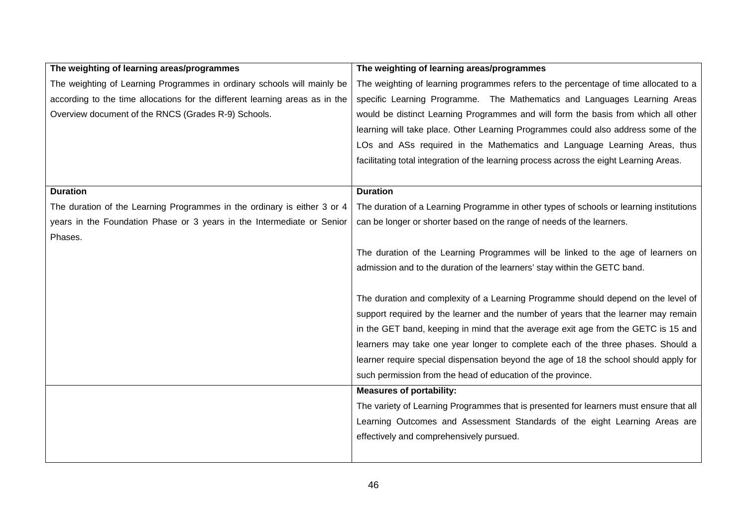| The weighting of learning areas/programmes                                   | The weighting of learning areas/programmes                                              |
|------------------------------------------------------------------------------|-----------------------------------------------------------------------------------------|
| The weighting of Learning Programmes in ordinary schools will mainly be      | The weighting of learning programmes refers to the percentage of time allocated to a    |
| according to the time allocations for the different learning areas as in the | specific Learning Programme. The Mathematics and Languages Learning Areas               |
| Overview document of the RNCS (Grades R-9) Schools.                          | would be distinct Learning Programmes and will form the basis from which all other      |
|                                                                              | learning will take place. Other Learning Programmes could also address some of the      |
|                                                                              | LOs and ASs required in the Mathematics and Language Learning Areas, thus               |
|                                                                              | facilitating total integration of the learning process across the eight Learning Areas. |
|                                                                              |                                                                                         |
| <b>Duration</b>                                                              | <b>Duration</b>                                                                         |
| The duration of the Learning Programmes in the ordinary is either 3 or 4     | The duration of a Learning Programme in other types of schools or learning institutions |
| years in the Foundation Phase or 3 years in the Intermediate or Senior       | can be longer or shorter based on the range of needs of the learners.                   |
| Phases.                                                                      |                                                                                         |
|                                                                              | The duration of the Learning Programmes will be linked to the age of learners on        |
|                                                                              | admission and to the duration of the learners' stay within the GETC band.               |
|                                                                              |                                                                                         |
|                                                                              | The duration and complexity of a Learning Programme should depend on the level of       |
|                                                                              | support required by the learner and the number of years that the learner may remain     |
|                                                                              | in the GET band, keeping in mind that the average exit age from the GETC is 15 and      |
|                                                                              | learners may take one year longer to complete each of the three phases. Should a        |
|                                                                              | learner require special dispensation beyond the age of 18 the school should apply for   |
|                                                                              | such permission from the head of education of the province.                             |
|                                                                              | <b>Measures of portability:</b>                                                         |
|                                                                              | The variety of Learning Programmes that is presented for learners must ensure that all  |
|                                                                              | Learning Outcomes and Assessment Standards of the eight Learning Areas are              |
|                                                                              | effectively and comprehensively pursued.                                                |
|                                                                              |                                                                                         |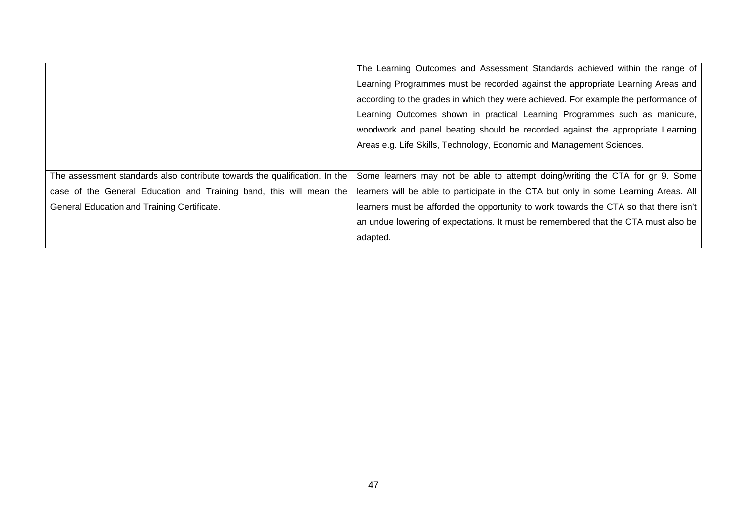|                                                                            | The Learning Outcomes and Assessment Standards achieved within the range of           |
|----------------------------------------------------------------------------|---------------------------------------------------------------------------------------|
|                                                                            | Learning Programmes must be recorded against the appropriate Learning Areas and       |
|                                                                            | according to the grades in which they were achieved. For example the performance of   |
|                                                                            | Learning Outcomes shown in practical Learning Programmes such as manicure,            |
|                                                                            | woodwork and panel beating should be recorded against the appropriate Learning        |
|                                                                            | Areas e.g. Life Skills, Technology, Economic and Management Sciences.                 |
|                                                                            |                                                                                       |
| The assessment standards also contribute towards the qualification. In the | Some learners may not be able to attempt doing/writing the CTA for gr 9. Some         |
| case of the General Education and Training band, this will mean the        | learners will be able to participate in the CTA but only in some Learning Areas. All  |
| General Education and Training Certificate.                                | learners must be afforded the opportunity to work towards the CTA so that there isn't |
|                                                                            | an undue lowering of expectations. It must be remembered that the CTA must also be    |
|                                                                            | adapted.                                                                              |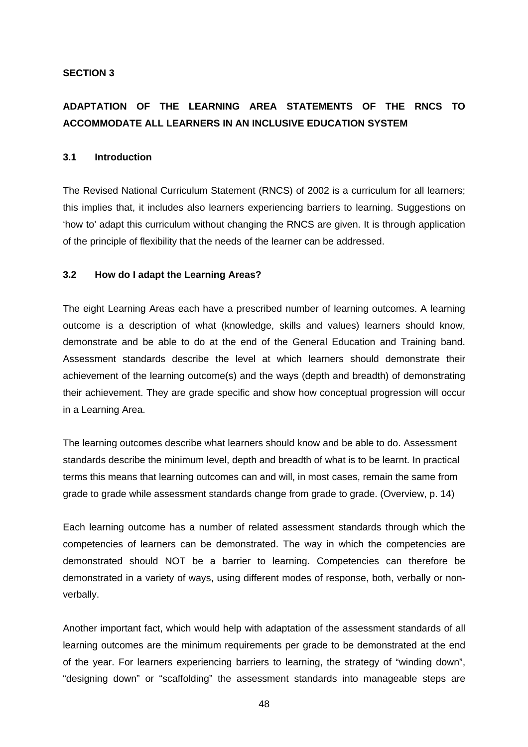### **SECTION 3**

# **ADAPTATION OF THE LEARNING AREA STATEMENTS OF THE RNCS TO ACCOMMODATE ALL LEARNERS IN AN INCLUSIVE EDUCATION SYSTEM**

#### **3.1 Introduction**

The Revised National Curriculum Statement (RNCS) of 2002 is a curriculum for all learners; this implies that, it includes also learners experiencing barriers to learning. Suggestions on 'how to' adapt this curriculum without changing the RNCS are given. It is through application of the principle of flexibility that the needs of the learner can be addressed.

#### **3.2 How do I adapt the Learning Areas?**

The eight Learning Areas each have a prescribed number of learning outcomes. A learning outcome is a description of what (knowledge, skills and values) learners should know, demonstrate and be able to do at the end of the General Education and Training band. Assessment standards describe the level at which learners should demonstrate their achievement of the learning outcome(s) and the ways (depth and breadth) of demonstrating their achievement. They are grade specific and show how conceptual progression will occur in a Learning Area.

The learning outcomes describe what learners should know and be able to do. Assessment standards describe the minimum level, depth and breadth of what is to be learnt. In practical terms this means that learning outcomes can and will, in most cases, remain the same from grade to grade while assessment standards change from grade to grade. (Overview, p. 14)

Each learning outcome has a number of related assessment standards through which the competencies of learners can be demonstrated. The way in which the competencies are demonstrated should NOT be a barrier to learning. Competencies can therefore be demonstrated in a variety of ways, using different modes of response, both, verbally or nonverbally.

Another important fact, which would help with adaptation of the assessment standards of all learning outcomes are the minimum requirements per grade to be demonstrated at the end of the year. For learners experiencing barriers to learning, the strategy of "winding down", "designing down" or "scaffolding" the assessment standards into manageable steps are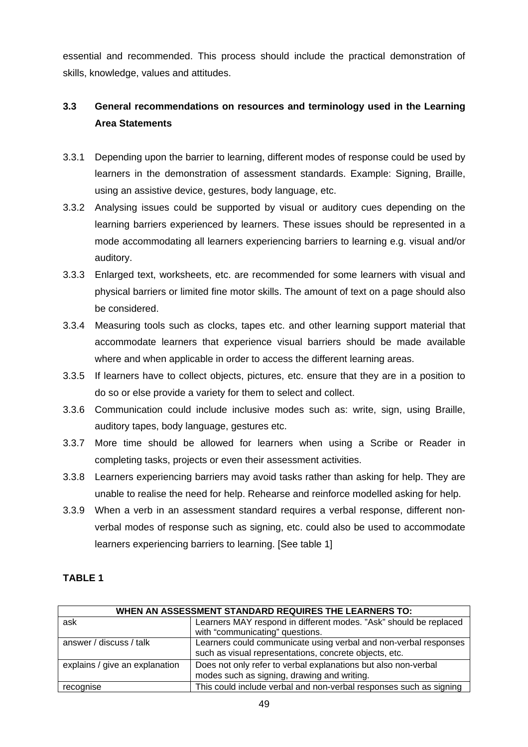essential and recommended. This process should include the practical demonstration of skills, knowledge, values and attitudes.

# **3.3 General recommendations on resources and terminology used in the Learning Area Statements**

- 3.3.1 Depending upon the barrier to learning, different modes of response could be used by learners in the demonstration of assessment standards. Example: Signing, Braille, using an assistive device, gestures, body language, etc.
- 3.3.2 Analysing issues could be supported by visual or auditory cues depending on the learning barriers experienced by learners. These issues should be represented in a mode accommodating all learners experiencing barriers to learning e.g. visual and/or auditory.
- 3.3.3 Enlarged text, worksheets, etc. are recommended for some learners with visual and physical barriers or limited fine motor skills. The amount of text on a page should also be considered.
- 3.3.4 Measuring tools such as clocks, tapes etc. and other learning support material that accommodate learners that experience visual barriers should be made available where and when applicable in order to access the different learning areas.
- 3.3.5 If learners have to collect objects, pictures, etc. ensure that they are in a position to do so or else provide a variety for them to select and collect.
- 3.3.6 Communication could include inclusive modes such as: write, sign, using Braille, auditory tapes, body language, gestures etc.
- 3.3.7 More time should be allowed for learners when using a Scribe or Reader in completing tasks, projects or even their assessment activities.
- 3.3.8 Learners experiencing barriers may avoid tasks rather than asking for help. They are unable to realise the need for help. Rehearse and reinforce modelled asking for help.
- 3.3.9 When a verb in an assessment standard requires a verbal response, different nonverbal modes of response such as signing, etc. could also be used to accommodate learners experiencing barriers to learning. [See table 1]

# **TABLE 1**

| WHEN AN ASSESSMENT STANDARD REQUIRES THE LEARNERS TO: |                                                                    |  |
|-------------------------------------------------------|--------------------------------------------------------------------|--|
| ask                                                   | Learners MAY respond in different modes. "Ask" should be replaced  |  |
|                                                       | with "communicating" questions.                                    |  |
| answer / discuss / talk                               | Learners could communicate using verbal and non-verbal responses   |  |
|                                                       | such as visual representations, concrete objects, etc.             |  |
| explains / give an explanation                        | Does not only refer to verbal explanations but also non-verbal     |  |
|                                                       | modes such as signing, drawing and writing.                        |  |
| recognise                                             | This could include verbal and non-verbal responses such as signing |  |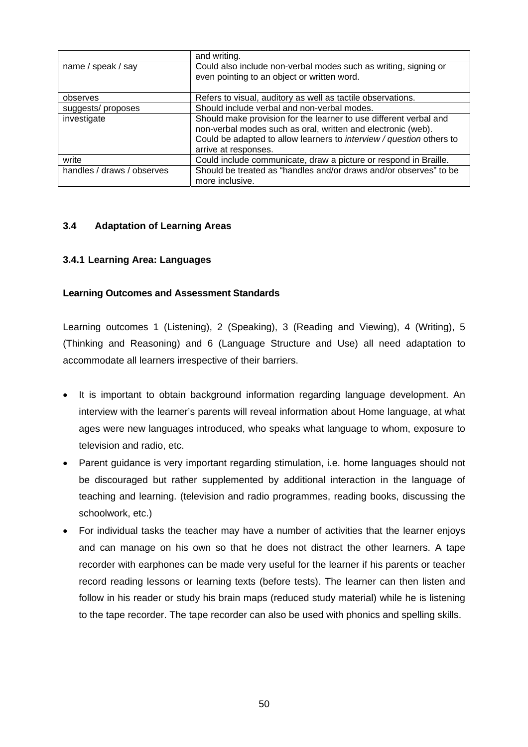|                            | and writing.                                                                                                                                                                                                                                    |
|----------------------------|-------------------------------------------------------------------------------------------------------------------------------------------------------------------------------------------------------------------------------------------------|
| name / speak / say         | Could also include non-verbal modes such as writing, signing or<br>even pointing to an object or written word.                                                                                                                                  |
| observes                   | Refers to visual, auditory as well as tactile observations.                                                                                                                                                                                     |
| suggests/proposes          | Should include verbal and non-verbal modes.                                                                                                                                                                                                     |
| investigate                | Should make provision for the learner to use different verbal and<br>non-verbal modes such as oral, written and electronic (web).<br>Could be adapted to allow learners to <i>interview</i> / <i>question</i> others to<br>arrive at responses. |
| write                      | Could include communicate, draw a picture or respond in Braille.                                                                                                                                                                                |
| handles / draws / observes | Should be treated as "handles and/or draws and/or observes" to be<br>more inclusive.                                                                                                                                                            |

# **3.4 Adaptation of Learning Areas**

# **3.4.1 Learning Area: Languages**

#### **Learning Outcomes and Assessment Standards**

Learning outcomes 1 (Listening), 2 (Speaking), 3 (Reading and Viewing), 4 (Writing), 5 (Thinking and Reasoning) and 6 (Language Structure and Use) all need adaptation to accommodate all learners irrespective of their barriers.

- It is important to obtain background information regarding language development. An interview with the learner's parents will reveal information about Home language, at what ages were new languages introduced, who speaks what language to whom, exposure to television and radio, etc.
- Parent guidance is very important regarding stimulation, i.e. home languages should not be discouraged but rather supplemented by additional interaction in the language of teaching and learning. (television and radio programmes, reading books, discussing the schoolwork, etc.)
- For individual tasks the teacher may have a number of activities that the learner enjoys and can manage on his own so that he does not distract the other learners. A tape recorder with earphones can be made very useful for the learner if his parents or teacher record reading lessons or learning texts (before tests). The learner can then listen and follow in his reader or study his brain maps (reduced study material) while he is listening to the tape recorder. The tape recorder can also be used with phonics and spelling skills.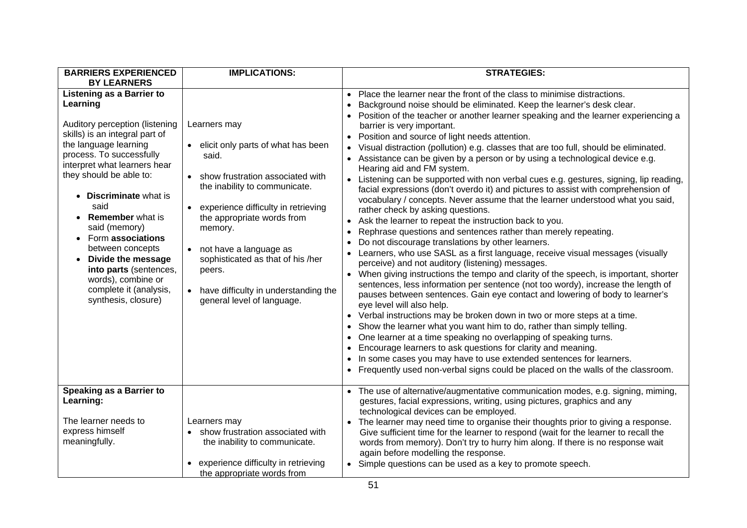| <b>BARRIERS EXPERIENCED</b>                                                                                                                                                                                                                                                                                                                                                                                                                                                                              | <b>IMPLICATIONS:</b>                                                                                                                                                                                                                                                                                                                                            | <b>STRATEGIES:</b>                                                                                                                                                                                                                                                                                                                                                                                                                                                                                                                                                                                                                                                                                                                                                                                                                                                                                                                                                                                                                                                                                                                                                                                                                                                                                                                                                                                                                                                                                                                                                                                                                                                                                                                                                                                                                                                                                                                                                                                       |
|----------------------------------------------------------------------------------------------------------------------------------------------------------------------------------------------------------------------------------------------------------------------------------------------------------------------------------------------------------------------------------------------------------------------------------------------------------------------------------------------------------|-----------------------------------------------------------------------------------------------------------------------------------------------------------------------------------------------------------------------------------------------------------------------------------------------------------------------------------------------------------------|----------------------------------------------------------------------------------------------------------------------------------------------------------------------------------------------------------------------------------------------------------------------------------------------------------------------------------------------------------------------------------------------------------------------------------------------------------------------------------------------------------------------------------------------------------------------------------------------------------------------------------------------------------------------------------------------------------------------------------------------------------------------------------------------------------------------------------------------------------------------------------------------------------------------------------------------------------------------------------------------------------------------------------------------------------------------------------------------------------------------------------------------------------------------------------------------------------------------------------------------------------------------------------------------------------------------------------------------------------------------------------------------------------------------------------------------------------------------------------------------------------------------------------------------------------------------------------------------------------------------------------------------------------------------------------------------------------------------------------------------------------------------------------------------------------------------------------------------------------------------------------------------------------------------------------------------------------------------------------------------------------|
| <b>BY LEARNERS</b>                                                                                                                                                                                                                                                                                                                                                                                                                                                                                       |                                                                                                                                                                                                                                                                                                                                                                 |                                                                                                                                                                                                                                                                                                                                                                                                                                                                                                                                                                                                                                                                                                                                                                                                                                                                                                                                                                                                                                                                                                                                                                                                                                                                                                                                                                                                                                                                                                                                                                                                                                                                                                                                                                                                                                                                                                                                                                                                          |
| <b>Listening as a Barrier to</b><br>Learning<br>Auditory perception (listening<br>skills) is an integral part of<br>the language learning<br>process. To successfully<br>interpret what learners hear<br>they should be able to:<br>• Discriminate what is<br>said<br><b>Remember</b> what is<br>$\bullet$<br>said (memory)<br>Form associations<br>between concepts<br>Divide the message<br>$\bullet$<br>into parts (sentences,<br>words), combine or<br>complete it (analysis,<br>synthesis, closure) | Learners may<br>elicit only parts of what has been<br>said.<br>show frustration associated with<br>the inability to communicate.<br>experience difficulty in retrieving<br>the appropriate words from<br>memory.<br>not have a language as<br>sophisticated as that of his /her<br>peers.<br>have difficulty in understanding the<br>general level of language. | Place the learner near the front of the class to minimise distractions.<br>$\bullet$<br>Background noise should be eliminated. Keep the learner's desk clear.<br>Position of the teacher or another learner speaking and the learner experiencing a<br>barrier is very important.<br>Position and source of light needs attention.<br>$\bullet$<br>Visual distraction (pollution) e.g. classes that are too full, should be eliminated.<br>$\bullet$<br>Assistance can be given by a person or by using a technological device e.g.<br>$\bullet$<br>Hearing aid and FM system.<br>• Listening can be supported with non verbal cues e.g. gestures, signing, lip reading,<br>facial expressions (don't overdo it) and pictures to assist with comprehension of<br>vocabulary / concepts. Never assume that the learner understood what you said,<br>rather check by asking questions.<br>Ask the learner to repeat the instruction back to you.<br>$\bullet$<br>Rephrase questions and sentences rather than merely repeating.<br>$\bullet$<br>Do not discourage translations by other learners.<br>$\bullet$<br>Learners, who use SASL as a first language, receive visual messages (visually<br>perceive) and not auditory (listening) messages.<br>When giving instructions the tempo and clarity of the speech, is important, shorter<br>$\bullet$<br>sentences, less information per sentence (not too wordy), increase the length of<br>pauses between sentences. Gain eye contact and lowering of body to learner's<br>eye level will also help.<br>• Verbal instructions may be broken down in two or more steps at a time.<br>Show the learner what you want him to do, rather than simply telling.<br>One learner at a time speaking no overlapping of speaking turns.<br>Encourage learners to ask questions for clarity and meaning.<br>In some cases you may have to use extended sentences for learners.<br>Frequently used non-verbal signs could be placed on the walls of the classroom. |
| <b>Speaking as a Barrier to</b><br>Learning:                                                                                                                                                                                                                                                                                                                                                                                                                                                             |                                                                                                                                                                                                                                                                                                                                                                 | The use of alternative/augmentative communication modes, e.g. signing, miming,<br>gestures, facial expressions, writing, using pictures, graphics and any<br>technological devices can be employed.                                                                                                                                                                                                                                                                                                                                                                                                                                                                                                                                                                                                                                                                                                                                                                                                                                                                                                                                                                                                                                                                                                                                                                                                                                                                                                                                                                                                                                                                                                                                                                                                                                                                                                                                                                                                      |
| The learner needs to<br>express himself<br>meaningfully.                                                                                                                                                                                                                                                                                                                                                                                                                                                 | Learners may<br>show frustration associated with<br>the inability to communicate.<br>experience difficulty in retrieving                                                                                                                                                                                                                                        | The learner may need time to organise their thoughts prior to giving a response.<br>Give sufficient time for the learner to respond (wait for the learner to recall the<br>words from memory). Don't try to hurry him along. If there is no response wait<br>again before modelling the response.<br>• Simple questions can be used as a key to promote speech.                                                                                                                                                                                                                                                                                                                                                                                                                                                                                                                                                                                                                                                                                                                                                                                                                                                                                                                                                                                                                                                                                                                                                                                                                                                                                                                                                                                                                                                                                                                                                                                                                                          |
|                                                                                                                                                                                                                                                                                                                                                                                                                                                                                                          | the appropriate words from                                                                                                                                                                                                                                                                                                                                      |                                                                                                                                                                                                                                                                                                                                                                                                                                                                                                                                                                                                                                                                                                                                                                                                                                                                                                                                                                                                                                                                                                                                                                                                                                                                                                                                                                                                                                                                                                                                                                                                                                                                                                                                                                                                                                                                                                                                                                                                          |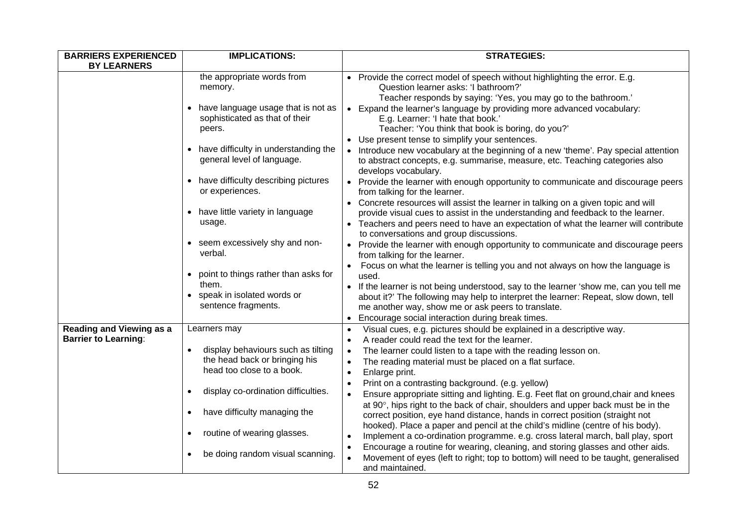| <b>BARRIERS EXPERIENCED</b>     | <b>IMPLICATIONS:</b>                                                                                                                                                                                                                                                                                                                                                                                                                                                         | <b>STRATEGIES:</b>                                                                                                                                                                                                                                                                                                                                                                                                                                                                                                                                                                                                                                                                                                                                                                                                                                                                                                                                                                                                                                                                                                                                                                                                                                                                                                                                                                                                                    |
|---------------------------------|------------------------------------------------------------------------------------------------------------------------------------------------------------------------------------------------------------------------------------------------------------------------------------------------------------------------------------------------------------------------------------------------------------------------------------------------------------------------------|---------------------------------------------------------------------------------------------------------------------------------------------------------------------------------------------------------------------------------------------------------------------------------------------------------------------------------------------------------------------------------------------------------------------------------------------------------------------------------------------------------------------------------------------------------------------------------------------------------------------------------------------------------------------------------------------------------------------------------------------------------------------------------------------------------------------------------------------------------------------------------------------------------------------------------------------------------------------------------------------------------------------------------------------------------------------------------------------------------------------------------------------------------------------------------------------------------------------------------------------------------------------------------------------------------------------------------------------------------------------------------------------------------------------------------------|
| <b>BY LEARNERS</b>              |                                                                                                                                                                                                                                                                                                                                                                                                                                                                              |                                                                                                                                                                                                                                                                                                                                                                                                                                                                                                                                                                                                                                                                                                                                                                                                                                                                                                                                                                                                                                                                                                                                                                                                                                                                                                                                                                                                                                       |
|                                 | the appropriate words from<br>memory.<br>have language usage that is not as<br>$\bullet$<br>sophisticated as that of their<br>peers.<br>have difficulty in understanding the<br>general level of language.<br>have difficulty describing pictures<br>$\bullet$<br>or experiences.<br>• have little variety in language<br>usage.<br>• seem excessively shy and non-<br>verbal.<br>point to things rather than asks for<br>$\bullet$<br>them.<br>• speak in isolated words or | • Provide the correct model of speech without highlighting the error. E.g.<br>Question learner asks: 'I bathroom?'<br>Teacher responds by saying: 'Yes, you may go to the bathroom.'<br>• Expand the learner's language by providing more advanced vocabulary:<br>E.g. Learner: 'I hate that book.'<br>Teacher: 'You think that book is boring, do you?'<br>• Use present tense to simplify your sentences.<br>Introduce new vocabulary at the beginning of a new 'theme'. Pay special attention<br>to abstract concepts, e.g. summarise, measure, etc. Teaching categories also<br>develops vocabulary.<br>• Provide the learner with enough opportunity to communicate and discourage peers<br>from talking for the learner.<br>• Concrete resources will assist the learner in talking on a given topic and will<br>provide visual cues to assist in the understanding and feedback to the learner.<br>Teachers and peers need to have an expectation of what the learner will contribute<br>to conversations and group discussions.<br>Provide the learner with enough opportunity to communicate and discourage peers<br>from talking for the learner.<br>Focus on what the learner is telling you and not always on how the language is<br>used.<br>If the learner is not being understood, say to the learner 'show me, can you tell me<br>about it?' The following may help to interpret the learner: Repeat, slow down, tell |
|                                 | sentence fragments.                                                                                                                                                                                                                                                                                                                                                                                                                                                          | me another way, show me or ask peers to translate.                                                                                                                                                                                                                                                                                                                                                                                                                                                                                                                                                                                                                                                                                                                                                                                                                                                                                                                                                                                                                                                                                                                                                                                                                                                                                                                                                                                    |
| <b>Reading and Viewing as a</b> | Learners may                                                                                                                                                                                                                                                                                                                                                                                                                                                                 | Encourage social interaction during break times.<br>$\bullet$<br>Visual cues, e.g. pictures should be explained in a descriptive way.<br>$\bullet$                                                                                                                                                                                                                                                                                                                                                                                                                                                                                                                                                                                                                                                                                                                                                                                                                                                                                                                                                                                                                                                                                                                                                                                                                                                                                    |
| <b>Barrier to Learning:</b>     | display behaviours such as tilting<br>the head back or bringing his<br>head too close to a book.<br>display co-ordination difficulties.<br>$\bullet$<br>have difficulty managing the<br>$\bullet$                                                                                                                                                                                                                                                                            | A reader could read the text for the learner.<br>$\bullet$<br>The learner could listen to a tape with the reading lesson on.<br>$\bullet$<br>The reading material must be placed on a flat surface.<br>$\bullet$<br>Enlarge print.<br>$\bullet$<br>Print on a contrasting background. (e.g. yellow)<br>$\bullet$<br>Ensure appropriate sitting and lighting. E.g. Feet flat on ground, chair and knees<br>$\bullet$<br>at 90°, hips right to the back of chair, shoulders and upper back must be in the<br>correct position, eye hand distance, hands in correct position (straight not                                                                                                                                                                                                                                                                                                                                                                                                                                                                                                                                                                                                                                                                                                                                                                                                                                               |
|                                 | routine of wearing glasses.<br>$\bullet$                                                                                                                                                                                                                                                                                                                                                                                                                                     | hooked). Place a paper and pencil at the child's midline (centre of his body).<br>Implement a co-ordination programme. e.g. cross lateral march, ball play, sport<br>$\bullet$                                                                                                                                                                                                                                                                                                                                                                                                                                                                                                                                                                                                                                                                                                                                                                                                                                                                                                                                                                                                                                                                                                                                                                                                                                                        |
|                                 | be doing random visual scanning.<br>$\bullet$                                                                                                                                                                                                                                                                                                                                                                                                                                | Encourage a routine for wearing, cleaning, and storing glasses and other aids.<br>$\bullet$<br>Movement of eyes (left to right; top to bottom) will need to be taught, generalised<br>and maintained.                                                                                                                                                                                                                                                                                                                                                                                                                                                                                                                                                                                                                                                                                                                                                                                                                                                                                                                                                                                                                                                                                                                                                                                                                                 |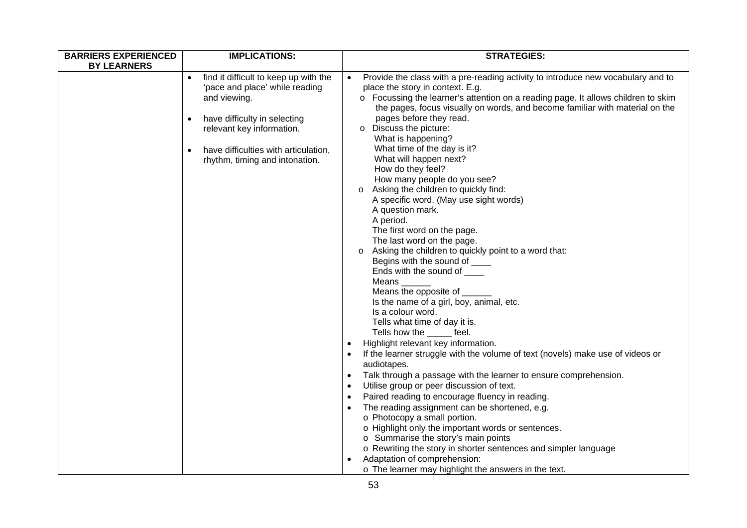| <b>BY LEARNERS</b><br>find it difficult to keep up with the<br>Provide the class with a pre-reading activity to introduce new vocabulary and to<br>$\bullet$<br>'pace and place' while reading<br>place the story in context. E.g.<br>o Focussing the learner's attention on a reading page. It allows children to skim<br>and viewing.<br>the pages, focus visually on words, and become familiar with material on the<br>pages before they read.<br>have difficulty in selecting<br>$\bullet$<br>Discuss the picture:<br>relevant key information.<br>$\circ$<br>What is happening?<br>What time of the day is it?<br>have difficulties with articulation,<br>$\bullet$<br>What will happen next?<br>rhythm, timing and intonation.<br>How do they feel?<br>How many people do you see?<br>o Asking the children to quickly find:<br>A specific word. (May use sight words)<br>A question mark.<br>A period.<br>The first word on the page.<br>The last word on the page.<br>o Asking the children to quickly point to a word that:<br>Begins with the sound of ____<br>Ends with the sound of _____<br>Means $\_\_$<br>Means the opposite of<br>Is the name of a girl, boy, animal, etc.<br>Is a colour word.<br>Tells what time of day it is.<br>Tells how the <u>section</u> feel.<br>Highlight relevant key information.<br>$\bullet$<br>If the learner struggle with the volume of text (novels) make use of videos or<br>$\bullet$<br>audiotapes.<br>Talk through a passage with the learner to ensure comprehension.<br>$\bullet$<br>Utilise group or peer discussion of text.<br>$\bullet$<br>Paired reading to encourage fluency in reading.<br>$\bullet$<br>The reading assignment can be shortened, e.g.<br>$\bullet$<br>o Photocopy a small portion.<br>o Highlight only the important words or sentences.<br>o Summarise the story's main points | <b>BARRIERS EXPERIENCED</b> | <b>IMPLICATIONS:</b> | <b>STRATEGIES:</b>                                              |
|-----------------------------------------------------------------------------------------------------------------------------------------------------------------------------------------------------------------------------------------------------------------------------------------------------------------------------------------------------------------------------------------------------------------------------------------------------------------------------------------------------------------------------------------------------------------------------------------------------------------------------------------------------------------------------------------------------------------------------------------------------------------------------------------------------------------------------------------------------------------------------------------------------------------------------------------------------------------------------------------------------------------------------------------------------------------------------------------------------------------------------------------------------------------------------------------------------------------------------------------------------------------------------------------------------------------------------------------------------------------------------------------------------------------------------------------------------------------------------------------------------------------------------------------------------------------------------------------------------------------------------------------------------------------------------------------------------------------------------------------------------------------------------------------------------------------------------------------------------------------|-----------------------------|----------------------|-----------------------------------------------------------------|
|                                                                                                                                                                                                                                                                                                                                                                                                                                                                                                                                                                                                                                                                                                                                                                                                                                                                                                                                                                                                                                                                                                                                                                                                                                                                                                                                                                                                                                                                                                                                                                                                                                                                                                                                                                                                                                                                 |                             |                      |                                                                 |
| Adaptation of comprehension:<br>o The learner may highlight the answers in the text.                                                                                                                                                                                                                                                                                                                                                                                                                                                                                                                                                                                                                                                                                                                                                                                                                                                                                                                                                                                                                                                                                                                                                                                                                                                                                                                                                                                                                                                                                                                                                                                                                                                                                                                                                                            |                             |                      | o Rewriting the story in shorter sentences and simpler language |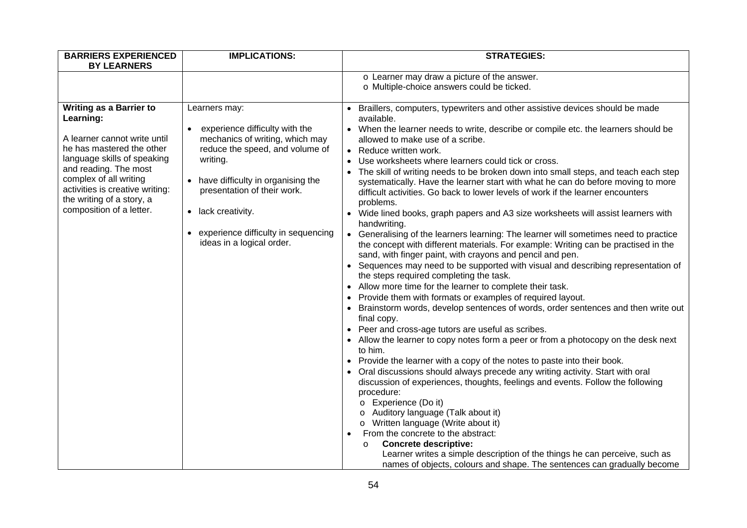| <b>BARRIERS EXPERIENCED</b><br><b>BY LEARNERS</b>                                                                                                                                                                                                                                      | <b>IMPLICATIONS:</b>                                                                                                                                                                                                                                                                                | <b>STRATEGIES:</b>                                                                                                                                                                                                                                                                                                                                                                                                                                                                                                                                                                                                                                                                                                                                                                                                                                                                                                                                                                                                                                                                                                                                                                                                                                                                                                                                                                                                                                                                                                                                                                                                                                                                                                                                                                                                                                                                                                                                                                                                                                                                         |
|----------------------------------------------------------------------------------------------------------------------------------------------------------------------------------------------------------------------------------------------------------------------------------------|-----------------------------------------------------------------------------------------------------------------------------------------------------------------------------------------------------------------------------------------------------------------------------------------------------|--------------------------------------------------------------------------------------------------------------------------------------------------------------------------------------------------------------------------------------------------------------------------------------------------------------------------------------------------------------------------------------------------------------------------------------------------------------------------------------------------------------------------------------------------------------------------------------------------------------------------------------------------------------------------------------------------------------------------------------------------------------------------------------------------------------------------------------------------------------------------------------------------------------------------------------------------------------------------------------------------------------------------------------------------------------------------------------------------------------------------------------------------------------------------------------------------------------------------------------------------------------------------------------------------------------------------------------------------------------------------------------------------------------------------------------------------------------------------------------------------------------------------------------------------------------------------------------------------------------------------------------------------------------------------------------------------------------------------------------------------------------------------------------------------------------------------------------------------------------------------------------------------------------------------------------------------------------------------------------------------------------------------------------------------------------------------------------------|
|                                                                                                                                                                                                                                                                                        |                                                                                                                                                                                                                                                                                                     | o Learner may draw a picture of the answer.<br>o Multiple-choice answers could be ticked.                                                                                                                                                                                                                                                                                                                                                                                                                                                                                                                                                                                                                                                                                                                                                                                                                                                                                                                                                                                                                                                                                                                                                                                                                                                                                                                                                                                                                                                                                                                                                                                                                                                                                                                                                                                                                                                                                                                                                                                                  |
| <b>Writing as a Barrier to</b><br>Learning:<br>A learner cannot write until<br>he has mastered the other<br>language skills of speaking<br>and reading. The most<br>complex of all writing<br>activities is creative writing:<br>the writing of a story, a<br>composition of a letter. | Learners may:<br>experience difficulty with the<br>mechanics of writing, which may<br>reduce the speed, and volume of<br>writing.<br>• have difficulty in organising the<br>presentation of their work.<br>• lack creativity.<br>• experience difficulty in sequencing<br>ideas in a logical order. | Braillers, computers, typewriters and other assistive devices should be made<br>available.<br>• When the learner needs to write, describe or compile etc. the learners should be<br>allowed to make use of a scribe.<br>• Reduce written work.<br>Use worksheets where learners could tick or cross.<br>$\bullet$<br>• The skill of writing needs to be broken down into small steps, and teach each step<br>systematically. Have the learner start with what he can do before moving to more<br>difficult activities. Go back to lower levels of work if the learner encounters<br>problems.<br>• Wide lined books, graph papers and A3 size worksheets will assist learners with<br>handwriting.<br>Generalising of the learners learning: The learner will sometimes need to practice<br>the concept with different materials. For example: Writing can be practised in the<br>sand, with finger paint, with crayons and pencil and pen.<br>• Sequences may need to be supported with visual and describing representation of<br>the steps required completing the task.<br>• Allow more time for the learner to complete their task.<br>• Provide them with formats or examples of required layout.<br>Brainstorm words, develop sentences of words, order sentences and then write out<br>final copy.<br>Peer and cross-age tutors are useful as scribes.<br>• Allow the learner to copy notes form a peer or from a photocopy on the desk next<br>to him.<br>• Provide the learner with a copy of the notes to paste into their book.<br>• Oral discussions should always precede any writing activity. Start with oral<br>discussion of experiences, thoughts, feelings and events. Follow the following<br>procedure:<br>o Experience (Do it)<br>o Auditory language (Talk about it)<br>o Written language (Write about it)<br>From the concrete to the abstract:<br>$\bullet$<br><b>Concrete descriptive:</b><br>$\circ$<br>Learner writes a simple description of the things he can perceive, such as<br>names of objects, colours and shape. The sentences can gradually become |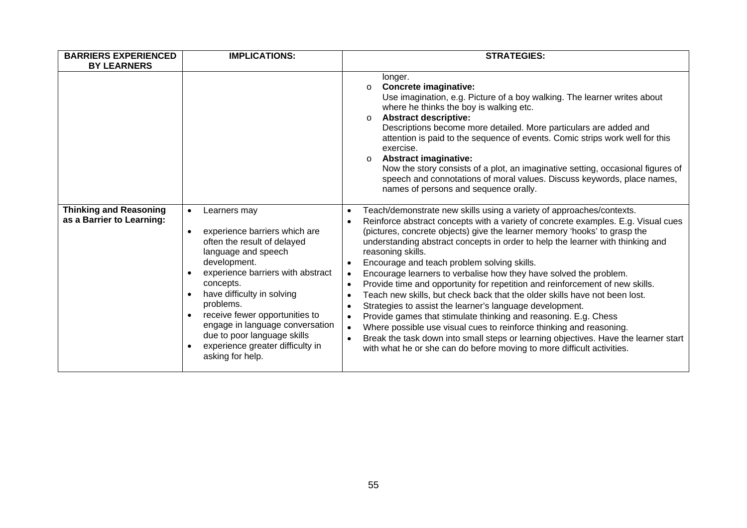| <b>BARRIERS EXPERIENCED</b>                                | <b>IMPLICATIONS:</b>                                                                                                                                                                                                                                                                                                                                                                                                | <b>STRATEGIES:</b>                                                                                                                                                                                                                                                                                                                                                                                                                                                                                                                                                                                                                                                                                                                                                                                                                                                                                                                                                                                                                                                                                                          |
|------------------------------------------------------------|---------------------------------------------------------------------------------------------------------------------------------------------------------------------------------------------------------------------------------------------------------------------------------------------------------------------------------------------------------------------------------------------------------------------|-----------------------------------------------------------------------------------------------------------------------------------------------------------------------------------------------------------------------------------------------------------------------------------------------------------------------------------------------------------------------------------------------------------------------------------------------------------------------------------------------------------------------------------------------------------------------------------------------------------------------------------------------------------------------------------------------------------------------------------------------------------------------------------------------------------------------------------------------------------------------------------------------------------------------------------------------------------------------------------------------------------------------------------------------------------------------------------------------------------------------------|
| <b>BY LEARNERS</b>                                         |                                                                                                                                                                                                                                                                                                                                                                                                                     |                                                                                                                                                                                                                                                                                                                                                                                                                                                                                                                                                                                                                                                                                                                                                                                                                                                                                                                                                                                                                                                                                                                             |
|                                                            |                                                                                                                                                                                                                                                                                                                                                                                                                     | longer.<br><b>Concrete imaginative:</b><br>$\circ$<br>Use imagination, e.g. Picture of a boy walking. The learner writes about<br>where he thinks the boy is walking etc.<br><b>Abstract descriptive:</b><br>$\circ$<br>Descriptions become more detailed. More particulars are added and<br>attention is paid to the sequence of events. Comic strips work well for this<br>exercise.<br><b>Abstract imaginative:</b><br>$\circ$<br>Now the story consists of a plot, an imaginative setting, occasional figures of<br>speech and connotations of moral values. Discuss keywords, place names,<br>names of persons and sequence orally.                                                                                                                                                                                                                                                                                                                                                                                                                                                                                    |
| <b>Thinking and Reasoning</b><br>as a Barrier to Learning: | Learners may<br>$\bullet$<br>experience barriers which are<br>$\bullet$<br>often the result of delayed<br>language and speech<br>development.<br>experience barriers with abstract<br>concepts.<br>have difficulty in solving<br>problems.<br>receive fewer opportunities to<br>$\bullet$<br>engage in language conversation<br>due to poor language skills<br>experience greater difficulty in<br>asking for help. | Teach/demonstrate new skills using a variety of approaches/contexts.<br>$\bullet$<br>Reinforce abstract concepts with a variety of concrete examples. E.g. Visual cues<br>$\bullet$<br>(pictures, concrete objects) give the learner memory 'hooks' to grasp the<br>understanding abstract concepts in order to help the learner with thinking and<br>reasoning skills.<br>Encourage and teach problem solving skills.<br>$\bullet$<br>Encourage learners to verbalise how they have solved the problem.<br>$\bullet$<br>Provide time and opportunity for repetition and reinforcement of new skills.<br>$\bullet$<br>Teach new skills, but check back that the older skills have not been lost.<br>$\bullet$<br>Strategies to assist the learner's language development.<br>$\bullet$<br>Provide games that stimulate thinking and reasoning. E.g. Chess<br>$\bullet$<br>Where possible use visual cues to reinforce thinking and reasoning.<br>$\bullet$<br>Break the task down into small steps or learning objectives. Have the learner start<br>with what he or she can do before moving to more difficult activities. |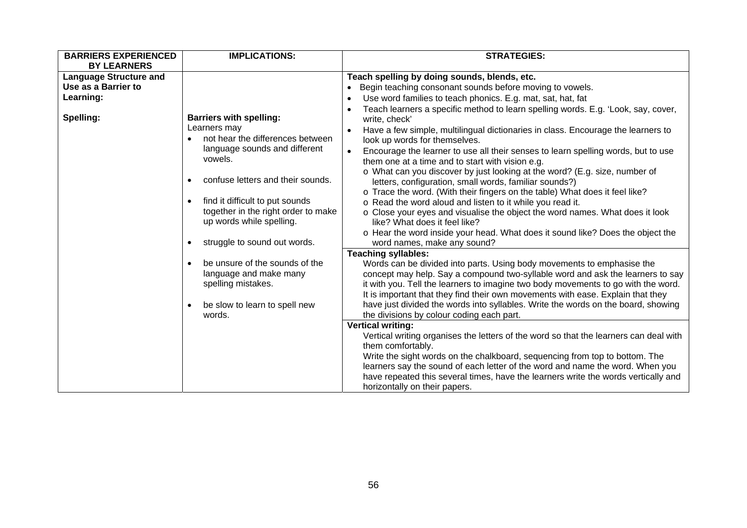| <b>BARRIERS EXPERIENCED</b>   | <b>IMPLICATIONS:</b>                           | <b>STRATEGIES:</b>                                                                                                                    |
|-------------------------------|------------------------------------------------|---------------------------------------------------------------------------------------------------------------------------------------|
| <b>BY LEARNERS</b>            |                                                |                                                                                                                                       |
| <b>Language Structure and</b> |                                                | Teach spelling by doing sounds, blends, etc.                                                                                          |
| Use as a Barrier to           |                                                | Begin teaching consonant sounds before moving to vowels.<br>$\bullet$                                                                 |
| Learning:                     |                                                | Use word families to teach phonics. E.g. mat, sat, hat, fat<br>$\bullet$                                                              |
| Spelling:                     | <b>Barriers with spelling:</b>                 | Teach learners a specific method to learn spelling words. E.g. 'Look, say, cover,<br>$\bullet$<br>write, check'                       |
|                               | Learners may                                   |                                                                                                                                       |
|                               | not hear the differences between<br>$\bullet$  | Have a few simple, multilingual dictionaries in class. Encourage the learners to<br>$\bullet$<br>look up words for themselves.        |
|                               | language sounds and different<br>vowels.       | Encourage the learner to use all their senses to learn spelling words, but to use<br>them one at a time and to start with vision e.g. |
|                               | confuse letters and their sounds.<br>$\bullet$ | o What can you discover by just looking at the word? (E.g. size, number of<br>letters, configuration, small words, familiar sounds?)  |
|                               |                                                | o Trace the word. (With their fingers on the table) What does it feel like?                                                           |
|                               | find it difficult to put sounds<br>$\bullet$   | o Read the word aloud and listen to it while you read it.                                                                             |
|                               | together in the right order to make            | o Close your eyes and visualise the object the word names. What does it look                                                          |
|                               | up words while spelling.                       | like? What does it feel like?                                                                                                         |
|                               |                                                | o Hear the word inside your head. What does it sound like? Does the object the                                                        |
|                               | struggle to sound out words.                   | word names, make any sound?                                                                                                           |
|                               |                                                | <b>Teaching syllables:</b>                                                                                                            |
|                               | be unsure of the sounds of the                 | Words can be divided into parts. Using body movements to emphasise the                                                                |
|                               | language and make many                         | concept may help. Say a compound two-syllable word and ask the learners to say                                                        |
|                               | spelling mistakes.                             | it with you. Tell the learners to imagine two body movements to go with the word.                                                     |
|                               |                                                | It is important that they find their own movements with ease. Explain that they                                                       |
|                               | be slow to learn to spell new<br>$\bullet$     | have just divided the words into syllables. Write the words on the board, showing                                                     |
|                               | words.                                         | the divisions by colour coding each part.                                                                                             |
|                               |                                                | <b>Vertical writing:</b>                                                                                                              |
|                               |                                                | Vertical writing organises the letters of the word so that the learners can deal with                                                 |
|                               |                                                | them comfortably.                                                                                                                     |
|                               |                                                | Write the sight words on the chalkboard, sequencing from top to bottom. The                                                           |
|                               |                                                | learners say the sound of each letter of the word and name the word. When you                                                         |
|                               |                                                | have repeated this several times, have the learners write the words vertically and                                                    |
|                               |                                                | horizontally on their papers.                                                                                                         |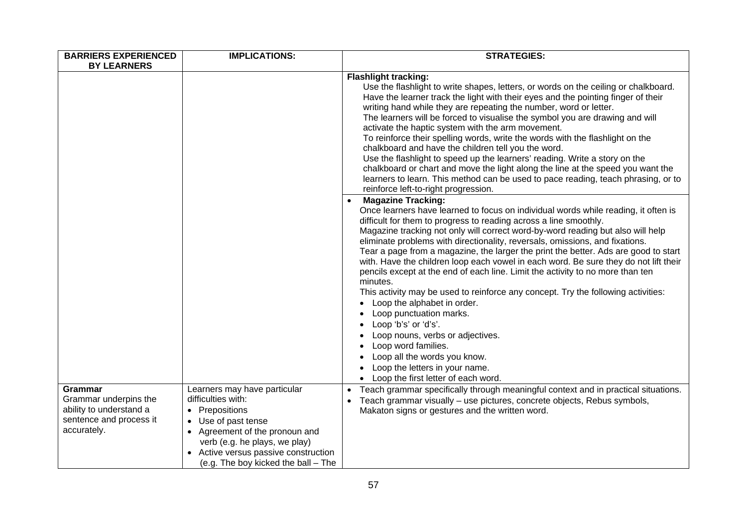| <b>BARRIERS EXPERIENCED</b>                                                                                  | <b>IMPLICATIONS:</b>                                                                                                                                                                                                                        | <b>STRATEGIES:</b>                                                                                                                                                                                                                                                                                                                                                                                                                                                                                                                                                                                                                                                                                                                                                                                                                                                                                                                                                              |
|--------------------------------------------------------------------------------------------------------------|---------------------------------------------------------------------------------------------------------------------------------------------------------------------------------------------------------------------------------------------|---------------------------------------------------------------------------------------------------------------------------------------------------------------------------------------------------------------------------------------------------------------------------------------------------------------------------------------------------------------------------------------------------------------------------------------------------------------------------------------------------------------------------------------------------------------------------------------------------------------------------------------------------------------------------------------------------------------------------------------------------------------------------------------------------------------------------------------------------------------------------------------------------------------------------------------------------------------------------------|
| <b>BY LEARNERS</b>                                                                                           |                                                                                                                                                                                                                                             |                                                                                                                                                                                                                                                                                                                                                                                                                                                                                                                                                                                                                                                                                                                                                                                                                                                                                                                                                                                 |
|                                                                                                              |                                                                                                                                                                                                                                             | <b>Flashlight tracking:</b><br>Use the flashlight to write shapes, letters, or words on the ceiling or chalkboard.<br>Have the learner track the light with their eyes and the pointing finger of their<br>writing hand while they are repeating the number, word or letter.<br>The learners will be forced to visualise the symbol you are drawing and will<br>activate the haptic system with the arm movement.<br>To reinforce their spelling words, write the words with the flashlight on the<br>chalkboard and have the children tell you the word.<br>Use the flashlight to speed up the learners' reading. Write a story on the<br>chalkboard or chart and move the light along the line at the speed you want the<br>learners to learn. This method can be used to pace reading, teach phrasing, or to<br>reinforce left-to-right progression.                                                                                                                         |
|                                                                                                              |                                                                                                                                                                                                                                             | <b>Magazine Tracking:</b><br>Once learners have learned to focus on individual words while reading, it often is<br>difficult for them to progress to reading across a line smoothly.<br>Magazine tracking not only will correct word-by-word reading but also will help<br>eliminate problems with directionality, reversals, omissions, and fixations.<br>Tear a page from a magazine, the larger the print the better. Ads are good to start<br>with. Have the children loop each vowel in each word. Be sure they do not lift their<br>pencils except at the end of each line. Limit the activity to no more than ten<br>minutes.<br>This activity may be used to reinforce any concept. Try the following activities:<br>Loop the alphabet in order.<br>Loop punctuation marks.<br>Loop 'b's' or 'd's'.<br>Loop nouns, verbs or adjectives.<br>Loop word families.<br>Loop all the words you know.<br>Loop the letters in your name.<br>Loop the first letter of each word. |
| <b>Grammar</b><br>Grammar underpins the<br>ability to understand a<br>sentence and process it<br>accurately. | Learners may have particular<br>difficulties with:<br>• Prepositions<br>• Use of past tense<br>• Agreement of the pronoun and<br>verb (e.g. he plays, we play)<br>Active versus passive construction<br>(e.g. The boy kicked the ball – The | Teach grammar specifically through meaningful context and in practical situations.<br>Teach grammar visually - use pictures, concrete objects, Rebus symbols,<br>Makaton signs or gestures and the written word.                                                                                                                                                                                                                                                                                                                                                                                                                                                                                                                                                                                                                                                                                                                                                                |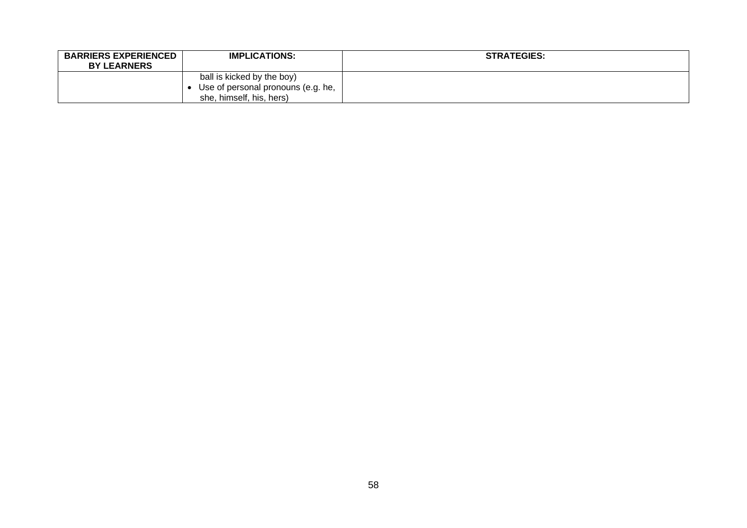| <b>BARRIERS EXPERIENCED</b><br><b>BY LEARNERS</b> | <b>IMPLICATIONS:</b>                                                                         | <b>STRATEGIES:</b> |
|---------------------------------------------------|----------------------------------------------------------------------------------------------|--------------------|
|                                                   | ball is kicked by the boy)<br>Use of personal pronouns (e.g. he,<br>she, himself, his, hers) |                    |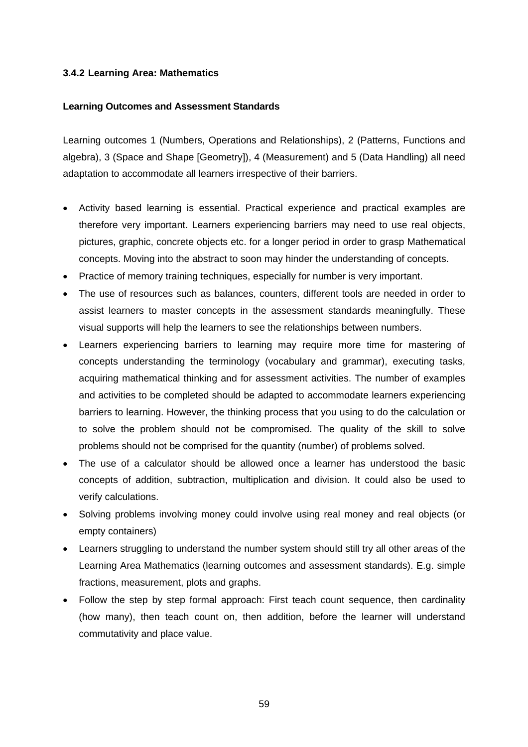# **3.4.2 Learning Area: Mathematics**

#### **Learning Outcomes and Assessment Standards**

Learning outcomes 1 (Numbers, Operations and Relationships), 2 (Patterns, Functions and algebra), 3 (Space and Shape [Geometry]), 4 (Measurement) and 5 (Data Handling) all need adaptation to accommodate all learners irrespective of their barriers.

- Activity based learning is essential. Practical experience and practical examples are therefore very important. Learners experiencing barriers may need to use real objects, pictures, graphic, concrete objects etc. for a longer period in order to grasp Mathematical concepts. Moving into the abstract to soon may hinder the understanding of concepts.
- Practice of memory training techniques, especially for number is very important.
- The use of resources such as balances, counters, different tools are needed in order to assist learners to master concepts in the assessment standards meaningfully. These visual supports will help the learners to see the relationships between numbers.
- Learners experiencing barriers to learning may require more time for mastering of concepts understanding the terminology (vocabulary and grammar), executing tasks, acquiring mathematical thinking and for assessment activities. The number of examples and activities to be completed should be adapted to accommodate learners experiencing barriers to learning. However, the thinking process that you using to do the calculation or to solve the problem should not be compromised. The quality of the skill to solve problems should not be comprised for the quantity (number) of problems solved.
- The use of a calculator should be allowed once a learner has understood the basic concepts of addition, subtraction, multiplication and division. It could also be used to verify calculations.
- Solving problems involving money could involve using real money and real objects (or empty containers)
- Learners struggling to understand the number system should still try all other areas of the Learning Area Mathematics (learning outcomes and assessment standards). E.g. simple fractions, measurement, plots and graphs.
- Follow the step by step formal approach: First teach count sequence, then cardinality (how many), then teach count on, then addition, before the learner will understand commutativity and place value.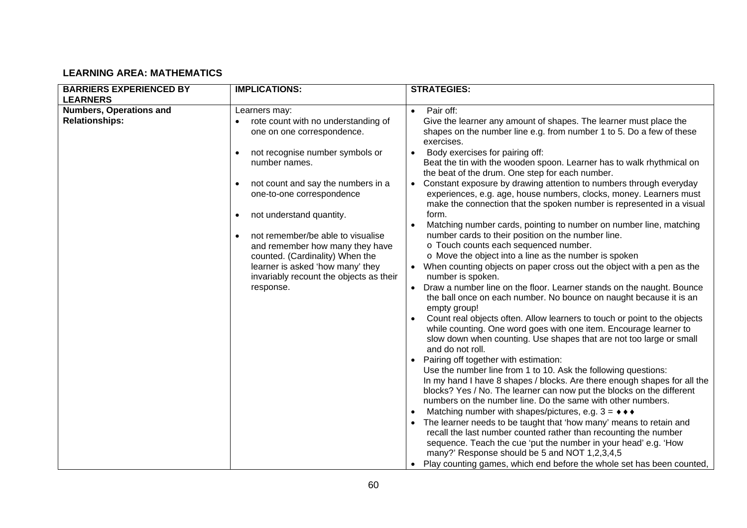#### **LEARNING AREA: MATHEMATICS**

| <b>BARRIERS EXPERIENCED BY</b> | <b>IMPLICATIONS:</b>                         | <b>STRATEGIES:</b>                                                                                                                          |
|--------------------------------|----------------------------------------------|---------------------------------------------------------------------------------------------------------------------------------------------|
| <b>LEARNERS</b>                |                                              |                                                                                                                                             |
| <b>Numbers, Operations and</b> | Learners may:                                | Pair off:<br>$\bullet$                                                                                                                      |
| <b>Relationships:</b>          | rote count with no understanding of          | Give the learner any amount of shapes. The learner must place the                                                                           |
|                                | one on one correspondence.                   | shapes on the number line e.g. from number 1 to 5. Do a few of these<br>exercises.                                                          |
|                                | not recognise number symbols or<br>$\bullet$ | Body exercises for pairing off:<br>$\bullet$                                                                                                |
|                                | number names.                                | Beat the tin with the wooden spoon. Learner has to walk rhythmical on<br>the beat of the drum. One step for each number.                    |
|                                | not count and say the numbers in a           | Constant exposure by drawing attention to numbers through everyday<br>$\bullet$                                                             |
|                                | one-to-one correspondence                    | experiences, e.g. age, house numbers, clocks, money. Learners must<br>make the connection that the spoken number is represented in a visual |
|                                | not understand quantity.<br>$\bullet$        | form.                                                                                                                                       |
|                                | not remember/be able to visualise            | Matching number cards, pointing to number on number line, matching<br>number cards to their position on the number line.                    |
|                                | and remember how many they have              | o Touch counts each sequenced number.                                                                                                       |
|                                | counted. (Cardinality) When the              | o Move the object into a line as the number is spoken                                                                                       |
|                                | learner is asked 'how many' they             | When counting objects on paper cross out the object with a pen as the                                                                       |
|                                | invariably recount the objects as their      | number is spoken.                                                                                                                           |
|                                | response.                                    | Draw a number line on the floor. Learner stands on the naught. Bounce                                                                       |
|                                |                                              | the ball once on each number. No bounce on naught because it is an<br>empty group!                                                          |
|                                |                                              | Count real objects often. Allow learners to touch or point to the objects                                                                   |
|                                |                                              | while counting. One word goes with one item. Encourage learner to<br>slow down when counting. Use shapes that are not too large or small    |
|                                |                                              | and do not roll.                                                                                                                            |
|                                |                                              | Pairing off together with estimation:                                                                                                       |
|                                |                                              | Use the number line from 1 to 10. Ask the following questions:                                                                              |
|                                |                                              | In my hand I have 8 shapes / blocks. Are there enough shapes for all the                                                                    |
|                                |                                              | blocks? Yes / No. The learner can now put the blocks on the different                                                                       |
|                                |                                              | numbers on the number line. Do the same with other numbers.                                                                                 |
|                                |                                              | Matching number with shapes/pictures, e.g. $3 = \rightarrow \rightarrow \rightarrow$                                                        |
|                                |                                              | The learner needs to be taught that 'how many' means to retain and                                                                          |
|                                |                                              | recall the last number counted rather than recounting the number                                                                            |
|                                |                                              | sequence. Teach the cue 'put the number in your head' e.g. 'How                                                                             |
|                                |                                              | many?' Response should be 5 and NOT 1,2,3,4,5                                                                                               |
|                                |                                              | Play counting games, which end before the whole set has been counted,                                                                       |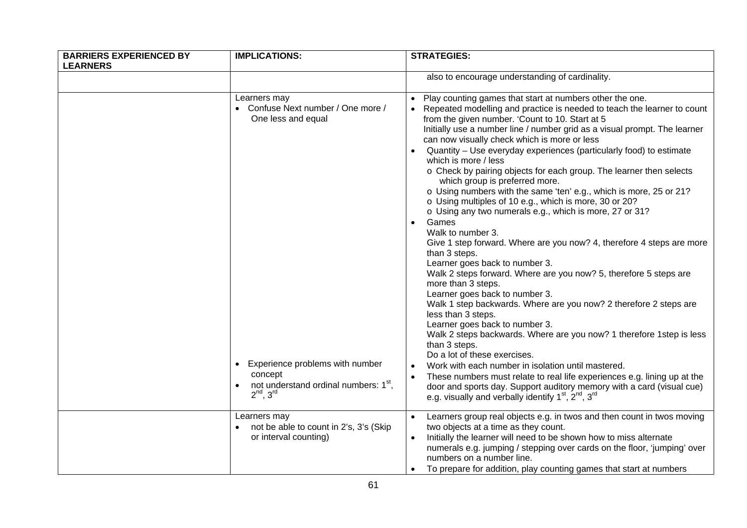| <b>BARRIERS EXPERIENCED BY</b><br><b>LEARNERS</b> | <b>IMPLICATIONS:</b>                                                                                                                                                                             | <b>STRATEGIES:</b>                                                                                                                                                                                                                                                                                                                                                                                                                                                                                                                                                                                                                                                                                                                                                                                                                                                                                                                                                                                                                                                                                                                                                                                                                                                                                                                                                                                                                                                                                                                                                                  |
|---------------------------------------------------|--------------------------------------------------------------------------------------------------------------------------------------------------------------------------------------------------|-------------------------------------------------------------------------------------------------------------------------------------------------------------------------------------------------------------------------------------------------------------------------------------------------------------------------------------------------------------------------------------------------------------------------------------------------------------------------------------------------------------------------------------------------------------------------------------------------------------------------------------------------------------------------------------------------------------------------------------------------------------------------------------------------------------------------------------------------------------------------------------------------------------------------------------------------------------------------------------------------------------------------------------------------------------------------------------------------------------------------------------------------------------------------------------------------------------------------------------------------------------------------------------------------------------------------------------------------------------------------------------------------------------------------------------------------------------------------------------------------------------------------------------------------------------------------------------|
|                                                   |                                                                                                                                                                                                  | also to encourage understanding of cardinality.                                                                                                                                                                                                                                                                                                                                                                                                                                                                                                                                                                                                                                                                                                                                                                                                                                                                                                                                                                                                                                                                                                                                                                                                                                                                                                                                                                                                                                                                                                                                     |
|                                                   | Learners may<br>Confuse Next number / One more /<br>One less and equal<br>Experience problems with number<br>concept<br>not understand ordinal numbers: 1 <sup>st</sup> ,<br>$2^{nd}$ , $3^{rd}$ | Play counting games that start at numbers other the one.<br>Repeated modelling and practice is needed to teach the learner to count<br>from the given number. 'Count to 10. Start at 5<br>Initially use a number line / number grid as a visual prompt. The learner<br>can now visually check which is more or less<br>Quantity - Use everyday experiences (particularly food) to estimate<br>which is more / less<br>o Check by pairing objects for each group. The learner then selects<br>which group is preferred more.<br>o Using numbers with the same 'ten' e.g., which is more, 25 or 21?<br>o Using multiples of 10 e.g., which is more, 30 or 20?<br>o Using any two numerals e.g., which is more, 27 or 31?<br>Games<br>$\bullet$<br>Walk to number 3.<br>Give 1 step forward. Where are you now? 4, therefore 4 steps are more<br>than 3 steps.<br>Learner goes back to number 3.<br>Walk 2 steps forward. Where are you now? 5, therefore 5 steps are<br>more than 3 steps.<br>Learner goes back to number 3.<br>Walk 1 step backwards. Where are you now? 2 therefore 2 steps are<br>less than 3 steps.<br>Learner goes back to number 3.<br>Walk 2 steps backwards. Where are you now? 1 therefore 1 step is less<br>than 3 steps.<br>Do a lot of these exercises.<br>Work with each number in isolation until mastered.<br>$\bullet$<br>These numbers must relate to real life experiences e.g. lining up at the<br>$\bullet$<br>door and sports day. Support auditory memory with a card (visual cue)<br>e.g. visually and verbally identify $1st$ , $2nd$ , $3rd$ |
|                                                   | Learners may<br>not be able to count in 2's, 3's (Skip<br>or interval counting)                                                                                                                  | Learners group real objects e.g. in twos and then count in twos moving<br>two objects at a time as they count.<br>Initially the learner will need to be shown how to miss alternate<br>numerals e.g. jumping / stepping over cards on the floor, 'jumping' over<br>numbers on a number line.<br>To prepare for addition, play counting games that start at numbers                                                                                                                                                                                                                                                                                                                                                                                                                                                                                                                                                                                                                                                                                                                                                                                                                                                                                                                                                                                                                                                                                                                                                                                                                  |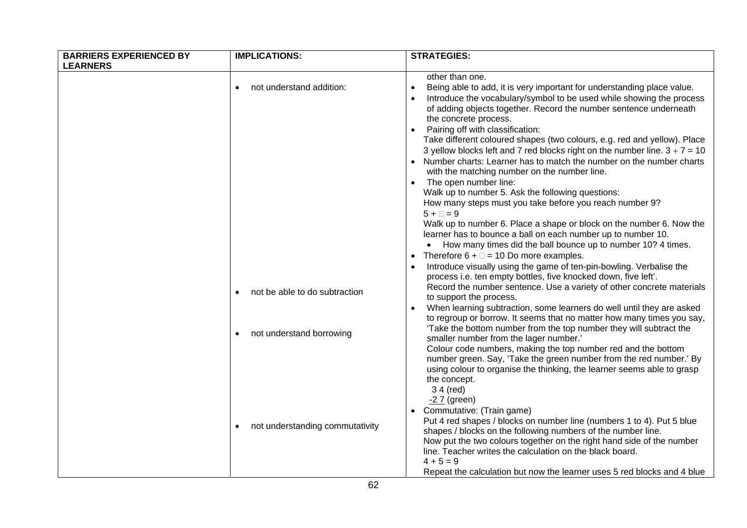| <b>BARRIERS EXPERIENCED BY</b> | <b>IMPLICATIONS:</b>                  | <b>STRATEGIES:</b>                                                                                                                                                                                                                                                                                                                                                                                                                                                                                                                                                                                                                                    |
|--------------------------------|---------------------------------------|-------------------------------------------------------------------------------------------------------------------------------------------------------------------------------------------------------------------------------------------------------------------------------------------------------------------------------------------------------------------------------------------------------------------------------------------------------------------------------------------------------------------------------------------------------------------------------------------------------------------------------------------------------|
| <b>LEARNERS</b>                |                                       |                                                                                                                                                                                                                                                                                                                                                                                                                                                                                                                                                                                                                                                       |
|                                | not understand addition:<br>$\bullet$ | other than one.<br>Being able to add, it is very important for understanding place value.<br>$\bullet$<br>Introduce the vocabulary/symbol to be used while showing the process<br>of adding objects together. Record the number sentence underneath<br>the concrete process.<br>Pairing off with classification:<br>Take different coloured shapes (two colours, e.g. red and yellow). Place<br>3 yellow blocks left and 7 red blocks right on the number line. $3 + 7 = 10$<br>Number charts: Learner has to match the number on the number charts<br>with the matching number on the number line.                                                   |
|                                | not be able to do subtraction         | The open number line:<br>$\bullet$<br>Walk up to number 5. Ask the following questions:<br>How many steps must you take before you reach number 9?<br>$5 + \square = 9$<br>Walk up to number 6. Place a shape or block on the number 6. Now the<br>learner has to bounce a ball on each number up to number 10.<br>• How many times did the ball bounce up to number 10? 4 times.<br>Therefore $6 + \square = 10$ Do more examples.<br>Introduce visually using the game of ten-pin-bowling. Verbalise the<br>process i.e. ten empty bottles, five knocked down, five left'.<br>Record the number sentence. Use a variety of other concrete materials |
|                                | not understand borrowing              | to support the process.<br>When learning subtraction, some learners do well until they are asked<br>to regroup or borrow. It seems that no matter how many times you say,<br>'Take the bottom number from the top number they will subtract the<br>smaller number from the lager number.'<br>Colour code numbers, making the top number red and the bottom<br>number green. Say, 'Take the green number from the red number.' By<br>using colour to organise the thinking, the learner seems able to grasp                                                                                                                                            |
|                                | not understanding commutativity       | the concept.<br>3 4 (red)<br>$-27$ (green)<br>Commutative: (Train game)<br>Put 4 red shapes / blocks on number line (numbers 1 to 4). Put 5 blue<br>shapes / blocks on the following numbers of the number line.<br>Now put the two colours together on the right hand side of the number<br>line. Teacher writes the calculation on the black board.<br>$4 + 5 = 9$<br>Repeat the calculation but now the learner uses 5 red blocks and 4 blue                                                                                                                                                                                                       |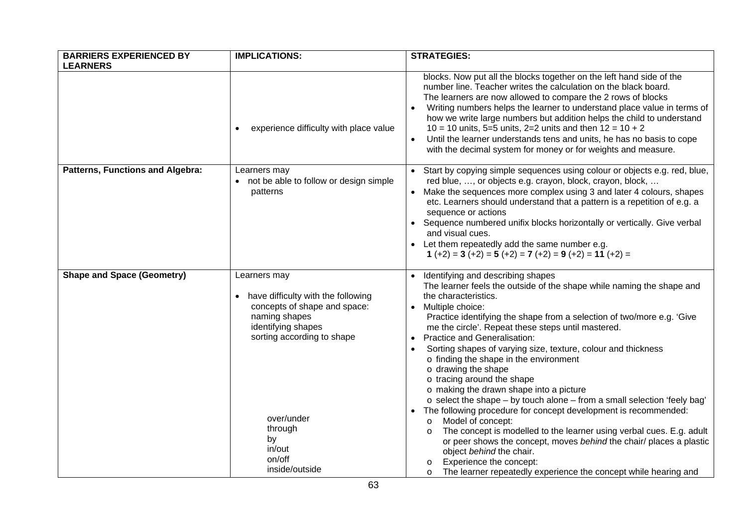| <b>BARRIERS EXPERIENCED BY</b>          | <b>IMPLICATIONS:</b>                                                                                                                                                 | <b>STRATEGIES:</b>                                                                                                                                                                                                                                                                                                                                                                                                                                                                                                                                                                                                                                  |
|-----------------------------------------|----------------------------------------------------------------------------------------------------------------------------------------------------------------------|-----------------------------------------------------------------------------------------------------------------------------------------------------------------------------------------------------------------------------------------------------------------------------------------------------------------------------------------------------------------------------------------------------------------------------------------------------------------------------------------------------------------------------------------------------------------------------------------------------------------------------------------------------|
| <b>LEARNERS</b>                         | experience difficulty with place value                                                                                                                               | blocks. Now put all the blocks together on the left hand side of the<br>number line. Teacher writes the calculation on the black board.<br>The learners are now allowed to compare the 2 rows of blocks<br>Writing numbers helps the learner to understand place value in terms of<br>how we write large numbers but addition helps the child to understand<br>10 = 10 units, 5=5 units, 2=2 units and then $12 = 10 + 2$<br>Until the learner understands tens and units, he has no basis to cope<br>with the decimal system for money or for weights and measure.                                                                                 |
| <b>Patterns, Functions and Algebra:</b> | Learners may<br>• not be able to follow or design simple<br>patterns                                                                                                 | Start by copying simple sequences using colour or objects e.g. red, blue,<br>red blue, , or objects e.g. crayon, block, crayon, block,<br>Make the sequences more complex using 3 and later 4 colours, shapes<br>etc. Learners should understand that a pattern is a repetition of e.g. a<br>sequence or actions<br>• Sequence numbered unifix blocks horizontally or vertically. Give verbal<br>and visual cues.<br>Let them repeatedly add the same number e.g.<br>$1 (+2) = 3 (+2) = 5 (+2) = 7 (+2) = 9 (+2) = 11 (+2) =$                                                                                                                       |
| <b>Shape and Space (Geometry)</b>       | Learners may<br>have difficulty with the following<br>$\bullet$<br>concepts of shape and space:<br>naming shapes<br>identifying shapes<br>sorting according to shape | Identifying and describing shapes<br>The learner feels the outside of the shape while naming the shape and<br>the characteristics.<br>Multiple choice:<br>Practice identifying the shape from a selection of two/more e.g. 'Give<br>me the circle'. Repeat these steps until mastered.<br><b>Practice and Generalisation:</b><br>$\bullet$<br>Sorting shapes of varying size, texture, colour and thickness<br>$\circ$ finding the shape in the environment<br>$\circ$ drawing the shape<br>o tracing around the shape<br>o making the drawn shape into a picture<br>$\circ$ select the shape – by touch alone – from a small selection 'feely bag' |
|                                         | over/under<br>through<br>by<br>in/out<br>on/off<br>inside/outside                                                                                                    | The following procedure for concept development is recommended:<br>$\bullet$<br>Model of concept:<br>$\circ$<br>The concept is modelled to the learner using verbal cues. E.g. adult<br>$\circ$<br>or peer shows the concept, moves behind the chair/ places a plastic<br>object behind the chair.<br>Experience the concept:<br>$\circ$<br>The learner repeatedly experience the concept while hearing and<br>$\circ$                                                                                                                                                                                                                              |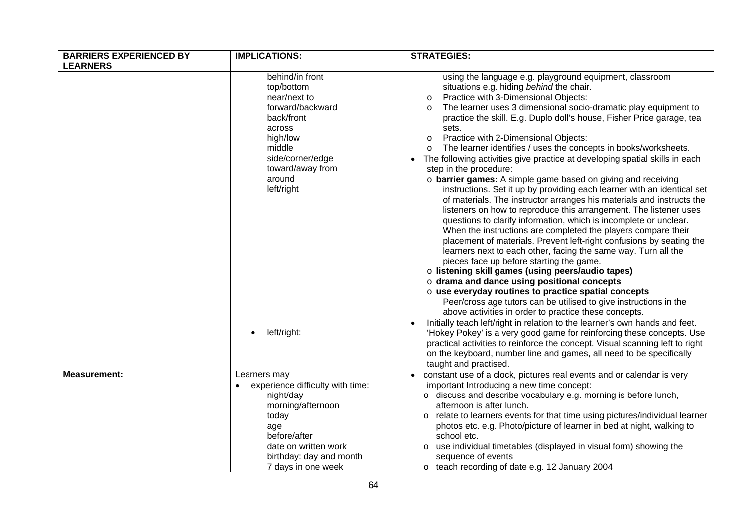| <b>BARRIERS EXPERIENCED BY</b> | <b>IMPLICATIONS:</b>                                                                                                                                                                                        | <b>STRATEGIES:</b>                                                                                                                                                                                                                                                                                                                                                                                                                                                                                                                                                                                                                                                                                                                                                                                                                                                                                                                                                                                                                                                                                                                                                                                                                                                                                                                                                                                                                                                                                                                                                                                                                                                |
|--------------------------------|-------------------------------------------------------------------------------------------------------------------------------------------------------------------------------------------------------------|-------------------------------------------------------------------------------------------------------------------------------------------------------------------------------------------------------------------------------------------------------------------------------------------------------------------------------------------------------------------------------------------------------------------------------------------------------------------------------------------------------------------------------------------------------------------------------------------------------------------------------------------------------------------------------------------------------------------------------------------------------------------------------------------------------------------------------------------------------------------------------------------------------------------------------------------------------------------------------------------------------------------------------------------------------------------------------------------------------------------------------------------------------------------------------------------------------------------------------------------------------------------------------------------------------------------------------------------------------------------------------------------------------------------------------------------------------------------------------------------------------------------------------------------------------------------------------------------------------------------------------------------------------------------|
| <b>LEARNERS</b>                |                                                                                                                                                                                                             |                                                                                                                                                                                                                                                                                                                                                                                                                                                                                                                                                                                                                                                                                                                                                                                                                                                                                                                                                                                                                                                                                                                                                                                                                                                                                                                                                                                                                                                                                                                                                                                                                                                                   |
|                                | behind/in front<br>top/bottom<br>near/next to<br>forward/backward<br>back/front<br>across<br>high/low<br>middle<br>side/corner/edge<br>toward/away from<br>around<br>left/right<br>left/right:<br>$\bullet$ | using the language e.g. playground equipment, classroom<br>situations e.g. hiding behind the chair.<br>Practice with 3-Dimensional Objects:<br>$\circ$<br>The learner uses 3 dimensional socio-dramatic play equipment to<br>$\circ$<br>practice the skill. E.g. Duplo doll's house, Fisher Price garage, tea<br>sets.<br>Practice with 2-Dimensional Objects:<br>$\circ$<br>The learner identifies / uses the concepts in books/worksheets.<br>$\circ$<br>The following activities give practice at developing spatial skills in each<br>$\bullet$<br>step in the procedure:<br>o barrier games: A simple game based on giving and receiving<br>instructions. Set it up by providing each learner with an identical set<br>of materials. The instructor arranges his materials and instructs the<br>listeners on how to reproduce this arrangement. The listener uses<br>questions to clarify information, which is incomplete or unclear.<br>When the instructions are completed the players compare their<br>placement of materials. Prevent left-right confusions by seating the<br>learners next to each other, facing the same way. Turn all the<br>pieces face up before starting the game.<br>o listening skill games (using peers/audio tapes)<br>o drama and dance using positional concepts<br>o use everyday routines to practice spatial concepts<br>Peer/cross age tutors can be utilised to give instructions in the<br>above activities in order to practice these concepts.<br>Initially teach left/right in relation to the learner's own hands and feet.<br>$\bullet$<br>'Hokey Pokey' is a very good game for reinforcing these concepts. Use |
|                                |                                                                                                                                                                                                             | practical activities to reinforce the concept. Visual scanning left to right<br>on the keyboard, number line and games, all need to be specifically<br>taught and practised.                                                                                                                                                                                                                                                                                                                                                                                                                                                                                                                                                                                                                                                                                                                                                                                                                                                                                                                                                                                                                                                                                                                                                                                                                                                                                                                                                                                                                                                                                      |
| <b>Measurement:</b>            | Learners may                                                                                                                                                                                                | constant use of a clock, pictures real events and or calendar is very<br>$\bullet$                                                                                                                                                                                                                                                                                                                                                                                                                                                                                                                                                                                                                                                                                                                                                                                                                                                                                                                                                                                                                                                                                                                                                                                                                                                                                                                                                                                                                                                                                                                                                                                |
|                                | experience difficulty with time:<br>$\bullet$<br>night/day<br>morning/afternoon<br>today<br>age<br>before/after<br>date on written work<br>birthday: day and month<br>7 days in one week                    | important Introducing a new time concept:<br>o discuss and describe vocabulary e.g. morning is before lunch,<br>afternoon is after lunch.<br>o relate to learners events for that time using pictures/individual learner<br>photos etc. e.g. Photo/picture of learner in bed at night, walking to<br>school etc.<br>o use individual timetables (displayed in visual form) showing the<br>sequence of events<br>o teach recording of date e.g. 12 January 2004                                                                                                                                                                                                                                                                                                                                                                                                                                                                                                                                                                                                                                                                                                                                                                                                                                                                                                                                                                                                                                                                                                                                                                                                    |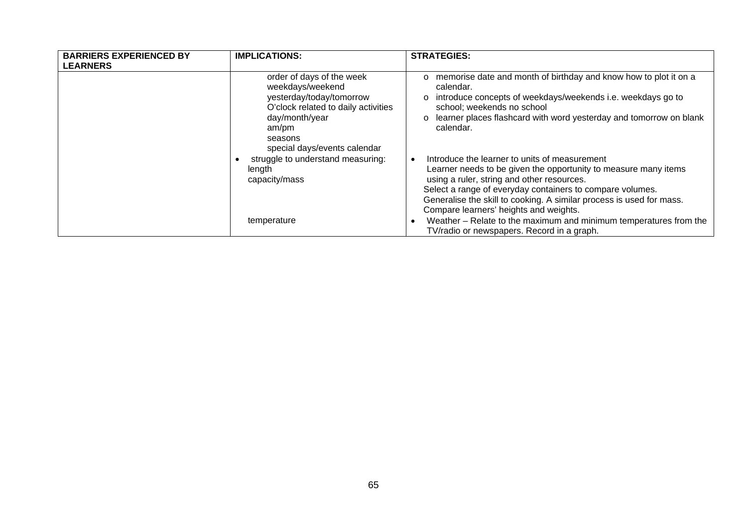| <b>BARRIERS EXPERIENCED BY</b> | <b>IMPLICATIONS:</b>                                                                                                                                                                   | <b>STRATEGIES:</b>                                                                                                                                                                                                                                                                                                                                                                                                              |
|--------------------------------|----------------------------------------------------------------------------------------------------------------------------------------------------------------------------------------|---------------------------------------------------------------------------------------------------------------------------------------------------------------------------------------------------------------------------------------------------------------------------------------------------------------------------------------------------------------------------------------------------------------------------------|
| <b>LEARNERS</b>                |                                                                                                                                                                                        |                                                                                                                                                                                                                                                                                                                                                                                                                                 |
|                                | order of days of the week<br>weekdays/weekend<br>yesterday/today/tomorrow<br>O'clock related to daily activities<br>day/month/year<br>am/pm<br>seasons<br>special days/events calendar | o memorise date and month of birthday and know how to plot it on a<br>calendar.<br>o introduce concepts of weekdays/weekends i.e. weekdays go to<br>school; weekends no school<br>o learner places flashcard with word yesterday and tomorrow on blank<br>calendar.                                                                                                                                                             |
|                                | struggle to understand measuring:<br>length<br>capacity/mass<br>temperature                                                                                                            | Introduce the learner to units of measurement<br>$\bullet$<br>Learner needs to be given the opportunity to measure many items<br>using a ruler, string and other resources.<br>Select a range of everyday containers to compare volumes.<br>Generalise the skill to cooking. A similar process is used for mass.<br>Compare learners' heights and weights.<br>Weather – Relate to the maximum and minimum temperatures from the |
|                                |                                                                                                                                                                                        | TV/radio or newspapers. Record in a graph.                                                                                                                                                                                                                                                                                                                                                                                      |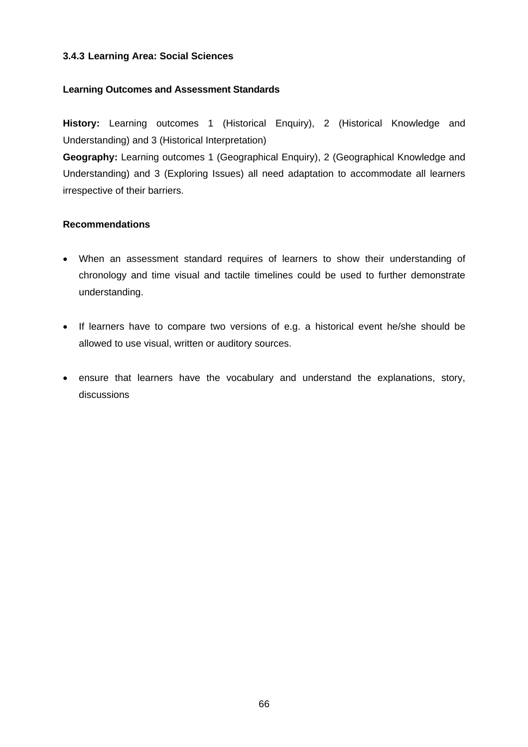### **3.4.3 Learning Area: Social Sciences**

# **Learning Outcomes and Assessment Standards**

**History:** Learning outcomes 1 (Historical Enquiry), 2 (Historical Knowledge and Understanding) and 3 (Historical Interpretation)

**Geography:** Learning outcomes 1 (Geographical Enquiry), 2 (Geographical Knowledge and Understanding) and 3 (Exploring Issues) all need adaptation to accommodate all learners irrespective of their barriers.

#### **Recommendations**

- When an assessment standard requires of learners to show their understanding of chronology and time visual and tactile timelines could be used to further demonstrate understanding.
- If learners have to compare two versions of e.g. a historical event he/she should be allowed to use visual, written or auditory sources.
- ensure that learners have the vocabulary and understand the explanations, story, discussions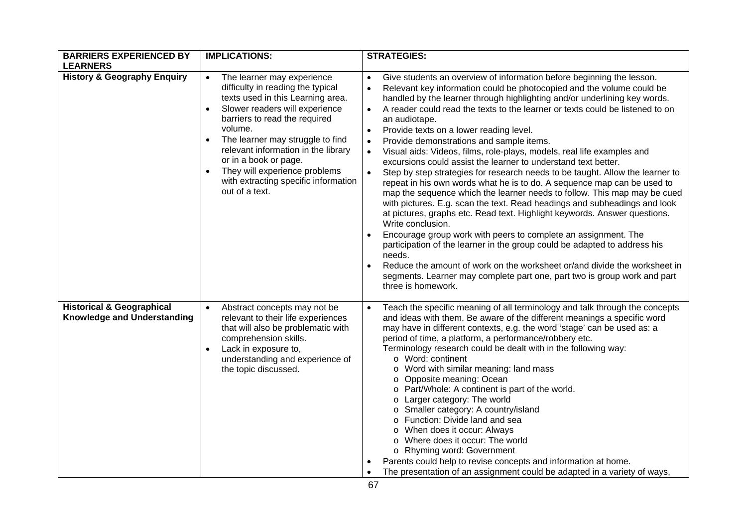| <b>BARRIERS EXPERIENCED BY</b>                                             | <b>IMPLICATIONS:</b>                                                                                                                                                                                                                                                                                                                                                                                        | <b>STRATEGIES:</b>                                                                                                                                                                                                                                                                                                                                                                                                                                                                                                                                                                                                                                                                                                                                                                                                                                                                                                                                                                                                                                                                                                                                                                                                                                                                                                                                                                                                         |
|----------------------------------------------------------------------------|-------------------------------------------------------------------------------------------------------------------------------------------------------------------------------------------------------------------------------------------------------------------------------------------------------------------------------------------------------------------------------------------------------------|----------------------------------------------------------------------------------------------------------------------------------------------------------------------------------------------------------------------------------------------------------------------------------------------------------------------------------------------------------------------------------------------------------------------------------------------------------------------------------------------------------------------------------------------------------------------------------------------------------------------------------------------------------------------------------------------------------------------------------------------------------------------------------------------------------------------------------------------------------------------------------------------------------------------------------------------------------------------------------------------------------------------------------------------------------------------------------------------------------------------------------------------------------------------------------------------------------------------------------------------------------------------------------------------------------------------------------------------------------------------------------------------------------------------------|
| <b>LEARNERS</b><br><b>History &amp; Geography Enquiry</b>                  | The learner may experience<br>$\bullet$<br>difficulty in reading the typical<br>texts used in this Learning area.<br>Slower readers will experience<br>$\bullet$<br>barriers to read the required<br>volume.<br>The learner may struggle to find<br>relevant information in the library<br>or in a book or page.<br>They will experience problems<br>with extracting specific information<br>out of a text. | Give students an overview of information before beginning the lesson.<br>$\bullet$<br>Relevant key information could be photocopied and the volume could be<br>handled by the learner through highlighting and/or underlining key words.<br>A reader could read the texts to the learner or texts could be listened to on<br>$\bullet$<br>an audiotape.<br>Provide texts on a lower reading level.<br>$\bullet$<br>Provide demonstrations and sample items.<br>$\bullet$<br>Visual aids: Videos, films, role-plays, models, real life examples and<br>$\bullet$<br>excursions could assist the learner to understand text better.<br>Step by step strategies for research needs to be taught. Allow the learner to<br>$\bullet$<br>repeat in his own words what he is to do. A sequence map can be used to<br>map the sequence which the learner needs to follow. This map may be cued<br>with pictures. E.g. scan the text. Read headings and subheadings and look<br>at pictures, graphs etc. Read text. Highlight keywords. Answer questions.<br>Write conclusion.<br>Encourage group work with peers to complete an assignment. The<br>$\bullet$<br>participation of the learner in the group could be adapted to address his<br>needs.<br>Reduce the amount of work on the worksheet or/and divide the worksheet in<br>segments. Learner may complete part one, part two is group work and part<br>three is homework. |
| <b>Historical &amp; Geographical</b><br><b>Knowledge and Understanding</b> | Abstract concepts may not be<br>relevant to their life experiences<br>that will also be problematic with<br>comprehension skills.<br>Lack in exposure to,<br>understanding and experience of<br>the topic discussed.                                                                                                                                                                                        | Teach the specific meaning of all terminology and talk through the concepts<br>$\bullet$<br>and ideas with them. Be aware of the different meanings a specific word<br>may have in different contexts, e.g. the word 'stage' can be used as: a<br>period of time, a platform, a performance/robbery etc.<br>Terminology research could be dealt with in the following way:<br>o Word: continent<br>o Word with similar meaning: land mass<br>o Opposite meaning: Ocean<br>o Part/Whole: A continent is part of the world.<br>o Larger category: The world<br>o Smaller category: A country/island<br>o Function: Divide land and sea<br>o When does it occur: Always<br>o Where does it occur: The world<br>o Rhyming word: Government<br>Parents could help to revise concepts and information at home.<br>The presentation of an assignment could be adapted in a variety of ways,                                                                                                                                                                                                                                                                                                                                                                                                                                                                                                                                       |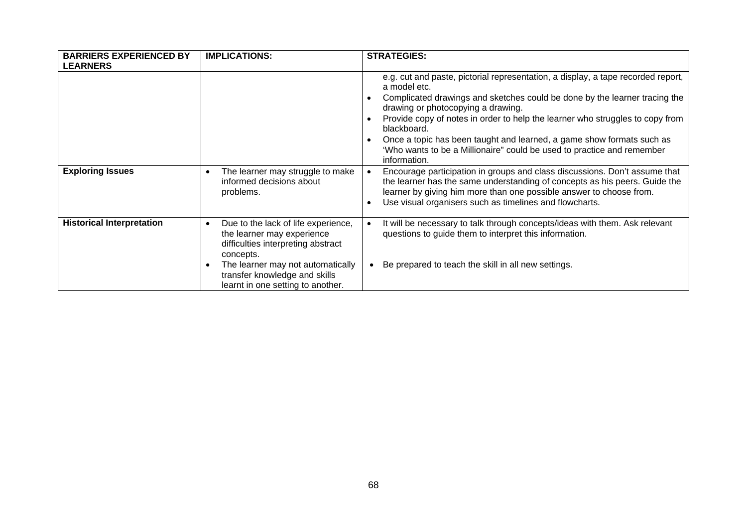| <b>BARRIERS EXPERIENCED BY</b>   | <b>IMPLICATIONS:</b>                                                                                                                                                   | <b>STRATEGIES:</b>                                                                                                                                                                                                                                                                                                                                                                                                                                                                                                                                                                                                                                                                                                                                                                    |
|----------------------------------|------------------------------------------------------------------------------------------------------------------------------------------------------------------------|---------------------------------------------------------------------------------------------------------------------------------------------------------------------------------------------------------------------------------------------------------------------------------------------------------------------------------------------------------------------------------------------------------------------------------------------------------------------------------------------------------------------------------------------------------------------------------------------------------------------------------------------------------------------------------------------------------------------------------------------------------------------------------------|
| <b>LEARNERS</b>                  |                                                                                                                                                                        |                                                                                                                                                                                                                                                                                                                                                                                                                                                                                                                                                                                                                                                                                                                                                                                       |
| <b>Exploring Issues</b>          | The learner may struggle to make<br>informed decisions about<br>problems.                                                                                              | e.g. cut and paste, pictorial representation, a display, a tape recorded report,<br>a model etc.<br>Complicated drawings and sketches could be done by the learner tracing the<br>drawing or photocopying a drawing.<br>Provide copy of notes in order to help the learner who struggles to copy from<br>blackboard.<br>Once a topic has been taught and learned, a game show formats such as<br>'Who wants to be a Millionaire" could be used to practice and remember<br>information.<br>Encourage participation in groups and class discussions. Don't assume that<br>the learner has the same understanding of concepts as his peers. Guide the<br>learner by giving him more than one possible answer to choose from.<br>Use visual organisers such as timelines and flowcharts. |
| <b>Historical Interpretation</b> | Due to the lack of life experience,<br>$\bullet$<br>the learner may experience<br>difficulties interpreting abstract<br>concepts.<br>The learner may not automatically | It will be necessary to talk through concepts/ideas with them. Ask relevant<br>questions to guide them to interpret this information.<br>Be prepared to teach the skill in all new settings.                                                                                                                                                                                                                                                                                                                                                                                                                                                                                                                                                                                          |
|                                  | transfer knowledge and skills<br>learnt in one setting to another.                                                                                                     |                                                                                                                                                                                                                                                                                                                                                                                                                                                                                                                                                                                                                                                                                                                                                                                       |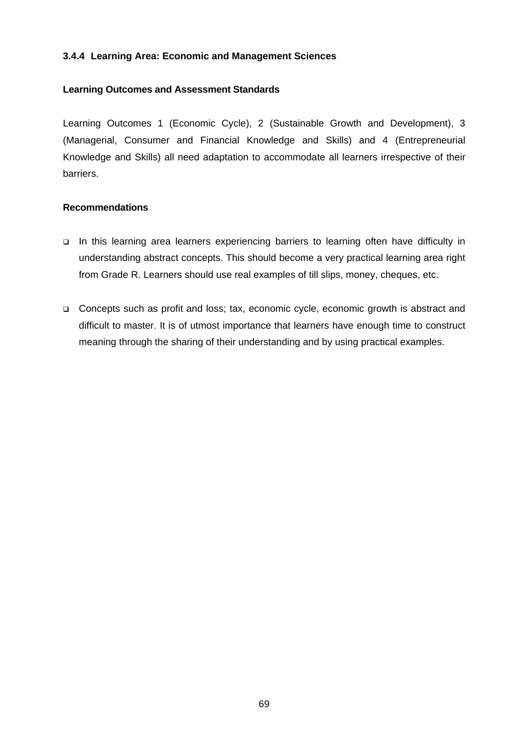### **3.4.4 Learning Area: Economic and Management Sciences**

# **Learning Outcomes and Assessment Standards**

Learning Outcomes 1 (Economic Cycle), 2 (Sustainable Growth and Development), 3 (Managerial, Consumer and Financial Knowledge and Skills) and 4 (Entrepreneurial Knowledge and Skills) all need adaptation to accommodate all learners irrespective of their barriers.

#### **Recommendations**

- □ In this learning area learners experiencing barriers to learning often have difficulty in understanding abstract concepts. This should become a very practical learning area right from Grade R. Learners should use real examples of till slips, money, cheques, etc.
- Concepts such as profit and loss; tax, economic cycle, economic growth is abstract and difficult to master. It is of utmost importance that learners have enough time to construct meaning through the sharing of their understanding and by using practical examples.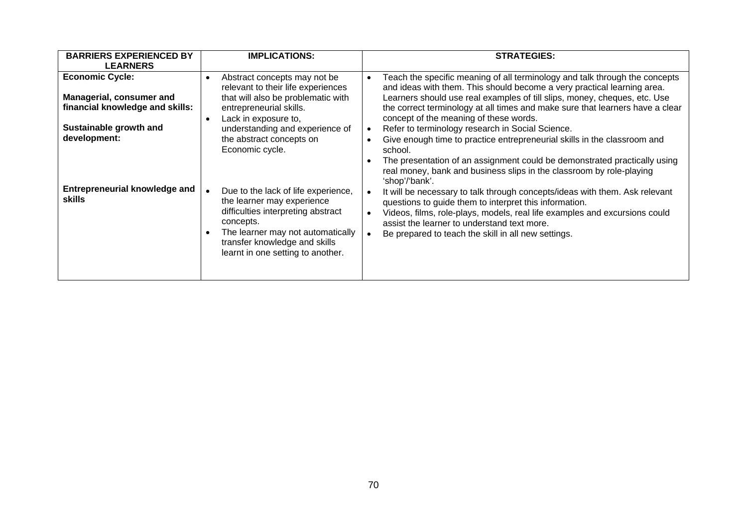| <b>BARRIERS EXPERIENCED BY</b>                                                        | <b>IMPLICATIONS:</b>                                                                                                                                                                     | <b>STRATEGIES:</b>                                                                                                                                                                                                                                                                                                                                             |
|---------------------------------------------------------------------------------------|------------------------------------------------------------------------------------------------------------------------------------------------------------------------------------------|----------------------------------------------------------------------------------------------------------------------------------------------------------------------------------------------------------------------------------------------------------------------------------------------------------------------------------------------------------------|
| <b>LEARNERS</b>                                                                       |                                                                                                                                                                                          |                                                                                                                                                                                                                                                                                                                                                                |
| <b>Economic Cycle:</b><br>Managerial, consumer and<br>financial knowledge and skills: | Abstract concepts may not be<br>relevant to their life experiences<br>that will also be problematic with<br>entrepreneurial skills.<br>Lack in exposure to,                              | Teach the specific meaning of all terminology and talk through the concepts<br>and ideas with them. This should become a very practical learning area.<br>Learners should use real examples of till slips, money, cheques, etc. Use<br>the correct terminology at all times and make sure that learners have a clear<br>concept of the meaning of these words. |
| Sustainable growth and                                                                | understanding and experience of                                                                                                                                                          | Refer to terminology research in Social Science.                                                                                                                                                                                                                                                                                                               |
| development:<br>Entrepreneurial knowledge and                                         | the abstract concepts on<br>Economic cycle.<br>Due to the lack of life experience,                                                                                                       | Give enough time to practice entrepreneurial skills in the classroom and<br>school.<br>The presentation of an assignment could be demonstrated practically using<br>real money, bank and business slips in the classroom by role-playing<br>'shop'/'bank'.<br>It will be necessary to talk through concepts/ideas with them. Ask relevant                      |
| skills                                                                                | the learner may experience<br>difficulties interpreting abstract<br>concepts.<br>The learner may not automatically<br>transfer knowledge and skills<br>learnt in one setting to another. | questions to guide them to interpret this information.<br>Videos, films, role-plays, models, real life examples and excursions could<br>assist the learner to understand text more.<br>Be prepared to teach the skill in all new settings.                                                                                                                     |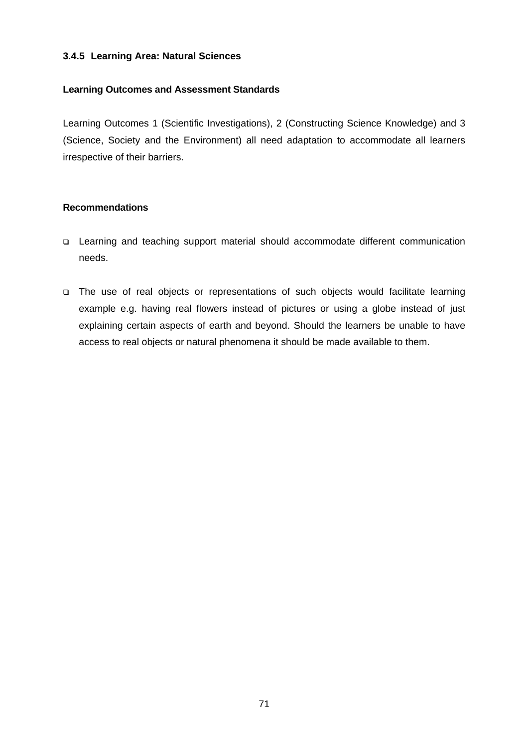#### **3.4.5 Learning Area: Natural Sciences**

# **Learning Outcomes and Assessment Standards**

Learning Outcomes 1 (Scientific Investigations), 2 (Constructing Science Knowledge) and 3 (Science, Society and the Environment) all need adaptation to accommodate all learners irrespective of their barriers.

#### **Recommendations**

- Learning and teaching support material should accommodate different communication needs.
- The use of real objects or representations of such objects would facilitate learning example e.g. having real flowers instead of pictures or using a globe instead of just explaining certain aspects of earth and beyond. Should the learners be unable to have access to real objects or natural phenomena it should be made available to them.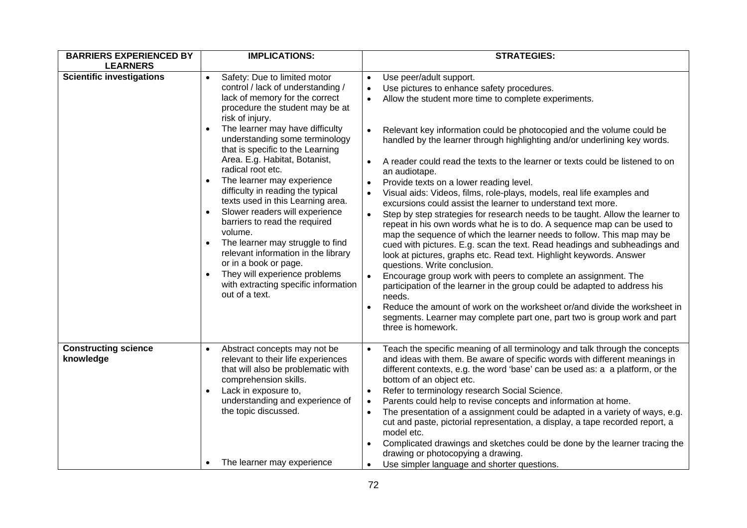| <b>BARRIERS EXPERIENCED BY</b>                      | <b>IMPLICATIONS:</b>                                                                                                                                                                                                                                                                                                                                                                                                                                                                                                                                                                                                                         | <b>STRATEGIES:</b>                                                                                                                                                                                                                                                                                                                                                                                                                                                                                                                                                                                                                                                                                                                                                                                                                                                                                                                                                                                                       |
|-----------------------------------------------------|----------------------------------------------------------------------------------------------------------------------------------------------------------------------------------------------------------------------------------------------------------------------------------------------------------------------------------------------------------------------------------------------------------------------------------------------------------------------------------------------------------------------------------------------------------------------------------------------------------------------------------------------|--------------------------------------------------------------------------------------------------------------------------------------------------------------------------------------------------------------------------------------------------------------------------------------------------------------------------------------------------------------------------------------------------------------------------------------------------------------------------------------------------------------------------------------------------------------------------------------------------------------------------------------------------------------------------------------------------------------------------------------------------------------------------------------------------------------------------------------------------------------------------------------------------------------------------------------------------------------------------------------------------------------------------|
|                                                     |                                                                                                                                                                                                                                                                                                                                                                                                                                                                                                                                                                                                                                              |                                                                                                                                                                                                                                                                                                                                                                                                                                                                                                                                                                                                                                                                                                                                                                                                                                                                                                                                                                                                                          |
| <b>LEARNERS</b><br><b>Scientific investigations</b> | Safety: Due to limited motor<br>control / lack of understanding /<br>lack of memory for the correct<br>procedure the student may be at<br>risk of injury.<br>The learner may have difficulty<br>understanding some terminology<br>that is specific to the Learning<br>Area. E.g. Habitat, Botanist,<br>radical root etc.<br>The learner may experience<br>$\bullet$<br>difficulty in reading the typical<br>texts used in this Learning area.<br>Slower readers will experience<br>barriers to read the required<br>volume.<br>The learner may struggle to find<br>$\bullet$<br>relevant information in the library<br>or in a book or page. | Use peer/adult support.<br>Use pictures to enhance safety procedures.<br>$\bullet$<br>Allow the student more time to complete experiments.<br>$\bullet$<br>Relevant key information could be photocopied and the volume could be<br>handled by the learner through highlighting and/or underlining key words.<br>A reader could read the texts to the learner or texts could be listened to on<br>an audiotape.<br>Provide texts on a lower reading level.<br>$\bullet$<br>Visual aids: Videos, films, role-plays, models, real life examples and<br>$\bullet$<br>excursions could assist the learner to understand text more.<br>Step by step strategies for research needs to be taught. Allow the learner to<br>repeat in his own words what he is to do. A sequence map can be used to<br>map the sequence of which the learner needs to follow. This map may be<br>cued with pictures. E.g. scan the text. Read headings and subheadings and<br>look at pictures, graphs etc. Read text. Highlight keywords. Answer |
|                                                     | They will experience problems<br>with extracting specific information<br>out of a text.                                                                                                                                                                                                                                                                                                                                                                                                                                                                                                                                                      | questions. Write conclusion.<br>Encourage group work with peers to complete an assignment. The<br>participation of the learner in the group could be adapted to address his<br>needs.<br>Reduce the amount of work on the worksheet or/and divide the worksheet in<br>segments. Learner may complete part one, part two is group work and part<br>three is homework.                                                                                                                                                                                                                                                                                                                                                                                                                                                                                                                                                                                                                                                     |
| <b>Constructing science</b><br>knowledge            | Abstract concepts may not be<br>$\bullet$<br>relevant to their life experiences<br>that will also be problematic with<br>comprehension skills.<br>Lack in exposure to,<br>$\bullet$<br>understanding and experience of<br>the topic discussed.<br>The learner may experience                                                                                                                                                                                                                                                                                                                                                                 | Teach the specific meaning of all terminology and talk through the concepts<br>and ideas with them. Be aware of specific words with different meanings in<br>different contexts, e.g. the word 'base' can be used as: a a platform, or the<br>bottom of an object etc.<br>Refer to terminology research Social Science.<br>$\bullet$<br>Parents could help to revise concepts and information at home.<br>$\bullet$<br>The presentation of a assignment could be adapted in a variety of ways, e.g.<br>$\bullet$<br>cut and paste, pictorial representation, a display, a tape recorded report, a<br>model etc.<br>Complicated drawings and sketches could be done by the learner tracing the<br>drawing or photocopying a drawing.<br>Use simpler language and shorter questions.                                                                                                                                                                                                                                       |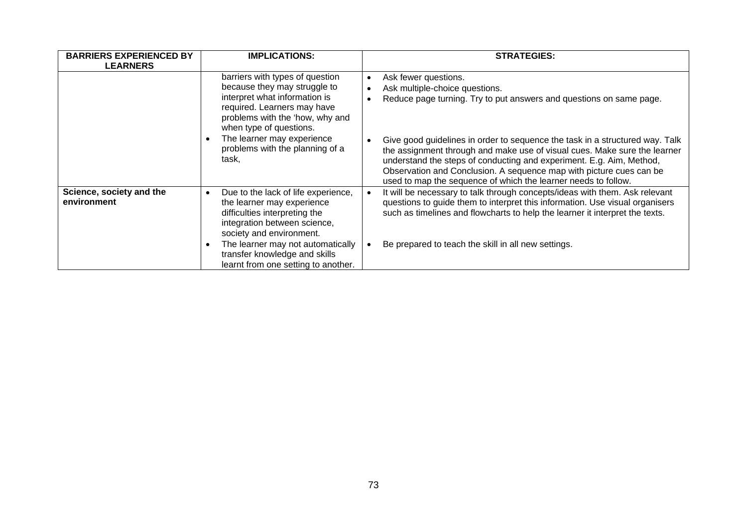| <b>BARRIERS EXPERIENCED BY</b><br><b>LEARNERS</b> | <b>IMPLICATIONS:</b>                                                                                                                                                                                                                                                    | <b>STRATEGIES:</b>                                                                                                                                                                                                                                                                                                                                                                                                                                                                                          |
|---------------------------------------------------|-------------------------------------------------------------------------------------------------------------------------------------------------------------------------------------------------------------------------------------------------------------------------|-------------------------------------------------------------------------------------------------------------------------------------------------------------------------------------------------------------------------------------------------------------------------------------------------------------------------------------------------------------------------------------------------------------------------------------------------------------------------------------------------------------|
|                                                   | barriers with types of question<br>because they may struggle to<br>interpret what information is<br>required. Learners may have<br>problems with the 'how, why and<br>when type of questions.<br>The learner may experience<br>problems with the planning of a<br>task, | Ask fewer questions.<br>Ask multiple-choice questions.<br>Reduce page turning. Try to put answers and questions on same page.<br>Give good guidelines in order to sequence the task in a structured way. Talk<br>the assignment through and make use of visual cues. Make sure the learner<br>understand the steps of conducting and experiment. E.g. Aim, Method,<br>Observation and Conclusion. A sequence map with picture cues can be<br>used to map the sequence of which the learner needs to follow. |
| Science, society and the<br>environment           | Due to the lack of life experience,<br>the learner may experience<br>difficulties interpreting the<br>integration between science,<br>society and environment.                                                                                                          | It will be necessary to talk through concepts/ideas with them. Ask relevant<br>questions to guide them to interpret this information. Use visual organisers<br>such as timelines and flowcharts to help the learner it interpret the texts.                                                                                                                                                                                                                                                                 |
|                                                   | The learner may not automatically<br>transfer knowledge and skills<br>learnt from one setting to another.                                                                                                                                                               | Be prepared to teach the skill in all new settings.                                                                                                                                                                                                                                                                                                                                                                                                                                                         |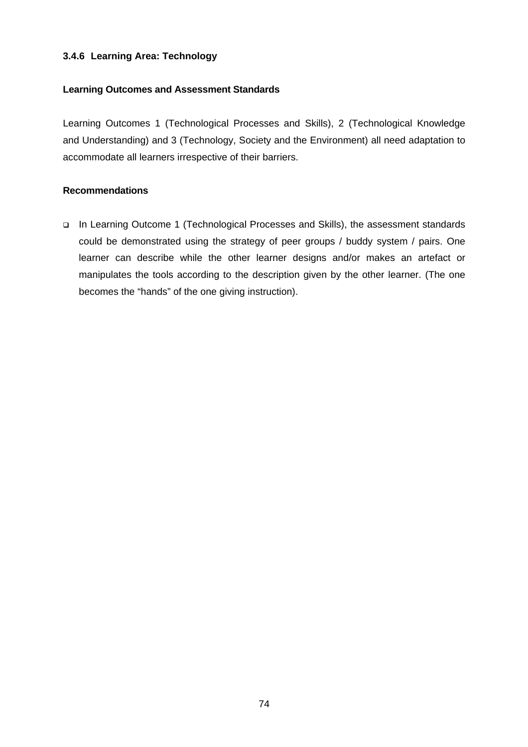#### **3.4.6 Learning Area: Technology**

#### **Learning Outcomes and Assessment Standards**

Learning Outcomes 1 (Technological Processes and Skills), 2 (Technological Knowledge and Understanding) and 3 (Technology, Society and the Environment) all need adaptation to accommodate all learners irrespective of their barriers.

#### **Recommendations**

 In Learning Outcome 1 (Technological Processes and Skills), the assessment standards could be demonstrated using the strategy of peer groups / buddy system / pairs. One learner can describe while the other learner designs and/or makes an artefact or manipulates the tools according to the description given by the other learner. (The one becomes the "hands" of the one giving instruction).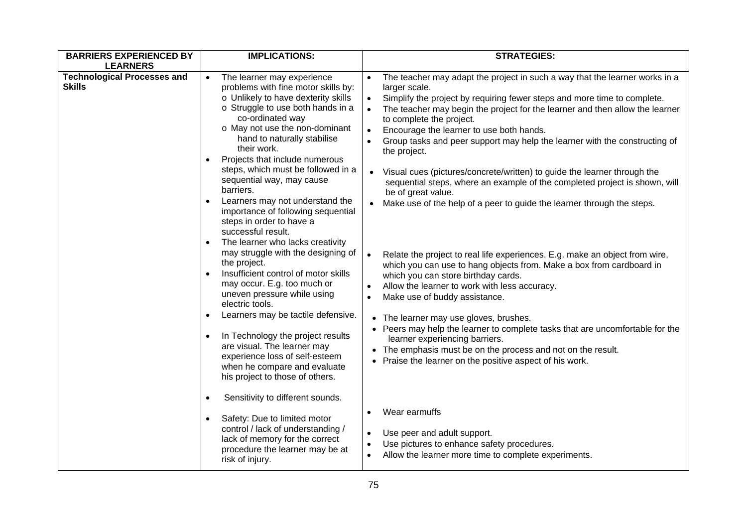| <b>BARRIERS EXPERIENCED BY</b>                      | <b>IMPLICATIONS:</b>                                                                                                                                                                                                                                                                                                                                                                                                                                                                                        | <b>STRATEGIES:</b>                                                                                                                                                                                                                                                                                                                                                                                                                                                                                                                                                                                                                                                                                                 |  |  |
|-----------------------------------------------------|-------------------------------------------------------------------------------------------------------------------------------------------------------------------------------------------------------------------------------------------------------------------------------------------------------------------------------------------------------------------------------------------------------------------------------------------------------------------------------------------------------------|--------------------------------------------------------------------------------------------------------------------------------------------------------------------------------------------------------------------------------------------------------------------------------------------------------------------------------------------------------------------------------------------------------------------------------------------------------------------------------------------------------------------------------------------------------------------------------------------------------------------------------------------------------------------------------------------------------------------|--|--|
| <b>LEARNERS</b>                                     |                                                                                                                                                                                                                                                                                                                                                                                                                                                                                                             |                                                                                                                                                                                                                                                                                                                                                                                                                                                                                                                                                                                                                                                                                                                    |  |  |
| <b>Technological Processes and</b><br><b>Skills</b> | The learner may experience<br>problems with fine motor skills by:<br>o Unlikely to have dexterity skills<br>o Struggle to use both hands in a<br>co-ordinated way<br>o May not use the non-dominant<br>hand to naturally stabilise<br>their work.<br>Projects that include numerous<br>$\bullet$<br>steps, which must be followed in a<br>sequential way, may cause<br>barriers.<br>Learners may not understand the<br>importance of following sequential<br>steps in order to have a<br>successful result. | The teacher may adapt the project in such a way that the learner works in a<br>larger scale.<br>Simplify the project by requiring fewer steps and more time to complete.<br>$\bullet$<br>The teacher may begin the project for the learner and then allow the learner<br>to complete the project.<br>Encourage the learner to use both hands.<br>$\bullet$<br>Group tasks and peer support may help the learner with the constructing of<br>the project.<br>Visual cues (pictures/concrete/written) to guide the learner through the<br>sequential steps, where an example of the completed project is shown, will<br>be of great value.<br>Make use of the help of a peer to guide the learner through the steps. |  |  |
|                                                     | The learner who lacks creativity<br>may struggle with the designing of<br>the project.<br>Insufficient control of motor skills<br>may occur. E.g. too much or<br>uneven pressure while using<br>electric tools.<br>Learners may be tactile defensive.<br>$\bullet$<br>In Technology the project results<br>$\bullet$<br>are visual. The learner may<br>experience loss of self-esteem<br>when he compare and evaluate<br>his project to those of others.                                                    | Relate the project to real life experiences. E.g. make an object from wire,<br>$\bullet$<br>which you can use to hang objects from. Make a box from cardboard in<br>which you can store birthday cards.<br>Allow the learner to work with less accuracy.<br>Make use of buddy assistance.<br>$\bullet$<br>• The learner may use gloves, brushes.<br>• Peers may help the learner to complete tasks that are uncomfortable for the<br>learner experiencing barriers.<br>• The emphasis must be on the process and not on the result.<br>• Praise the learner on the positive aspect of his work.                                                                                                                    |  |  |
|                                                     | Sensitivity to different sounds.<br>$\bullet$<br>Safety: Due to limited motor<br>$\bullet$<br>control / lack of understanding /<br>lack of memory for the correct<br>procedure the learner may be at<br>risk of injury.                                                                                                                                                                                                                                                                                     | Wear earmuffs<br>$\bullet$<br>Use peer and adult support.<br>$\bullet$<br>Use pictures to enhance safety procedures.<br>Allow the learner more time to complete experiments.                                                                                                                                                                                                                                                                                                                                                                                                                                                                                                                                       |  |  |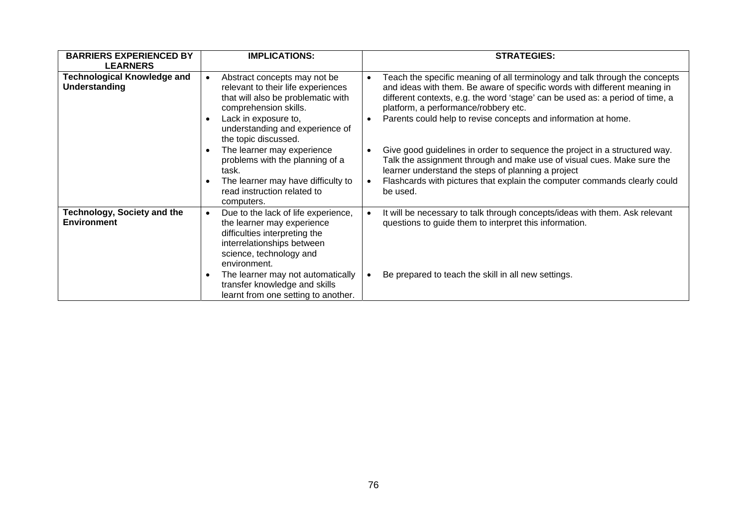| <b>BARRIERS EXPERIENCED BY</b>                                                                                                                                                                                                                | <b>IMPLICATIONS:</b>                                                                                                                                                                                                 | <b>STRATEGIES:</b>                                                                                                                                                                                                                                                                                                                                  |  |  |
|-----------------------------------------------------------------------------------------------------------------------------------------------------------------------------------------------------------------------------------------------|----------------------------------------------------------------------------------------------------------------------------------------------------------------------------------------------------------------------|-----------------------------------------------------------------------------------------------------------------------------------------------------------------------------------------------------------------------------------------------------------------------------------------------------------------------------------------------------|--|--|
| <b>LEARNERS</b><br><b>Technological Knowledge and</b><br>Understanding                                                                                                                                                                        | Abstract concepts may not be<br>relevant to their life experiences<br>that will also be problematic with<br>comprehension skills.<br>Lack in exposure to,<br>understanding and experience of<br>the topic discussed. | Teach the specific meaning of all terminology and talk through the concepts<br>and ideas with them. Be aware of specific words with different meaning in<br>different contexts, e.g. the word 'stage' can be used as: a period of time, a<br>platform, a performance/robbery etc.<br>Parents could help to revise concepts and information at home. |  |  |
|                                                                                                                                                                                                                                               | The learner may experience<br>problems with the planning of a<br>task.<br>The learner may have difficulty to                                                                                                         | Give good guidelines in order to sequence the project in a structured way.<br>Talk the assignment through and make use of visual cues. Make sure the<br>learner understand the steps of planning a project<br>Flashcards with pictures that explain the computer commands clearly could                                                             |  |  |
|                                                                                                                                                                                                                                               | read instruction related to<br>computers.                                                                                                                                                                            | be used.                                                                                                                                                                                                                                                                                                                                            |  |  |
| Technology, Society and the<br>Due to the lack of life experience,<br>$\bullet$<br><b>Environment</b><br>the learner may experience<br>difficulties interpreting the<br>interrelationships between<br>science, technology and<br>environment. |                                                                                                                                                                                                                      | It will be necessary to talk through concepts/ideas with them. Ask relevant<br>questions to guide them to interpret this information.                                                                                                                                                                                                               |  |  |
|                                                                                                                                                                                                                                               | The learner may not automatically<br>transfer knowledge and skills<br>learnt from one setting to another.                                                                                                            | Be prepared to teach the skill in all new settings.                                                                                                                                                                                                                                                                                                 |  |  |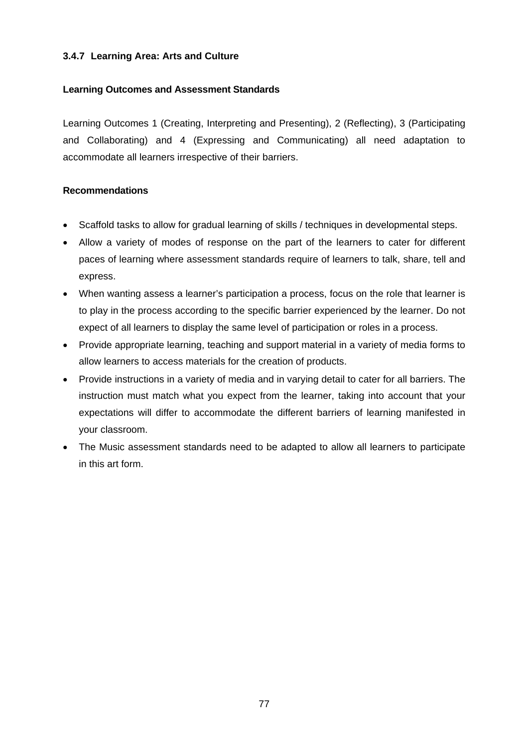#### **3.4.7 Learning Area: Arts and Culture**

### **Learning Outcomes and Assessment Standards**

Learning Outcomes 1 (Creating, Interpreting and Presenting), 2 (Reflecting), 3 (Participating and Collaborating) and 4 (Expressing and Communicating) all need adaptation to accommodate all learners irrespective of their barriers.

#### **Recommendations**

- Scaffold tasks to allow for gradual learning of skills / techniques in developmental steps.
- Allow a variety of modes of response on the part of the learners to cater for different paces of learning where assessment standards require of learners to talk, share, tell and express.
- When wanting assess a learner's participation a process, focus on the role that learner is to play in the process according to the specific barrier experienced by the learner. Do not expect of all learners to display the same level of participation or roles in a process.
- Provide appropriate learning, teaching and support material in a variety of media forms to allow learners to access materials for the creation of products.
- Provide instructions in a variety of media and in varying detail to cater for all barriers. The instruction must match what you expect from the learner, taking into account that your expectations will differ to accommodate the different barriers of learning manifested in your classroom.
- The Music assessment standards need to be adapted to allow all learners to participate in this art form.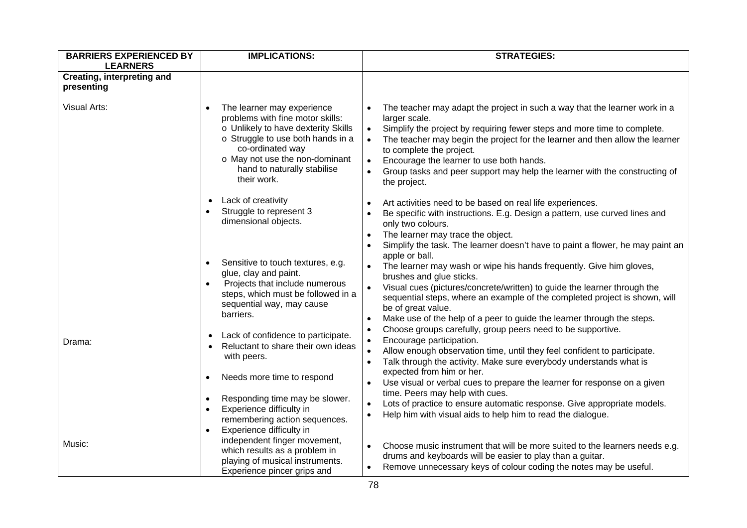| <b>BARRIERS EXPERIENCED BY</b><br><b>LEARNERS</b> | <b>IMPLICATIONS:</b>                                                                                                                                                                                                                           | <b>STRATEGIES:</b>                                                                                                                                                                                                                                                                                                                                                                                                                         |  |  |
|---------------------------------------------------|------------------------------------------------------------------------------------------------------------------------------------------------------------------------------------------------------------------------------------------------|--------------------------------------------------------------------------------------------------------------------------------------------------------------------------------------------------------------------------------------------------------------------------------------------------------------------------------------------------------------------------------------------------------------------------------------------|--|--|
| <b>Creating, interpreting and</b><br>presenting   |                                                                                                                                                                                                                                                |                                                                                                                                                                                                                                                                                                                                                                                                                                            |  |  |
| <b>Visual Arts:</b>                               | The learner may experience<br>problems with fine motor skills:<br>o Unlikely to have dexterity Skills<br>o Struggle to use both hands in a<br>co-ordinated way<br>o May not use the non-dominant<br>hand to naturally stabilise<br>their work. | The teacher may adapt the project in such a way that the learner work in a<br>larger scale.<br>Simplify the project by requiring fewer steps and more time to complete.<br>The teacher may begin the project for the learner and then allow the learner<br>to complete the project.<br>Encourage the learner to use both hands.<br>$\bullet$<br>Group tasks and peer support may help the learner with the constructing of<br>the project. |  |  |
|                                                   | Lack of creativity<br>Struggle to represent 3<br>dimensional objects.                                                                                                                                                                          | Art activities need to be based on real life experiences.<br>Be specific with instructions. E.g. Design a pattern, use curved lines and<br>only two colours.<br>The learner may trace the object.<br>$\bullet$<br>Simplify the task. The learner doesn't have to paint a flower, he may paint an                                                                                                                                           |  |  |
|                                                   | Sensitive to touch textures, e.g.<br>glue, clay and paint.<br>Projects that include numerous<br>steps, which must be followed in a<br>sequential way, may cause<br>barriers.                                                                   | apple or ball.<br>The learner may wash or wipe his hands frequently. Give him gloves,<br>brushes and glue sticks.<br>Visual cues (pictures/concrete/written) to guide the learner through the<br>sequential steps, where an example of the completed project is shown, will<br>be of great value.<br>Make use of the help of a peer to guide the learner through the steps.                                                                |  |  |
| Drama:                                            | Lack of confidence to participate.<br>Reluctant to share their own ideas<br>with peers.                                                                                                                                                        | Choose groups carefully, group peers need to be supportive.<br>Encourage participation.<br>Allow enough observation time, until they feel confident to participate.<br>Talk through the activity. Make sure everybody understands what is<br>expected from him or her.                                                                                                                                                                     |  |  |
|                                                   | Needs more time to respond<br>$\bullet$                                                                                                                                                                                                        | Use visual or verbal cues to prepare the learner for response on a given<br>time. Peers may help with cues.                                                                                                                                                                                                                                                                                                                                |  |  |
|                                                   | Responding time may be slower.<br>$\bullet$<br>Experience difficulty in<br>remembering action sequences.<br>Experience difficulty in<br>$\bullet$                                                                                              | Lots of practice to ensure automatic response. Give appropriate models.<br>$\bullet$<br>Help him with visual aids to help him to read the dialogue.                                                                                                                                                                                                                                                                                        |  |  |
| Music:                                            | independent finger movement,<br>which results as a problem in<br>playing of musical instruments.<br>Experience pincer grips and                                                                                                                | Choose music instrument that will be more suited to the learners needs e.g.<br>drums and keyboards will be easier to play than a guitar.<br>Remove unnecessary keys of colour coding the notes may be useful.                                                                                                                                                                                                                              |  |  |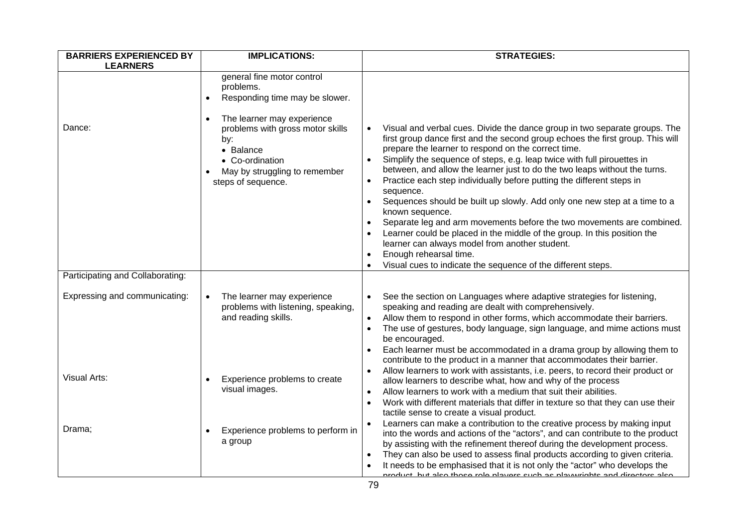| <b>BARRIERS EXPERIENCED BY</b>   | <b>IMPLICATIONS:</b>                                                                                                           | <b>STRATEGIES:</b>                                                                                                                                                                                                                                                                                                                                                                                                                                                                                                                                                                                                                                                                                                                                                                                  |
|----------------------------------|--------------------------------------------------------------------------------------------------------------------------------|-----------------------------------------------------------------------------------------------------------------------------------------------------------------------------------------------------------------------------------------------------------------------------------------------------------------------------------------------------------------------------------------------------------------------------------------------------------------------------------------------------------------------------------------------------------------------------------------------------------------------------------------------------------------------------------------------------------------------------------------------------------------------------------------------------|
| <b>LEARNERS</b>                  |                                                                                                                                |                                                                                                                                                                                                                                                                                                                                                                                                                                                                                                                                                                                                                                                                                                                                                                                                     |
|                                  | general fine motor control<br>problems.<br>Responding time may be slower.<br>$\bullet$<br>The learner may experience           |                                                                                                                                                                                                                                                                                                                                                                                                                                                                                                                                                                                                                                                                                                                                                                                                     |
| Dance:                           | problems with gross motor skills<br>by:<br>• Balance<br>• Co-ordination<br>May by struggling to remember<br>steps of sequence. | Visual and verbal cues. Divide the dance group in two separate groups. The<br>first group dance first and the second group echoes the first group. This will<br>prepare the learner to respond on the correct time.<br>Simplify the sequence of steps, e.g. leap twice with full pirouettes in<br>between, and allow the learner just to do the two leaps without the turns.<br>Practice each step individually before putting the different steps in<br>sequence.<br>Sequences should be built up slowly. Add only one new step at a time to a<br>known sequence.<br>Separate leg and arm movements before the two movements are combined.<br>Learner could be placed in the middle of the group. In this position the<br>learner can always model from another student.<br>Enough rehearsal time. |
| Participating and Collaborating: |                                                                                                                                | Visual cues to indicate the sequence of the different steps.                                                                                                                                                                                                                                                                                                                                                                                                                                                                                                                                                                                                                                                                                                                                        |
|                                  |                                                                                                                                |                                                                                                                                                                                                                                                                                                                                                                                                                                                                                                                                                                                                                                                                                                                                                                                                     |
| Expressing and communicating:    | The learner may experience<br>problems with listening, speaking,<br>and reading skills.                                        | See the section on Languages where adaptive strategies for listening,<br>speaking and reading are dealt with comprehensively.<br>Allow them to respond in other forms, which accommodate their barriers.<br>The use of gestures, body language, sign language, and mime actions must<br>$\bullet$<br>be encouraged.                                                                                                                                                                                                                                                                                                                                                                                                                                                                                 |
|                                  |                                                                                                                                | Each learner must be accommodated in a drama group by allowing them to<br>contribute to the product in a manner that accommodates their barrier.                                                                                                                                                                                                                                                                                                                                                                                                                                                                                                                                                                                                                                                    |
| <b>Visual Arts:</b>              | Experience problems to create<br>visual images.                                                                                | Allow learners to work with assistants, i.e. peers, to record their product or<br>allow learners to describe what, how and why of the process<br>Allow learners to work with a medium that suit their abilities.<br>Work with different materials that differ in texture so that they can use their<br>tactile sense to create a visual product.                                                                                                                                                                                                                                                                                                                                                                                                                                                    |
| Drama:                           | Experience problems to perform in<br>a group                                                                                   | Learners can make a contribution to the creative process by making input<br>into the words and actions of the "actors", and can contribute to the product<br>by assisting with the refinement thereof during the development process.<br>They can also be used to assess final products according to given criteria.<br>It needs to be emphasised that it is not only the "actor" who develops the<br>product but also those role players such as playwrights and directors also                                                                                                                                                                                                                                                                                                                    |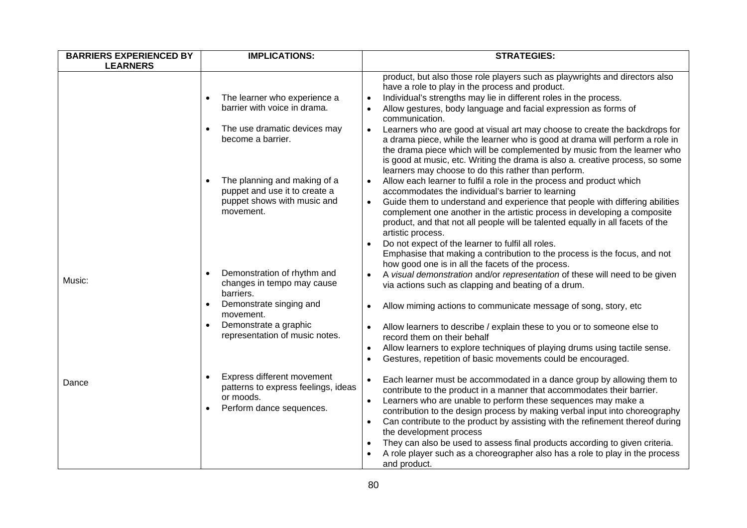| <b>BARRIERS EXPERIENCED BY</b> | <b>IMPLICATIONS:</b>                                                   | <b>STRATEGIES:</b>                                                                                                                                                                                                                                                                                                                                                             |  |
|--------------------------------|------------------------------------------------------------------------|--------------------------------------------------------------------------------------------------------------------------------------------------------------------------------------------------------------------------------------------------------------------------------------------------------------------------------------------------------------------------------|--|
| <b>LEARNERS</b>                |                                                                        |                                                                                                                                                                                                                                                                                                                                                                                |  |
|                                |                                                                        | product, but also those role players such as playwrights and directors also<br>have a role to play in the process and product.                                                                                                                                                                                                                                                 |  |
|                                | The learner who experience a                                           | Individual's strengths may lie in different roles in the process.                                                                                                                                                                                                                                                                                                              |  |
|                                | barrier with voice in drama.                                           | Allow gestures, body language and facial expression as forms of<br>communication.                                                                                                                                                                                                                                                                                              |  |
|                                | The use dramatic devices may<br>become a barrier.                      | Learners who are good at visual art may choose to create the backdrops for<br>a drama piece, while the learner who is good at drama will perform a role in<br>the drama piece which will be complemented by music from the learner who<br>is good at music, etc. Writing the drama is also a. creative process, so some<br>learners may choose to do this rather than perform. |  |
|                                | The planning and making of a<br>puppet and use it to create a          | Allow each learner to fulfil a role in the process and product which<br>accommodates the individual's barrier to learning                                                                                                                                                                                                                                                      |  |
|                                | puppet shows with music and<br>movement.                               | Guide them to understand and experience that people with differing abilities<br>$\bullet$<br>complement one another in the artistic process in developing a composite<br>product, and that not all people will be talented equally in all facets of the<br>artistic process.                                                                                                   |  |
|                                |                                                                        | Do not expect of the learner to fulfil all roles.<br>Emphasise that making a contribution to the process is the focus, and not<br>how good one is in all the facets of the process.                                                                                                                                                                                            |  |
| Music:                         | Demonstration of rhythm and<br>changes in tempo may cause<br>barriers. | A visual demonstration and/or representation of these will need to be given<br>via actions such as clapping and beating of a drum.                                                                                                                                                                                                                                             |  |
|                                | Demonstrate singing and<br>$\bullet$<br>movement.                      | Allow miming actions to communicate message of song, story, etc                                                                                                                                                                                                                                                                                                                |  |
|                                | Demonstrate a graphic<br>representation of music notes.                | Allow learners to describe / explain these to you or to someone else to<br>record them on their behalf                                                                                                                                                                                                                                                                         |  |
|                                |                                                                        | Allow learners to explore techniques of playing drums using tactile sense.<br>$\bullet$<br>Gestures, repetition of basic movements could be encouraged.                                                                                                                                                                                                                        |  |
| Dance                          | Express different movement<br>patterns to express feelings, ideas      | Each learner must be accommodated in a dance group by allowing them to<br>contribute to the product in a manner that accommodates their barrier.                                                                                                                                                                                                                               |  |
|                                | or moods.<br>Perform dance sequences.                                  | Learners who are unable to perform these sequences may make a<br>contribution to the design process by making verbal input into choreography                                                                                                                                                                                                                                   |  |
|                                |                                                                        | Can contribute to the product by assisting with the refinement thereof during<br>$\bullet$<br>the development process                                                                                                                                                                                                                                                          |  |
|                                |                                                                        | They can also be used to assess final products according to given criteria.                                                                                                                                                                                                                                                                                                    |  |
|                                |                                                                        | A role player such as a choreographer also has a role to play in the process<br>and product.                                                                                                                                                                                                                                                                                   |  |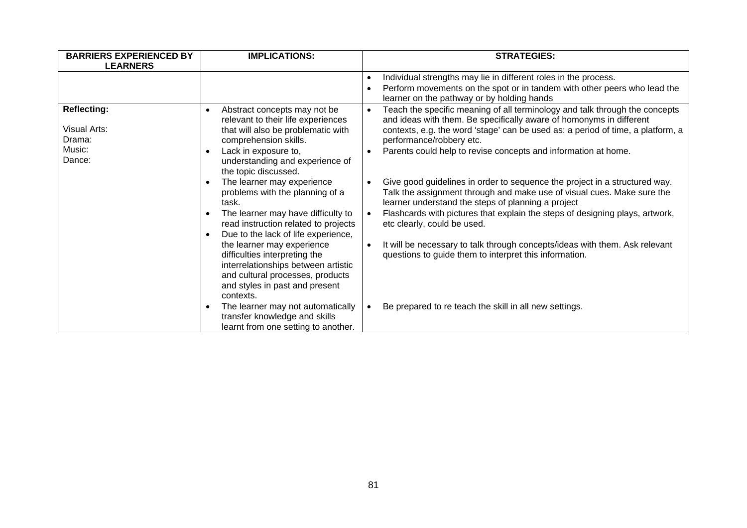| <b>BARRIERS EXPERIENCED BY</b><br><b>LEARNERS</b>                | <b>IMPLICATIONS:</b>                                                                                                                                                                                                              | <b>STRATEGIES:</b>                                                                                                                                                                                                                                                                                                                  |
|------------------------------------------------------------------|-----------------------------------------------------------------------------------------------------------------------------------------------------------------------------------------------------------------------------------|-------------------------------------------------------------------------------------------------------------------------------------------------------------------------------------------------------------------------------------------------------------------------------------------------------------------------------------|
|                                                                  |                                                                                                                                                                                                                                   | Individual strengths may lie in different roles in the process.<br>Perform movements on the spot or in tandem with other peers who lead the<br>learner on the pathway or by holding hands                                                                                                                                           |
| <b>Reflecting:</b><br>Visual Arts:<br>Drama:<br>Music:<br>Dance: | Abstract concepts may not be<br>$\bullet$<br>relevant to their life experiences<br>that will also be problematic with<br>comprehension skills.<br>Lack in exposure to,<br>understanding and experience of<br>the topic discussed. | Teach the specific meaning of all terminology and talk through the concepts<br>and ideas with them. Be specifically aware of homonyms in different<br>contexts, e.g. the word 'stage' can be used as: a period of time, a platform, a<br>performance/robbery etc.<br>Parents could help to revise concepts and information at home. |
|                                                                  | The learner may experience<br>problems with the planning of a<br>task.                                                                                                                                                            | Give good guidelines in order to sequence the project in a structured way.<br>Talk the assignment through and make use of visual cues. Make sure the<br>learner understand the steps of planning a project                                                                                                                          |
|                                                                  | The learner may have difficulty to<br>read instruction related to projects                                                                                                                                                        | Flashcards with pictures that explain the steps of designing plays, artwork,<br>etc clearly, could be used.                                                                                                                                                                                                                         |
|                                                                  | Due to the lack of life experience,<br>the learner may experience<br>difficulties interpreting the<br>interrelationships between artistic<br>and cultural processes, products<br>and styles in past and present<br>contexts.      | It will be necessary to talk through concepts/ideas with them. Ask relevant<br>questions to guide them to interpret this information.                                                                                                                                                                                               |
|                                                                  | The learner may not automatically<br>transfer knowledge and skills<br>learnt from one setting to another.                                                                                                                         | Be prepared to re teach the skill in all new settings.                                                                                                                                                                                                                                                                              |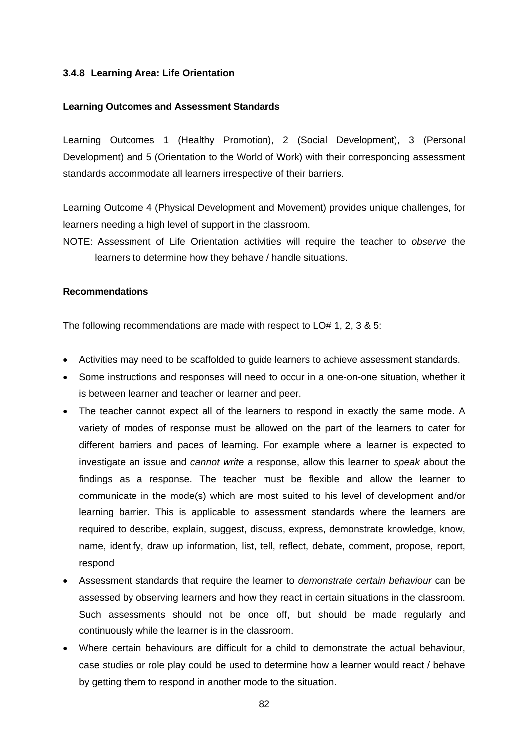#### **3.4.8 Learning Area: Life Orientation**

#### **Learning Outcomes and Assessment Standards**

Learning Outcomes 1 (Healthy Promotion), 2 (Social Development), 3 (Personal Development) and 5 (Orientation to the World of Work) with their corresponding assessment standards accommodate all learners irrespective of their barriers.

Learning Outcome 4 (Physical Development and Movement) provides unique challenges, for learners needing a high level of support in the classroom.

NOTE: Assessment of Life Orientation activities will require the teacher to *observe* the learners to determine how they behave / handle situations.

#### **Recommendations**

The following recommendations are made with respect to LO# 1, 2, 3 & 5:

- Activities may need to be scaffolded to guide learners to achieve assessment standards.
- Some instructions and responses will need to occur in a one-on-one situation, whether it is between learner and teacher or learner and peer.
- The teacher cannot expect all of the learners to respond in exactly the same mode. A variety of modes of response must be allowed on the part of the learners to cater for different barriers and paces of learning. For example where a learner is expected to investigate an issue and *cannot write* a response, allow this learner to *speak* about the findings as a response. The teacher must be flexible and allow the learner to communicate in the mode(s) which are most suited to his level of development and/or learning barrier. This is applicable to assessment standards where the learners are required to describe, explain, suggest, discuss, express, demonstrate knowledge, know, name, identify, draw up information, list, tell, reflect, debate, comment, propose, report, respond
- Assessment standards that require the learner to *demonstrate certain behaviour* can be assessed by observing learners and how they react in certain situations in the classroom. Such assessments should not be once off, but should be made regularly and continuously while the learner is in the classroom.
- Where certain behaviours are difficult for a child to demonstrate the actual behaviour, case studies or role play could be used to determine how a learner would react / behave by getting them to respond in another mode to the situation.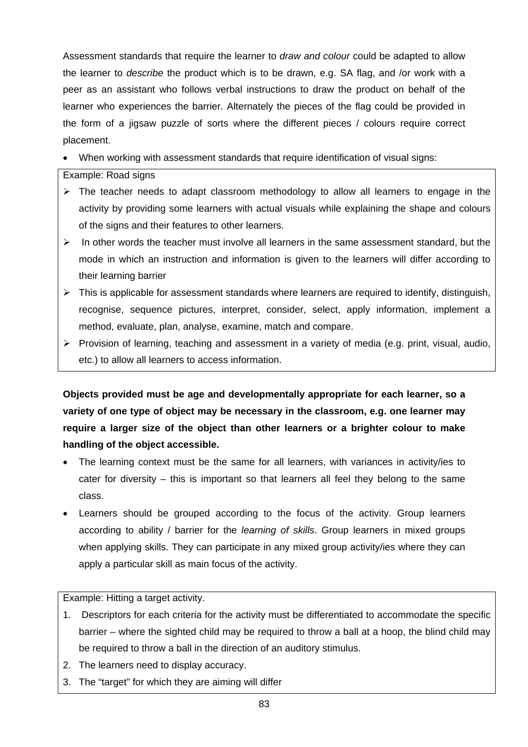Assessment standards that require the learner to *draw and colour* could be adapted to allow the learner to *describe* the product which is to be drawn, e.g. SA flag, and /or work with a peer as an assistant who follows verbal instructions to draw the product on behalf of the learner who experiences the barrier. Alternately the pieces of the flag could be provided in the form of a jigsaw puzzle of sorts where the different pieces / colours require correct placement.

• When working with assessment standards that require identification of visual signs:

## Example: Road signs

- $\triangleright$  The teacher needs to adapt classroom methodology to allow all learners to engage in the activity by providing some learners with actual visuals while explaining the shape and colours of the signs and their features to other learners.
- $\triangleright$  In other words the teacher must involve all learners in the same assessment standard, but the mode in which an instruction and information is given to the learners will differ according to their learning barrier
- ¾ This is applicable for assessment standards where learners are required to identify, distinguish, recognise, sequence pictures, interpret, consider, select, apply information, implement a method, evaluate, plan, analyse, examine, match and compare.
- $\triangleright$  Provision of learning, teaching and assessment in a variety of media (e.g. print, visual, audio, etc.) to allow all learners to access information.

**Objects provided must be age and developmentally appropriate for each learner, so a variety of one type of object may be necessary in the classroom, e.g. one learner may require a larger size of the object than other learners or a brighter colour to make handling of the object accessible.**

- The learning context must be the same for all learners, with variances in activity/ies to cater for diversity – this is important so that learners all feel they belong to the same class.
- Learners should be grouped according to the focus of the activity. Group learners according to ability / barrier for the *learning of skills*. Group learners in mixed groups when applying skills. They can participate in any mixed group activity/ies where they can apply a particular skill as main focus of the activity.

Example: Hitting a target activity.

- 1. Descriptors for each criteria for the activity must be differentiated to accommodate the specific barrier – where the sighted child may be required to throw a ball at a hoop, the blind child may be required to throw a ball in the direction of an auditory stimulus.
- 2. The learners need to display accuracy.
- 3. The "target" for which they are aiming will differ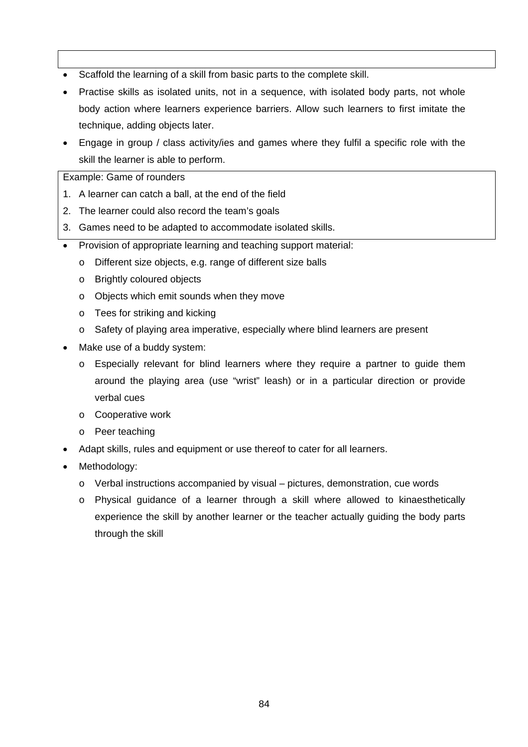- Scaffold the learning of a skill from basic parts to the complete skill.
- Practise skills as isolated units, not in a sequence, with isolated body parts, not whole body action where learners experience barriers. Allow such learners to first imitate the technique, adding objects later.
- Engage in group / class activity/ies and games where they fulfil a specific role with the skill the learner is able to perform.

#### Example: Game of rounders

- 1. A learner can catch a ball, at the end of the field
- 2. The learner could also record the team's goals
- 3. Games need to be adapted to accommodate isolated skills.
- Provision of appropriate learning and teaching support material:
	- o Different size objects, e.g. range of different size balls
	- o Brightly coloured objects
	- o Objects which emit sounds when they move
	- o Tees for striking and kicking
	- o Safety of playing area imperative, especially where blind learners are present
- Make use of a buddy system:
	- o Especially relevant for blind learners where they require a partner to guide them around the playing area (use "wrist" leash) or in a particular direction or provide verbal cues
	- o Cooperative work
	- o Peer teaching
- Adapt skills, rules and equipment or use thereof to cater for all learners.
- Methodology:
	- o Verbal instructions accompanied by visual pictures, demonstration, cue words
	- o Physical guidance of a learner through a skill where allowed to kinaesthetically experience the skill by another learner or the teacher actually guiding the body parts through the skill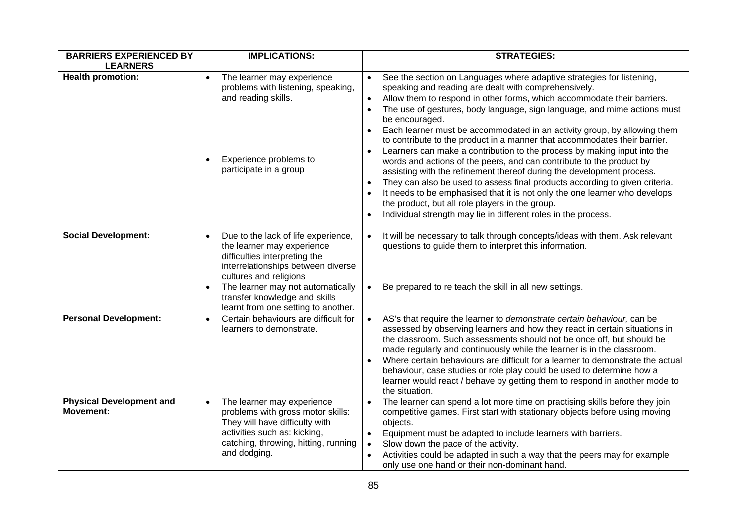| <b>BARRIERS EXPERIENCED BY</b><br><b>LEARNERS</b> | <b>IMPLICATIONS:</b>                                                                                                                                                                                                                                                            | <b>STRATEGIES:</b>                                                                                                                                                                                                                                                                                                                                                                                                                                                                                                                                                                                                                                                                                                                                                                                                                                                                                                                                                             |  |  |
|---------------------------------------------------|---------------------------------------------------------------------------------------------------------------------------------------------------------------------------------------------------------------------------------------------------------------------------------|--------------------------------------------------------------------------------------------------------------------------------------------------------------------------------------------------------------------------------------------------------------------------------------------------------------------------------------------------------------------------------------------------------------------------------------------------------------------------------------------------------------------------------------------------------------------------------------------------------------------------------------------------------------------------------------------------------------------------------------------------------------------------------------------------------------------------------------------------------------------------------------------------------------------------------------------------------------------------------|--|--|
| <b>Health promotion:</b>                          | The learner may experience<br>problems with listening, speaking,<br>and reading skills.<br>Experience problems to<br>participate in a group                                                                                                                                     | See the section on Languages where adaptive strategies for listening,<br>speaking and reading are dealt with comprehensively.<br>Allow them to respond in other forms, which accommodate their barriers.<br>The use of gestures, body language, sign language, and mime actions must<br>be encouraged.<br>Each learner must be accommodated in an activity group, by allowing them<br>to contribute to the product in a manner that accommodates their barrier.<br>Learners can make a contribution to the process by making input into the<br>words and actions of the peers, and can contribute to the product by<br>assisting with the refinement thereof during the development process.<br>They can also be used to assess final products according to given criteria.<br>It needs to be emphasised that it is not only the one learner who develops<br>the product, but all role players in the group.<br>Individual strength may lie in different roles in the process. |  |  |
| <b>Social Development:</b>                        | Due to the lack of life experience,<br>the learner may experience<br>difficulties interpreting the<br>interrelationships between diverse<br>cultures and religions<br>The learner may not automatically<br>transfer knowledge and skills<br>learnt from one setting to another. | It will be necessary to talk through concepts/ideas with them. Ask relevant<br>questions to guide them to interpret this information.<br>Be prepared to re teach the skill in all new settings.                                                                                                                                                                                                                                                                                                                                                                                                                                                                                                                                                                                                                                                                                                                                                                                |  |  |
| <b>Personal Development:</b>                      | Certain behaviours are difficult for<br>$\bullet$<br>learners to demonstrate.                                                                                                                                                                                                   | AS's that require the learner to demonstrate certain behaviour, can be<br>assessed by observing learners and how they react in certain situations in<br>the classroom. Such assessments should not be once off, but should be<br>made regularly and continuously while the learner is in the classroom.<br>Where certain behaviours are difficult for a learner to demonstrate the actual<br>behaviour, case studies or role play could be used to determine how a<br>learner would react / behave by getting them to respond in another mode to<br>the situation.                                                                                                                                                                                                                                                                                                                                                                                                             |  |  |
| <b>Physical Development and</b><br>Movement:      | The learner may experience<br>$\bullet$<br>problems with gross motor skills:<br>They will have difficulty with<br>activities such as: kicking,<br>catching, throwing, hitting, running<br>and dodging.                                                                          | The learner can spend a lot more time on practising skills before they join<br>competitive games. First start with stationary objects before using moving<br>objects.<br>Equipment must be adapted to include learners with barriers.<br>Slow down the pace of the activity.<br>Activities could be adapted in such a way that the peers may for example<br>only use one hand or their non-dominant hand.                                                                                                                                                                                                                                                                                                                                                                                                                                                                                                                                                                      |  |  |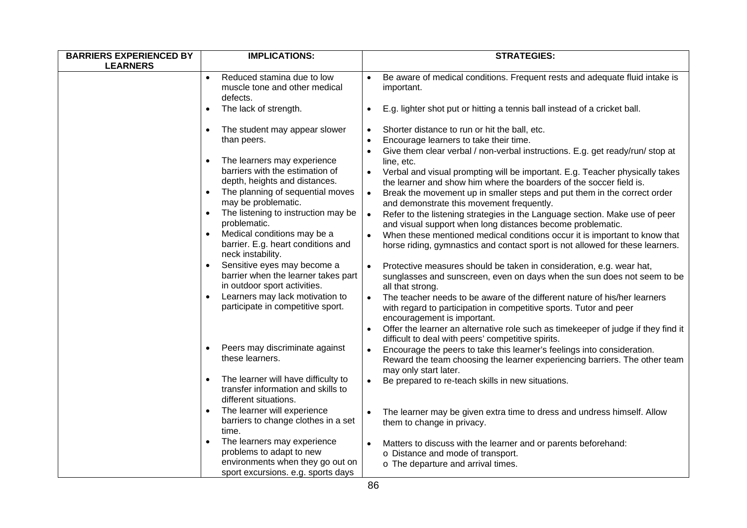| <b>BARRIERS EXPERIENCED BY</b><br><b>LEARNERS</b> | <b>IMPLICATIONS:</b>                                                                                                              | <b>STRATEGIES:</b>                                                                                                                                                                                                            |  |  |
|---------------------------------------------------|-----------------------------------------------------------------------------------------------------------------------------------|-------------------------------------------------------------------------------------------------------------------------------------------------------------------------------------------------------------------------------|--|--|
|                                                   | Reduced stamina due to low<br>muscle tone and other medical<br>defects.                                                           | Be aware of medical conditions. Frequent rests and adequate fluid intake is<br>important.                                                                                                                                     |  |  |
|                                                   | The lack of strength.<br>$\bullet$                                                                                                | E.g. lighter shot put or hitting a tennis ball instead of a cricket ball.<br>$\bullet$                                                                                                                                        |  |  |
|                                                   | The student may appear slower<br>than peers.<br>The learners may experience                                                       | Shorter distance to run or hit the ball, etc.<br>$\bullet$<br>Encourage learners to take their time.<br>$\bullet$<br>Give them clear verbal / non-verbal instructions. E.g. get ready/run/ stop at<br>$\bullet$<br>line, etc. |  |  |
|                                                   | barriers with the estimation of<br>depth, heights and distances.                                                                  | Verbal and visual prompting will be important. E.g. Teacher physically takes<br>$\bullet$<br>the learner and show him where the boarders of the soccer field is.                                                              |  |  |
|                                                   | The planning of sequential moves<br>may be problematic.                                                                           | Break the movement up in smaller steps and put them in the correct order<br>$\bullet$<br>and demonstrate this movement frequently.                                                                                            |  |  |
|                                                   | The listening to instruction may be<br>problematic.                                                                               | Refer to the listening strategies in the Language section. Make use of peer<br>$\bullet$<br>and visual support when long distances become problematic.                                                                        |  |  |
|                                                   | Medical conditions may be a<br>$\bullet$<br>barrier. E.g. heart conditions and<br>neck instability.                               | When these mentioned medical conditions occur it is important to know that<br>$\bullet$<br>horse riding, gymnastics and contact sport is not allowed for these learners.                                                      |  |  |
|                                                   | Sensitive eyes may become a<br>barrier when the learner takes part<br>in outdoor sport activities.                                | Protective measures should be taken in consideration, e.g. wear hat,<br>sunglasses and sunscreen, even on days when the sun does not seem to be<br>all that strong.                                                           |  |  |
|                                                   | Learners may lack motivation to<br>participate in competitive sport.                                                              | The teacher needs to be aware of the different nature of his/her learners<br>$\bullet$<br>with regard to participation in competitive sports. Tutor and peer<br>encouragement is important.                                   |  |  |
|                                                   |                                                                                                                                   | Offer the learner an alternative role such as timekeeper of judge if they find it<br>$\bullet$<br>difficult to deal with peers' competitive spirits.                                                                          |  |  |
|                                                   | Peers may discriminate against<br>$\bullet$<br>these learners.                                                                    | Encourage the peers to take this learner's feelings into consideration.<br>$\bullet$<br>Reward the team choosing the learner experiencing barriers. The other team<br>may only start later.                                   |  |  |
|                                                   | The learner will have difficulty to<br>$\bullet$<br>transfer information and skills to<br>different situations.                   | Be prepared to re-teach skills in new situations.<br>$\bullet$                                                                                                                                                                |  |  |
|                                                   | The learner will experience<br>barriers to change clothes in a set<br>time.                                                       | The learner may be given extra time to dress and undress himself. Allow<br>$\bullet$<br>them to change in privacy.                                                                                                            |  |  |
|                                                   | The learners may experience<br>problems to adapt to new<br>environments when they go out on<br>sport excursions. e.g. sports days | Matters to discuss with the learner and or parents beforehand:<br>o Distance and mode of transport.<br>o The departure and arrival times.                                                                                     |  |  |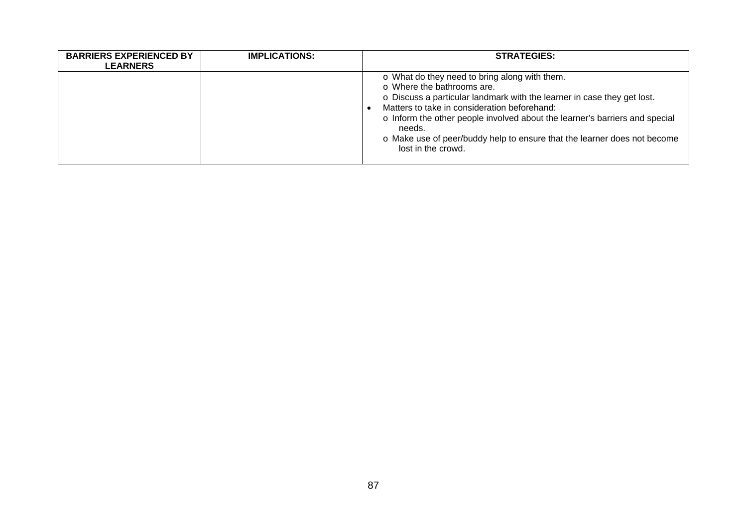| <b>BARRIERS EXPERIENCED BY</b><br><b>LEARNERS</b> | <b>IMPLICATIONS:</b> | <b>STRATEGIES:</b>                                                                                                                                                                                                                                                                                                                                                                                |
|---------------------------------------------------|----------------------|---------------------------------------------------------------------------------------------------------------------------------------------------------------------------------------------------------------------------------------------------------------------------------------------------------------------------------------------------------------------------------------------------|
|                                                   |                      | o What do they need to bring along with them.<br>o Where the bathrooms are.<br>o Discuss a particular landmark with the learner in case they get lost.<br>Matters to take in consideration beforehand:<br>o Inform the other people involved about the learner's barriers and special<br>needs.<br>o Make use of peer/buddy help to ensure that the learner does not become<br>lost in the crowd. |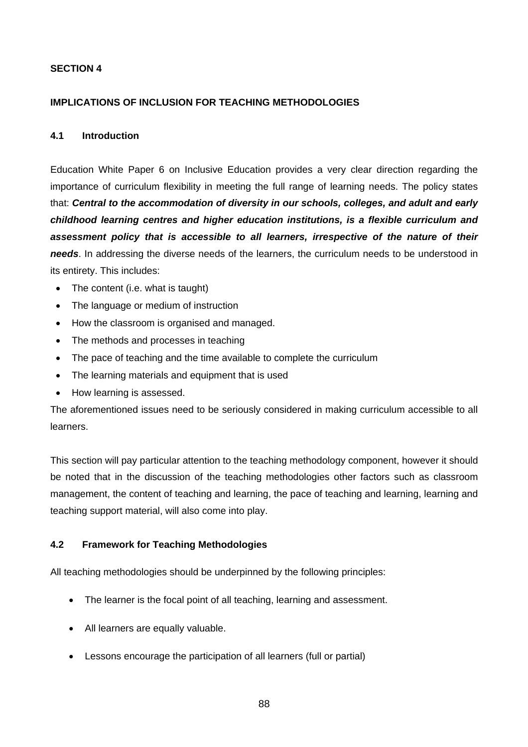### **SECTION 4**

### **IMPLICATIONS OF INCLUSION FOR TEACHING METHODOLOGIES**

#### **4.1 Introduction**

Education White Paper 6 on Inclusive Education provides a very clear direction regarding the importance of curriculum flexibility in meeting the full range of learning needs. The policy states that: *Central to the accommodation of diversity in our schools, colleges, and adult and early childhood learning centres and higher education institutions, is a flexible curriculum and assessment policy that is accessible to all learners, irrespective of the nature of their needs*. In addressing the diverse needs of the learners, the curriculum needs to be understood in its entirety. This includes:

- The content (i.e. what is taught)
- The language or medium of instruction
- How the classroom is organised and managed.
- The methods and processes in teaching
- The pace of teaching and the time available to complete the curriculum
- The learning materials and equipment that is used
- How learning is assessed.

The aforementioned issues need to be seriously considered in making curriculum accessible to all learners.

This section will pay particular attention to the teaching methodology component, however it should be noted that in the discussion of the teaching methodologies other factors such as classroom management, the content of teaching and learning, the pace of teaching and learning, learning and teaching support material, will also come into play.

#### **4.2 Framework for Teaching Methodologies**

All teaching methodologies should be underpinned by the following principles:

- The learner is the focal point of all teaching, learning and assessment.
- All learners are equally valuable.
- Lessons encourage the participation of all learners (full or partial)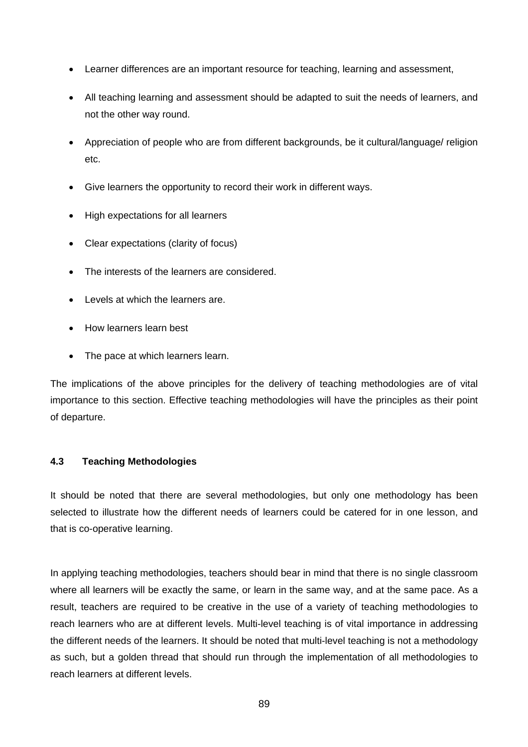- Learner differences are an important resource for teaching, learning and assessment,
- All teaching learning and assessment should be adapted to suit the needs of learners, and not the other way round.
- Appreciation of people who are from different backgrounds, be it cultural/language/ religion etc.
- Give learners the opportunity to record their work in different ways.
- High expectations for all learners
- Clear expectations (clarity of focus)
- The interests of the learners are considered.
- Levels at which the learners are.
- How learners learn best
- The pace at which learners learn.

The implications of the above principles for the delivery of teaching methodologies are of vital importance to this section. Effective teaching methodologies will have the principles as their point of departure.

#### **4.3 Teaching Methodologies**

It should be noted that there are several methodologies, but only one methodology has been selected to illustrate how the different needs of learners could be catered for in one lesson, and that is co-operative learning.

In applying teaching methodologies, teachers should bear in mind that there is no single classroom where all learners will be exactly the same, or learn in the same way, and at the same pace. As a result, teachers are required to be creative in the use of a variety of teaching methodologies to reach learners who are at different levels. Multi-level teaching is of vital importance in addressing the different needs of the learners. It should be noted that multi-level teaching is not a methodology as such, but a golden thread that should run through the implementation of all methodologies to reach learners at different levels.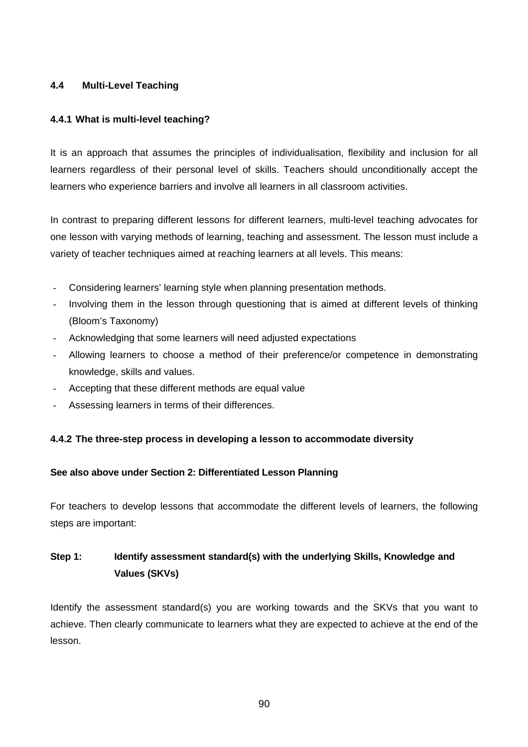### **4.4 Multi-Level Teaching**

### **4.4.1 What is multi-level teaching?**

It is an approach that assumes the principles of individualisation, flexibility and inclusion for all learners regardless of their personal level of skills. Teachers should unconditionally accept the learners who experience barriers and involve all learners in all classroom activities.

In contrast to preparing different lessons for different learners, multi-level teaching advocates for one lesson with varying methods of learning, teaching and assessment. The lesson must include a variety of teacher techniques aimed at reaching learners at all levels. This means:

- Considering learners' learning style when planning presentation methods.
- Involving them in the lesson through questioning that is aimed at different levels of thinking (Bloom's Taxonomy)
- Acknowledging that some learners will need adjusted expectations
- Allowing learners to choose a method of their preference/or competence in demonstrating knowledge, skills and values.
- Accepting that these different methods are equal value
- Assessing learners in terms of their differences.

#### **4.4.2 The three-step process in developing a lesson to accommodate diversity**

#### **See also above under Section 2: Differentiated Lesson Planning**

For teachers to develop lessons that accommodate the different levels of learners, the following steps are important:

# **Step 1: Identify assessment standard(s) with the underlying Skills, Knowledge and Values (SKVs)**

Identify the assessment standard(s) you are working towards and the SKVs that you want to achieve. Then clearly communicate to learners what they are expected to achieve at the end of the lesson.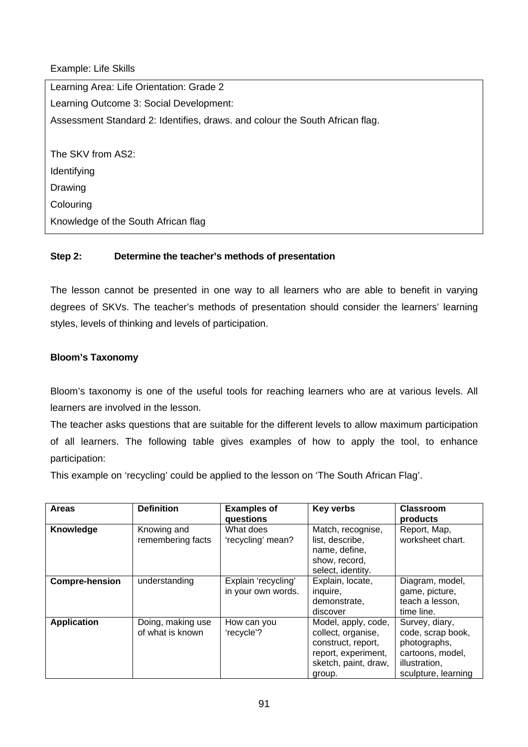Example: Life Skills

Learning Area: Life Orientation: Grade 2 Learning Outcome 3: Social Development: Assessment Standard 2: Identifies, draws. and colour the South African flag. The SKV from AS2: Identifying Drawing **Colouring** Knowledge of the South African flag

## **Step 2: Determine the teacher's methods of presentation**

The lesson cannot be presented in one way to all learners who are able to benefit in varying degrees of SKVs. The teacher's methods of presentation should consider the learners' learning styles, levels of thinking and levels of participation.

### **Bloom's Taxonomy**

Bloom's taxonomy is one of the useful tools for reaching learners who are at various levels. All learners are involved in the lesson.

The teacher asks questions that are suitable for the different levels to allow maximum participation of all learners. The following table gives examples of how to apply the tool, to enhance participation:

This example on 'recycling' could be applied to the lesson on 'The South African Flag'.

| <b>Areas</b>          | <b>Definition</b>                     | <b>Examples of</b>                        | <b>Key verbs</b>                                                                                                         | <b>Classroom</b>                                                                                                |
|-----------------------|---------------------------------------|-------------------------------------------|--------------------------------------------------------------------------------------------------------------------------|-----------------------------------------------------------------------------------------------------------------|
|                       |                                       | questions                                 |                                                                                                                          | products                                                                                                        |
| Knowledge             | Knowing and<br>remembering facts      | What does<br>'recycling' mean?            | Match, recognise,<br>list, describe,<br>name, define,<br>show, record,<br>select, identity.                              | Report, Map,<br>worksheet chart.                                                                                |
| <b>Compre-hension</b> | understanding                         | Explain 'recycling'<br>in your own words. | Explain, locate,<br>inquire,<br>demonstrate,<br>discover                                                                 | Diagram, model,<br>game, picture,<br>teach a lesson,<br>time line.                                              |
| <b>Application</b>    | Doing, making use<br>of what is known | How can you<br>'recycle'?                 | Model, apply, code,<br>collect, organise,<br>construct, report,<br>report, experiment,<br>sketch, paint, draw,<br>group. | Survey, diary,<br>code, scrap book,<br>photographs,<br>cartoons, model,<br>illustration,<br>sculpture, learning |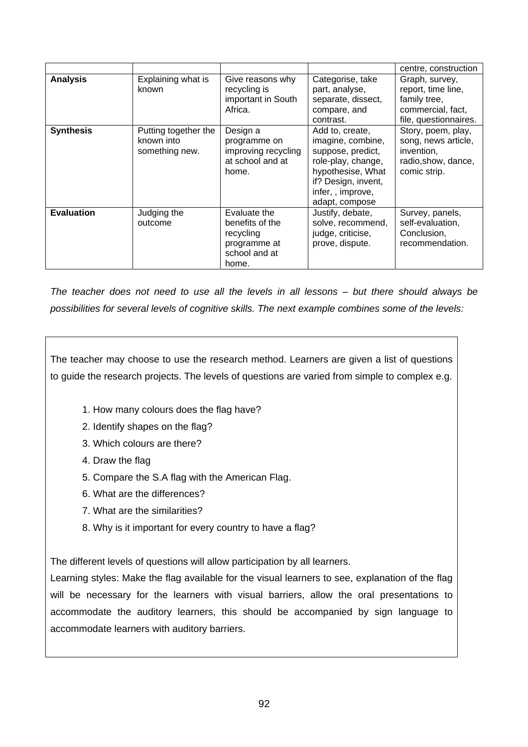|                   |                                                      |                                                                                        |                                                                                                                                                                    | centre, construction                                                                               |
|-------------------|------------------------------------------------------|----------------------------------------------------------------------------------------|--------------------------------------------------------------------------------------------------------------------------------------------------------------------|----------------------------------------------------------------------------------------------------|
| <b>Analysis</b>   | Explaining what is<br>known                          | Give reasons why<br>recycling is<br>important in South<br>Africa.                      | Categorise, take<br>part, analyse,<br>separate, dissect,<br>compare, and<br>contrast.                                                                              | Graph, survey,<br>report, time line,<br>family tree,<br>commercial, fact,<br>file, questionnaires. |
| <b>Synthesis</b>  | Putting together the<br>known into<br>something new. | Design a<br>programme on<br>improving recycling<br>at school and at<br>home.           | Add to, create,<br>imagine, combine,<br>suppose, predict,<br>role-play, change,<br>hypothesise, What<br>if? Design, invent,<br>infer, , improve,<br>adapt, compose | Story, poem, play,<br>song, news article,<br>invention,<br>radio, show, dance,<br>comic strip.     |
| <b>Evaluation</b> | Judging the<br>outcome                               | Evaluate the<br>benefits of the<br>recycling<br>programme at<br>school and at<br>home. | Justify, debate,<br>solve, recommend,<br>judge, criticise,<br>prove, dispute.                                                                                      | Survey, panels,<br>self-evaluation,<br>Conclusion,<br>recommendation.                              |

*The teacher does not need to use all the levels in all lessons – but there should always be possibilities for several levels of cognitive skills. The next example combines some of the levels:*

The teacher may choose to use the research method. Learners are given a list of questions to guide the research projects. The levels of questions are varied from simple to complex e.g.

- 1. How many colours does the flag have?
- 2. Identify shapes on the flag?
- 3. Which colours are there?
- 4. Draw the flag
- 5. Compare the S.A flag with the American Flag.
- 6. What are the differences?
- 7. What are the similarities?
- 8. Why is it important for every country to have a flag?

The different levels of questions will allow participation by all learners.

Learning styles: Make the flag available for the visual learners to see, explanation of the flag will be necessary for the learners with visual barriers, allow the oral presentations to accommodate the auditory learners, this should be accompanied by sign language to accommodate learners with auditory barriers.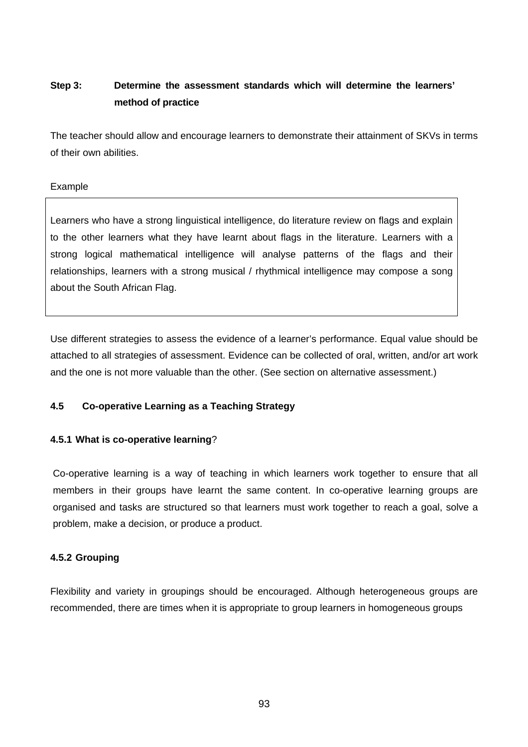# **Step 3: Determine the assessment standards which will determine the learners' method of practice**

The teacher should allow and encourage learners to demonstrate their attainment of SKVs in terms of their own abilities.

Example

Learners who have a strong linguistical intelligence, do literature review on flags and explain to the other learners what they have learnt about flags in the literature. Learners with a strong logical mathematical intelligence will analyse patterns of the flags and their relationships, learners with a strong musical / rhythmical intelligence may compose a song about the South African Flag.

Use different strategies to assess the evidence of a learner's performance. Equal value should be attached to all strategies of assessment. Evidence can be collected of oral, written, and/or art work and the one is not more valuable than the other. (See section on alternative assessment.)

## **4.5 Co-operative Learning as a Teaching Strategy**

## **4.5.1 What is co-operative learning**?

Co-operative learning is a way of teaching in which learners work together to ensure that all members in their groups have learnt the same content. In co-operative learning groups are organised and tasks are structured so that learners must work together to reach a goal, solve a problem, make a decision, or produce a product.

## **4.5.2 Grouping**

Flexibility and variety in groupings should be encouraged. Although heterogeneous groups are recommended, there are times when it is appropriate to group learners in homogeneous groups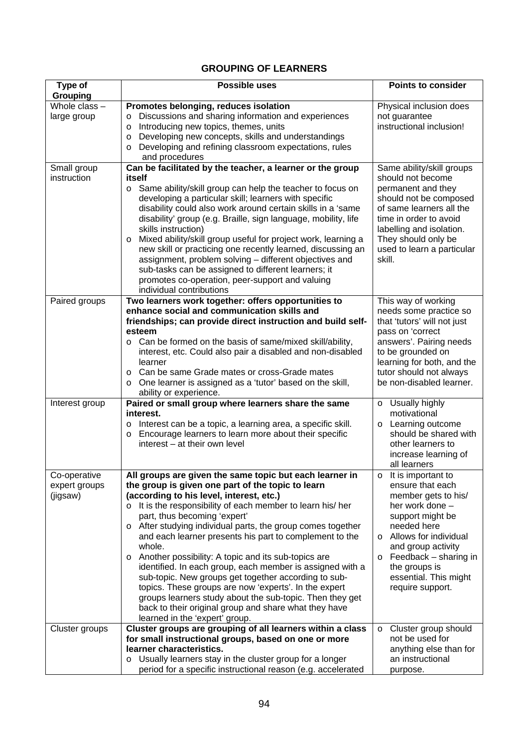## **GROUPING OF LEARNERS**

| Type of<br>Grouping                       | <b>Possible uses</b>                                                                                                                                                                                                                                                                                                                                                                                                                                                                                                                                                                                                                                                                                                                                                                                        | <b>Points to consider</b>                                                                                                                                                                                                                                           |
|-------------------------------------------|-------------------------------------------------------------------------------------------------------------------------------------------------------------------------------------------------------------------------------------------------------------------------------------------------------------------------------------------------------------------------------------------------------------------------------------------------------------------------------------------------------------------------------------------------------------------------------------------------------------------------------------------------------------------------------------------------------------------------------------------------------------------------------------------------------------|---------------------------------------------------------------------------------------------------------------------------------------------------------------------------------------------------------------------------------------------------------------------|
| Whole class $-$<br>large group            | Promotes belonging, reduces isolation<br>Discussions and sharing information and experiences<br>$\circ$<br>Introducing new topics, themes, units<br>$\circ$<br>Developing new concepts, skills and understandings<br>$\circ$<br>Developing and refining classroom expectations, rules<br>$\circ$<br>and procedures                                                                                                                                                                                                                                                                                                                                                                                                                                                                                          | Physical inclusion does<br>not guarantee<br>instructional inclusion!                                                                                                                                                                                                |
| Small group<br>instruction                | Can be facilitated by the teacher, a learner or the group<br>itself<br>o Same ability/skill group can help the teacher to focus on<br>developing a particular skill; learners with specific<br>disability could also work around certain skills in a 'same<br>disability' group (e.g. Braille, sign language, mobility, life<br>skills instruction)<br>Mixed ability/skill group useful for project work, learning a<br>$\circ$<br>new skill or practicing one recently learned, discussing an<br>assignment, problem solving - different objectives and<br>sub-tasks can be assigned to different learners; it<br>promotes co-operation, peer-support and valuing<br>individual contributions                                                                                                              | Same ability/skill groups<br>should not become<br>permanent and they<br>should not be composed<br>of same learners all the<br>time in order to avoid<br>labelling and isolation.<br>They should only be<br>used to learn a particular<br>skill.                     |
| Paired groups                             | Two learners work together: offers opportunities to<br>enhance social and communication skills and<br>friendships; can provide direct instruction and build self-<br>esteem<br>o Can be formed on the basis of same/mixed skill/ability,<br>interest, etc. Could also pair a disabled and non-disabled<br>learner<br>Can be same Grade mates or cross-Grade mates<br>$\circ$<br>One learner is assigned as a 'tutor' based on the skill,<br>$\circ$<br>ability or experience.                                                                                                                                                                                                                                                                                                                               | This way of working<br>needs some practice so<br>that 'tutors' will not just<br>pass on 'correct<br>answers'. Pairing needs<br>to be grounded on<br>learning for both, and the<br>tutor should not always<br>be non-disabled learner.                               |
| Interest group                            | Paired or small group where learners share the same<br>interest.<br>Interest can be a topic, a learning area, a specific skill.<br>$\circ$<br>Encourage learners to learn more about their specific<br>interest - at their own level                                                                                                                                                                                                                                                                                                                                                                                                                                                                                                                                                                        | Usually highly<br>motivational<br>o Learning outcome<br>should be shared with<br>other learners to<br>increase learning of<br>all learners                                                                                                                          |
| Co-operative<br>expert groups<br>(jigsaw) | All groups are given the same topic but each learner in<br>the group is given one part of the topic to learn<br>(according to his level, interest, etc.)<br>o It is the responsibility of each member to learn his/ her<br>part, thus becoming 'expert'<br>After studying individual parts, the group comes together<br>$\circ$<br>and each learner presents his part to complement to the<br>whole.<br>Another possibility: A topic and its sub-topics are<br>$\circ$<br>identified. In each group, each member is assigned with a<br>sub-topic. New groups get together according to sub-<br>topics. These groups are now 'experts'. In the expert<br>groups learners study about the sub-topic. Then they get<br>back to their original group and share what they have<br>learned in the 'expert' group. | $\circ$ It is important to<br>ensure that each<br>member gets to his/<br>her work done -<br>support might be<br>needed here<br>o Allows for individual<br>and group activity<br>Feedback - sharing in<br>the groups is<br>essential. This might<br>require support. |
| Cluster groups                            | Cluster groups are grouping of all learners within a class<br>for small instructional groups, based on one or more<br>learner characteristics.<br>Usually learners stay in the cluster group for a longer<br>$\circ$<br>period for a specific instructional reason (e.g. accelerated                                                                                                                                                                                                                                                                                                                                                                                                                                                                                                                        | Cluster group should<br>$\circ$<br>not be used for<br>anything else than for<br>an instructional<br>purpose.                                                                                                                                                        |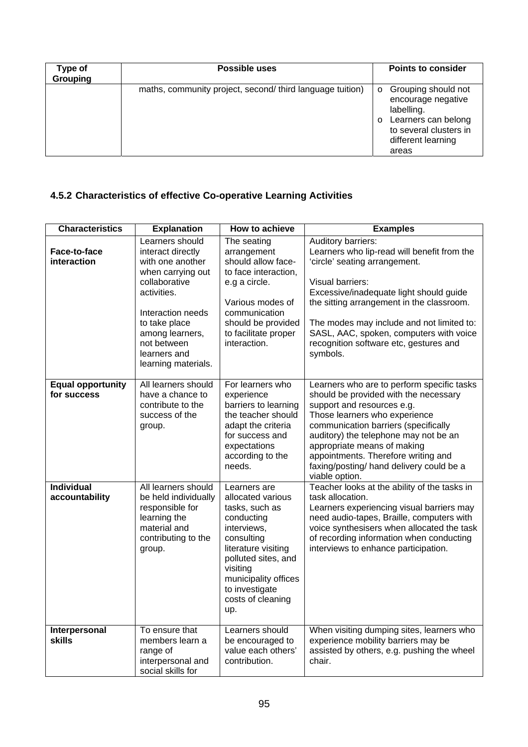| Type of<br>Grouping | Possible uses                                            | <b>Points to consider</b>                                                                                                                                     |
|---------------------|----------------------------------------------------------|---------------------------------------------------------------------------------------------------------------------------------------------------------------|
|                     | maths, community project, second/third language tuition) | Grouping should not<br>$\circ$<br>encourage negative<br>labelling.<br>Learners can belong<br>$\circ$<br>to several clusters in<br>different learning<br>areas |

# **4.5.2 Characteristics of effective Co-operative Learning Activities**

| <b>Characteristics</b>                  | <b>Explanation</b>                                                                                                                                                                                                           | How to achieve                                                                                                                                                                                                                 | <b>Examples</b>                                                                                                                                                                                                                                                                                                                                                         |
|-----------------------------------------|------------------------------------------------------------------------------------------------------------------------------------------------------------------------------------------------------------------------------|--------------------------------------------------------------------------------------------------------------------------------------------------------------------------------------------------------------------------------|-------------------------------------------------------------------------------------------------------------------------------------------------------------------------------------------------------------------------------------------------------------------------------------------------------------------------------------------------------------------------|
| Face-to-face<br>interaction             | Learners should<br>interact directly<br>with one another<br>when carrying out<br>collaborative<br>activities.<br>Interaction needs<br>to take place<br>among learners,<br>not between<br>learners and<br>learning materials. | The seating<br>arrangement<br>should allow face-<br>to face interaction,<br>e.g a circle.<br>Various modes of<br>communication<br>should be provided<br>to facilitate proper<br>interaction.                                   | Auditory barriers:<br>Learners who lip-read will benefit from the<br>'circle' seating arrangement.<br>Visual barriers:<br>Excessive/inadequate light should guide<br>the sitting arrangement in the classroom.<br>The modes may include and not limited to:<br>SASL, AAC, spoken, computers with voice<br>recognition software etc, gestures and<br>symbols.            |
| <b>Equal opportunity</b><br>for success | All learners should<br>have a chance to<br>contribute to the<br>success of the<br>group.                                                                                                                                     | For learners who<br>experience<br>barriers to learning<br>the teacher should<br>adapt the criteria<br>for success and<br>expectations<br>according to the<br>needs.                                                            | Learners who are to perform specific tasks<br>should be provided with the necessary<br>support and resources e.g.<br>Those learners who experience<br>communication barriers (specifically<br>auditory) the telephone may not be an<br>appropriate means of making<br>appointments. Therefore writing and<br>faxing/posting/ hand delivery could be a<br>viable option. |
| Individual<br>accountability            | All learners should<br>be held individually<br>responsible for<br>learning the<br>material and<br>contributing to the<br>group.                                                                                              | Learners are<br>allocated various<br>tasks, such as<br>conducting<br>interviews,<br>consulting<br>literature visiting<br>polluted sites, and<br>visiting<br>municipality offices<br>to investigate<br>costs of cleaning<br>up. | Teacher looks at the ability of the tasks in<br>task allocation.<br>Learners experiencing visual barriers may<br>need audio-tapes, Braille, computers with<br>voice synthesisers when allocated the task<br>of recording information when conducting<br>interviews to enhance participation.                                                                            |
| Interpersonal<br><b>skills</b>          | To ensure that<br>members learn a<br>range of<br>interpersonal and<br>social skills for                                                                                                                                      | Learners should<br>be encouraged to<br>value each others'<br>contribution.                                                                                                                                                     | When visiting dumping sites, learners who<br>experience mobility barriers may be<br>assisted by others, e.g. pushing the wheel<br>chair.                                                                                                                                                                                                                                |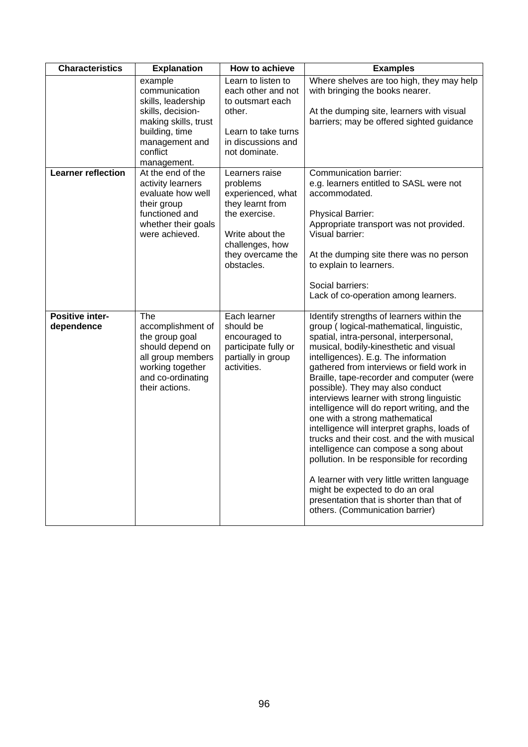| <b>Characteristics</b>               | <b>Explanation</b>                                                                                                                                         | How to achieve                                                                                                                                                | <b>Examples</b>                                                                                                                                                                                                                                                                                                                                                                                                                                                                                                                                                                                                                                                                                                                                                                                                                         |
|--------------------------------------|------------------------------------------------------------------------------------------------------------------------------------------------------------|---------------------------------------------------------------------------------------------------------------------------------------------------------------|-----------------------------------------------------------------------------------------------------------------------------------------------------------------------------------------------------------------------------------------------------------------------------------------------------------------------------------------------------------------------------------------------------------------------------------------------------------------------------------------------------------------------------------------------------------------------------------------------------------------------------------------------------------------------------------------------------------------------------------------------------------------------------------------------------------------------------------------|
|                                      | example<br>communication<br>skills, leadership<br>skills, decision-<br>making skills, trust<br>building, time<br>management and<br>conflict<br>management. | Learn to listen to<br>each other and not<br>to outsmart each<br>other.<br>Learn to take turns<br>in discussions and<br>not dominate.                          | Where shelves are too high, they may help<br>with bringing the books nearer.<br>At the dumping site, learners with visual<br>barriers; may be offered sighted guidance                                                                                                                                                                                                                                                                                                                                                                                                                                                                                                                                                                                                                                                                  |
| <b>Learner reflection</b>            | At the end of the<br>activity learners<br>evaluate how well<br>their group<br>functioned and<br>whether their goals<br>were achieved.                      | Learners raise<br>problems<br>experienced, what<br>they learnt from<br>the exercise.<br>Write about the<br>challenges, how<br>they overcame the<br>obstacles. | Communication barrier:<br>e.g. learners entitled to SASL were not<br>accommodated.<br><b>Physical Barrier:</b><br>Appropriate transport was not provided.<br>Visual barrier:<br>At the dumping site there was no person<br>to explain to learners.<br>Social barriers:<br>Lack of co-operation among learners.                                                                                                                                                                                                                                                                                                                                                                                                                                                                                                                          |
| <b>Positive inter-</b><br>dependence | The<br>accomplishment of<br>the group goal<br>should depend on<br>all group members<br>working together<br>and co-ordinating<br>their actions.             | Each learner<br>should be<br>encouraged to<br>participate fully or<br>partially in group<br>activities.                                                       | Identify strengths of learners within the<br>group (logical-mathematical, linguistic,<br>spatial, intra-personal, interpersonal,<br>musical, bodily-kinesthetic and visual<br>intelligences). E.g. The information<br>gathered from interviews or field work in<br>Braille, tape-recorder and computer (were<br>possible). They may also conduct<br>interviews learner with strong linguistic<br>intelligence will do report writing, and the<br>one with a strong mathematical<br>intelligence will interpret graphs, loads of<br>trucks and their cost. and the with musical<br>intelligence can compose a song about<br>pollution. In be responsible for recording<br>A learner with very little written language<br>might be expected to do an oral<br>presentation that is shorter than that of<br>others. (Communication barrier) |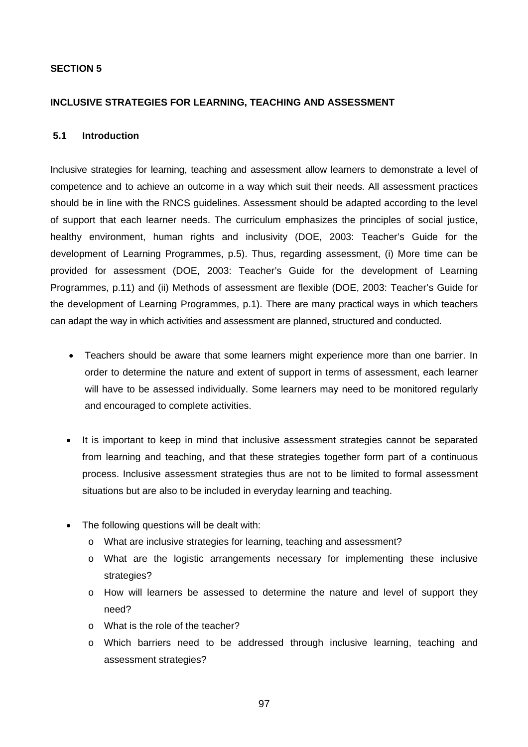#### **SECTION 5**

#### **INCLUSIVE STRATEGIES FOR LEARNING, TEACHING AND ASSESSMENT**

#### **5.1 Introduction**

Inclusive strategies for learning, teaching and assessment allow learners to demonstrate a level of competence and to achieve an outcome in a way which suit their needs. All assessment practices should be in line with the RNCS guidelines. Assessment should be adapted according to the level of support that each learner needs. The curriculum emphasizes the principles of social justice, healthy environment, human rights and inclusivity (DOE, 2003: Teacher's Guide for the development of Learning Programmes, p.5). Thus, regarding assessment, (i) More time can be provided for assessment (DOE, 2003: Teacher's Guide for the development of Learning Programmes, p.11) and (ii) Methods of assessment are flexible (DOE, 2003: Teacher's Guide for the development of Learning Programmes, p.1). There are many practical ways in which teachers can adapt the way in which activities and assessment are planned, structured and conducted.

- Teachers should be aware that some learners might experience more than one barrier. In order to determine the nature and extent of support in terms of assessment, each learner will have to be assessed individually. Some learners may need to be monitored regularly and encouraged to complete activities.
- It is important to keep in mind that inclusive assessment strategies cannot be separated from learning and teaching, and that these strategies together form part of a continuous process. Inclusive assessment strategies thus are not to be limited to formal assessment situations but are also to be included in everyday learning and teaching.
- The following questions will be dealt with:
	- o What are inclusive strategies for learning, teaching and assessment?
	- o What are the logistic arrangements necessary for implementing these inclusive strategies?
	- o How will learners be assessed to determine the nature and level of support they need?
	- o What is the role of the teacher?
	- o Which barriers need to be addressed through inclusive learning, teaching and assessment strategies?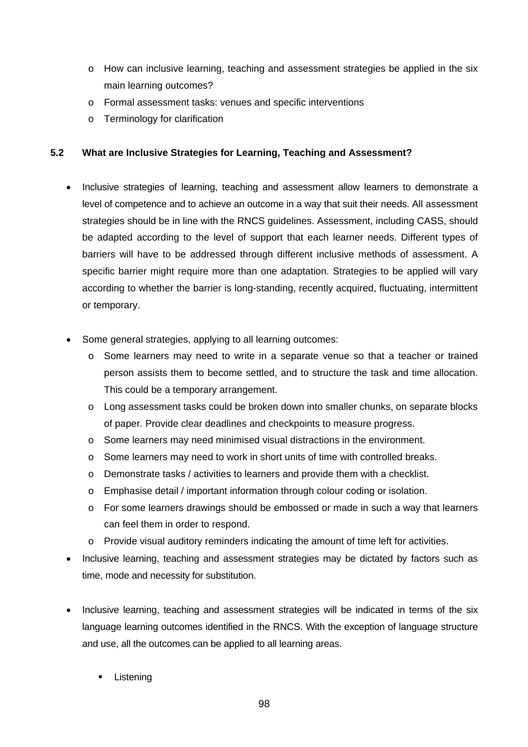- o How can inclusive learning, teaching and assessment strategies be applied in the six main learning outcomes?
- o Formal assessment tasks: venues and specific interventions
- o Terminology for clarification

### **5.2 What are Inclusive Strategies for Learning, Teaching and Assessment?**

- Inclusive strategies of learning, teaching and assessment allow learners to demonstrate a level of competence and to achieve an outcome in a way that suit their needs. All assessment strategies should be in line with the RNCS guidelines. Assessment, including CASS, should be adapted according to the level of support that each learner needs. Different types of barriers will have to be addressed through different inclusive methods of assessment. A specific barrier might require more than one adaptation. Strategies to be applied will vary according to whether the barrier is long-standing, recently acquired, fluctuating, intermittent or temporary.
- Some general strategies, applying to all learning outcomes:
	- o Some learners may need to write in a separate venue so that a teacher or trained person assists them to become settled, and to structure the task and time allocation. This could be a temporary arrangement.
	- o Long assessment tasks could be broken down into smaller chunks, on separate blocks of paper. Provide clear deadlines and checkpoints to measure progress.
	- o Some learners may need minimised visual distractions in the environment.
	- o Some learners may need to work in short units of time with controlled breaks.
	- o Demonstrate tasks / activities to learners and provide them with a checklist.
	- o Emphasise detail / important information through colour coding or isolation.
	- o For some learners drawings should be embossed or made in such a way that learners can feel them in order to respond.
	- $\circ$  Provide visual auditory reminders indicating the amount of time left for activities.
- Inclusive learning, teaching and assessment strategies may be dictated by factors such as time, mode and necessity for substitution.
- Inclusive learning, teaching and assessment strategies will be indicated in terms of the six language learning outcomes identified in the RNCS. With the exception of language structure and use, all the outcomes can be applied to all learning areas.
	- Listening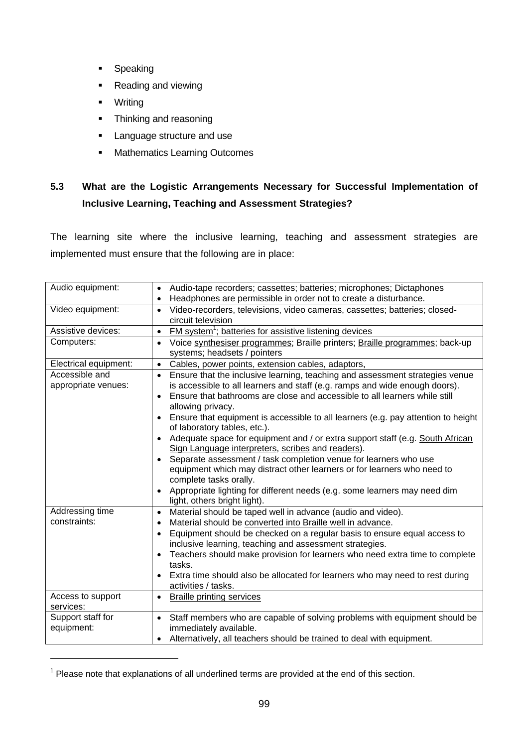- **Speaking**
- Reading and viewing
- **Nriting**

- **Thinking and reasoning**
- **Language structure and use**
- **Mathematics Learning Outcomes**

# **5.3 What are the Logistic Arrangements Necessary for Successful Implementation of Inclusive Learning, Teaching and Assessment Strategies?**

The learning site where the inclusive learning, teaching and assessment strategies are implemented must ensure that the following are in place:

| Audio equipment:                      | Audio-tape recorders; cassettes; batteries; microphones; Dictaphones<br>Headphones are permissible in order not to create a disturbance.<br>$\bullet$                                                                                                                                                                                                                                                                                                                                                   |
|---------------------------------------|---------------------------------------------------------------------------------------------------------------------------------------------------------------------------------------------------------------------------------------------------------------------------------------------------------------------------------------------------------------------------------------------------------------------------------------------------------------------------------------------------------|
| Video equipment:                      | Video-recorders, televisions, video cameras, cassettes; batteries; closed-<br>$\bullet$<br>circuit television                                                                                                                                                                                                                                                                                                                                                                                           |
| Assistive devices:                    | $EM$ system <sup>1</sup> ; batteries for assistive listening devices<br>$\bullet$                                                                                                                                                                                                                                                                                                                                                                                                                       |
| Computers:                            | Voice synthesiser programmes; Braille printers; Braille programmes; back-up<br>$\bullet$<br>systems; headsets / pointers                                                                                                                                                                                                                                                                                                                                                                                |
| Electrical equipment:                 | Cables, power points, extension cables, adaptors,<br>$\bullet$                                                                                                                                                                                                                                                                                                                                                                                                                                          |
| Accessible and<br>appropriate venues: | Ensure that the inclusive learning, teaching and assessment strategies venue<br>is accessible to all learners and staff (e.g. ramps and wide enough doors).<br>Ensure that bathrooms are close and accessible to all learners while still<br>allowing privacy.<br>Ensure that equipment is accessible to all learners (e.g. pay attention to height<br>of laboratory tables, etc.).                                                                                                                     |
|                                       | Adequate space for equipment and / or extra support staff (e.g. South African<br>Sign Language interpreters, scribes and readers).<br>Separate assessment / task completion venue for learners who use<br>equipment which may distract other learners or for learners who need to<br>complete tasks orally.<br>Appropriate lighting for different needs (e.g. some learners may need dim<br>light, others bright light).                                                                                |
| Addressing time<br>constraints:       | Material should be taped well in advance (audio and video).<br>$\bullet$<br>Material should be converted into Braille well in advance.<br>$\bullet$<br>Equipment should be checked on a regular basis to ensure equal access to<br>$\bullet$<br>inclusive learning, teaching and assessment strategies.<br>Teachers should make provision for learners who need extra time to complete<br>tasks.<br>Extra time should also be allocated for learners who may need to rest during<br>activities / tasks. |
| Access to support<br>services:        | Braille printing services<br>$\bullet$                                                                                                                                                                                                                                                                                                                                                                                                                                                                  |
| Support staff for<br>equipment:       | Staff members who are capable of solving problems with equipment should be<br>$\bullet$<br>immediately available.<br>Alternatively, all teachers should be trained to deal with equipment.                                                                                                                                                                                                                                                                                                              |

 $1$  Please note that explanations of all underlined terms are provided at the end of this section.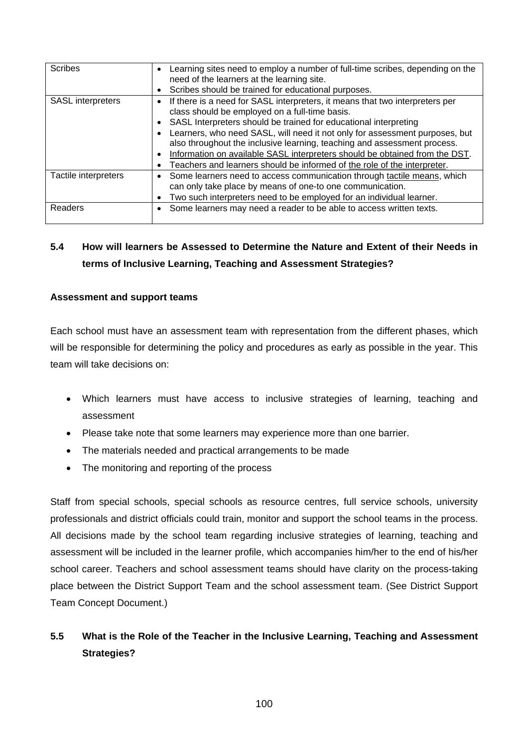| <b>Scribes</b>           | Learning sites need to employ a number of full-time scribes, depending on the<br>$\bullet$<br>need of the learners at the learning site.<br>Scribes should be trained for educational purposes.<br>$\bullet$                                                                                                                                                                                                                                                                                                                                                         |
|--------------------------|----------------------------------------------------------------------------------------------------------------------------------------------------------------------------------------------------------------------------------------------------------------------------------------------------------------------------------------------------------------------------------------------------------------------------------------------------------------------------------------------------------------------------------------------------------------------|
| <b>SASL</b> interpreters | If there is a need for SASL interpreters, it means that two interpreters per<br>$\bullet$<br>class should be employed on a full-time basis.<br>SASL Interpreters should be trained for educational interpreting<br>Learners, who need SASL, will need it not only for assessment purposes, but<br>$\bullet$<br>also throughout the inclusive learning, teaching and assessment process.<br>Information on available SASL interpreters should be obtained from the DST.<br>$\bullet$<br>Teachers and learners should be informed of the role of the interpreter.<br>٠ |
| Tactile interpreters     | Some learners need to access communication through tactile means, which<br>٠<br>can only take place by means of one-to one communication.<br>Two such interpreters need to be employed for an individual learner.                                                                                                                                                                                                                                                                                                                                                    |
| Readers                  | Some learners may need a reader to be able to access written texts.                                                                                                                                                                                                                                                                                                                                                                                                                                                                                                  |

# **5.4 How will learners be Assessed to Determine the Nature and Extent of their Needs in terms of Inclusive Learning, Teaching and Assessment Strategies?**

### **Assessment and support teams**

Each school must have an assessment team with representation from the different phases, which will be responsible for determining the policy and procedures as early as possible in the year. This team will take decisions on:

- Which learners must have access to inclusive strategies of learning, teaching and assessment
- Please take note that some learners may experience more than one barrier.
- The materials needed and practical arrangements to be made
- The monitoring and reporting of the process

Staff from special schools, special schools as resource centres, full service schools, university professionals and district officials could train, monitor and support the school teams in the process. All decisions made by the school team regarding inclusive strategies of learning, teaching and assessment will be included in the learner profile, which accompanies him/her to the end of his/her school career. Teachers and school assessment teams should have clarity on the process-taking place between the District Support Team and the school assessment team. (See District Support Team Concept Document.)

# **5.5 What is the Role of the Teacher in the Inclusive Learning, Teaching and Assessment Strategies?**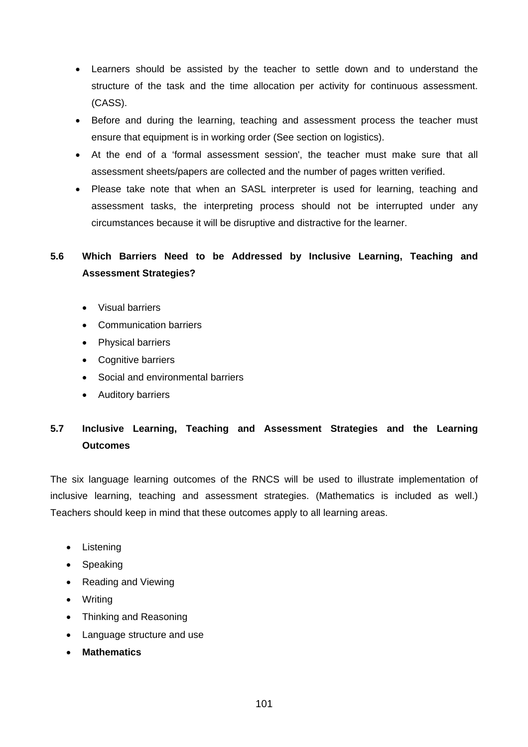- Learners should be assisted by the teacher to settle down and to understand the structure of the task and the time allocation per activity for continuous assessment. (CASS).
- Before and during the learning, teaching and assessment process the teacher must ensure that equipment is in working order (See section on logistics).
- At the end of a 'formal assessment session', the teacher must make sure that all assessment sheets/papers are collected and the number of pages written verified.
- Please take note that when an SASL interpreter is used for learning, teaching and assessment tasks, the interpreting process should not be interrupted under any circumstances because it will be disruptive and distractive for the learner.

# **5.6 Which Barriers Need to be Addressed by Inclusive Learning, Teaching and Assessment Strategies?**

- Visual barriers
- Communication barriers
- Physical barriers
- Cognitive barriers
- Social and environmental barriers
- Auditory barriers

# **5.7 Inclusive Learning, Teaching and Assessment Strategies and the Learning Outcomes**

The six language learning outcomes of the RNCS will be used to illustrate implementation of inclusive learning, teaching and assessment strategies. (Mathematics is included as well.) Teachers should keep in mind that these outcomes apply to all learning areas.

- Listening
- Speaking
- Reading and Viewing
- Writing
- Thinking and Reasoning
- Language structure and use
- **Mathematics**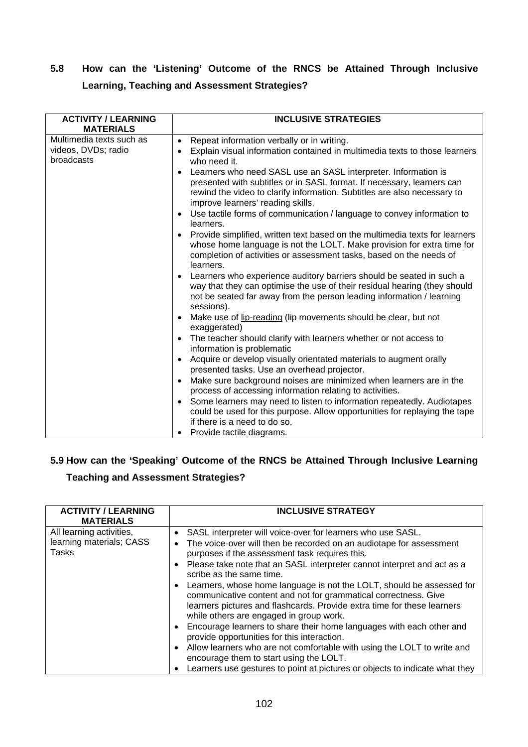# **5.8 How can the 'Listening' Outcome of the RNCS be Attained Through Inclusive Learning, Teaching and Assessment Strategies?**

| <b>ACTIVITY / LEARNING</b> | <b>INCLUSIVE STRATEGIES</b>                                                     |
|----------------------------|---------------------------------------------------------------------------------|
| <b>MATERIALS</b>           |                                                                                 |
| Multimedia texts such as   | Repeat information verbally or in writing.<br>$\bullet$                         |
| videos, DVDs; radio        | Explain visual information contained in multimedia texts to those learners      |
| broadcasts                 | who need it.                                                                    |
|                            | Learners who need SASL use an SASL interpreter. Information is                  |
|                            | presented with subtitles or in SASL format. If necessary, learners can          |
|                            | rewind the video to clarify information. Subtitles are also necessary to        |
|                            | improve learners' reading skills.                                               |
|                            | Use tactile forms of communication / language to convey information to          |
|                            | learners.                                                                       |
|                            | Provide simplified, written text based on the multimedia texts for learners     |
|                            | whose home language is not the LOLT. Make provision for extra time for          |
|                            | completion of activities or assessment tasks, based on the needs of             |
|                            | learners.                                                                       |
|                            | Learners who experience auditory barriers should be seated in such a            |
|                            | way that they can optimise the use of their residual hearing (they should       |
|                            | not be seated far away from the person leading information / learning           |
|                            | sessions).                                                                      |
|                            | Make use of lip-reading (lip movements should be clear, but not                 |
|                            | exaggerated)                                                                    |
|                            | The teacher should clarify with learners whether or not access to               |
|                            | information is problematic                                                      |
|                            | Acquire or develop visually orientated materials to augment orally              |
|                            | presented tasks. Use an overhead projector.                                     |
|                            | Make sure background noises are minimized when learners are in the<br>$\bullet$ |
|                            | process of accessing information relating to activities.                        |
|                            | Some learners may need to listen to information repeatedly. Audiotapes          |
|                            | could be used for this purpose. Allow opportunities for replaying the tape      |
|                            | if there is a need to do so.                                                    |
|                            | Provide tactile diagrams.<br>$\bullet$                                          |

# **5.9 How can the 'Speaking' Outcome of the RNCS be Attained Through Inclusive Learning Teaching and Assessment Strategies?**

| All learning activities,<br>SASL interpreter will voice-over for learners who use SASL.<br>$\bullet$                                                                                                                                                                                                                                                                                                                                                                                                                                                                                                                                                      | <b>ACTIVITY / LEARNING</b><br><b>MATERIALS</b> | <b>INCLUSIVE STRATEGY</b>                                                                                                                                                                                                       |
|-----------------------------------------------------------------------------------------------------------------------------------------------------------------------------------------------------------------------------------------------------------------------------------------------------------------------------------------------------------------------------------------------------------------------------------------------------------------------------------------------------------------------------------------------------------------------------------------------------------------------------------------------------------|------------------------------------------------|---------------------------------------------------------------------------------------------------------------------------------------------------------------------------------------------------------------------------------|
| The voice-over will then be recorded on an audiotape for assessment<br>Tasks<br>purposes if the assessment task requires this.<br>Please take note that an SASL interpreter cannot interpret and act as a<br>$\bullet$<br>scribe as the same time.<br>$\bullet$<br>communicative content and not for grammatical correctness. Give<br>learners pictures and flashcards. Provide extra time for these learners<br>while others are engaged in group work.<br>Encourage learners to share their home languages with each other and<br>$\bullet$<br>provide opportunities for this interaction.<br>$\bullet$<br>encourage them to start using the LOLT.<br>٠ | learning materials; CASS                       | Learners, whose home language is not the LOLT, should be assessed for<br>Allow learners who are not comfortable with using the LOLT to write and<br>Learners use gestures to point at pictures or objects to indicate what they |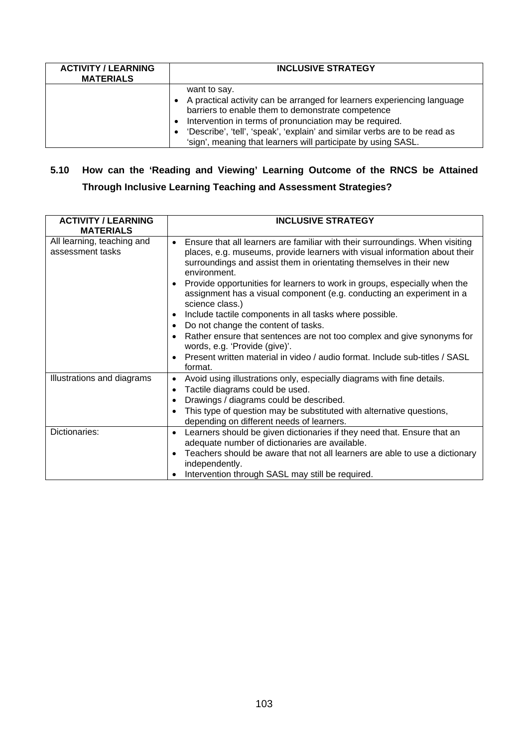| <b>ACTIVITY / LEARNING</b><br><b>MATERIALS</b> | <b>INCLUSIVE STRATEGY</b>                                                                                                                                                                                                                                                                                                                                             |
|------------------------------------------------|-----------------------------------------------------------------------------------------------------------------------------------------------------------------------------------------------------------------------------------------------------------------------------------------------------------------------------------------------------------------------|
|                                                | want to say.<br>• A practical activity can be arranged for learners experiencing language<br>barriers to enable them to demonstrate competence<br>Intervention in terms of pronunciation may be required.<br>$\bullet$<br>'Describe', 'tell', 'speak', 'explain' and similar verbs are to be read as<br>'sign', meaning that learners will participate by using SASL. |

# **5.10 How can the 'Reading and Viewing' Learning Outcome of the RNCS be Attained Through Inclusive Learning Teaching and Assessment Strategies?**

| <b>ACTIVITY / LEARNING</b><br><b>MATERIALS</b> | <b>INCLUSIVE STRATEGY</b>                                                                                                                                                                                                                                                                                                                                                                                                                                                                                                                                                                                                                                                                                                                                                |
|------------------------------------------------|--------------------------------------------------------------------------------------------------------------------------------------------------------------------------------------------------------------------------------------------------------------------------------------------------------------------------------------------------------------------------------------------------------------------------------------------------------------------------------------------------------------------------------------------------------------------------------------------------------------------------------------------------------------------------------------------------------------------------------------------------------------------------|
| All learning, teaching and<br>assessment tasks | Ensure that all learners are familiar with their surroundings. When visiting<br>$\bullet$<br>places, e.g. museums, provide learners with visual information about their<br>surroundings and assist them in orientating themselves in their new<br>environment.<br>Provide opportunities for learners to work in groups, especially when the<br>assignment has a visual component (e.g. conducting an experiment in a<br>science class.)<br>Include tactile components in all tasks where possible.<br>$\bullet$<br>Do not change the content of tasks.<br>$\bullet$<br>Rather ensure that sentences are not too complex and give synonyms for<br>words, e.g. 'Provide (give)'.<br>Present written material in video / audio format. Include sub-titles / SASL<br>format. |
| Illustrations and diagrams                     | Avoid using illustrations only, especially diagrams with fine details.<br>$\bullet$<br>Tactile diagrams could be used.<br>$\bullet$<br>Drawings / diagrams could be described.<br>This type of question may be substituted with alternative questions,<br>depending on different needs of learners.                                                                                                                                                                                                                                                                                                                                                                                                                                                                      |
| Dictionaries:                                  | Learners should be given dictionaries if they need that. Ensure that an<br>adequate number of dictionaries are available.<br>Teachers should be aware that not all learners are able to use a dictionary<br>independently.<br>Intervention through SASL may still be required.                                                                                                                                                                                                                                                                                                                                                                                                                                                                                           |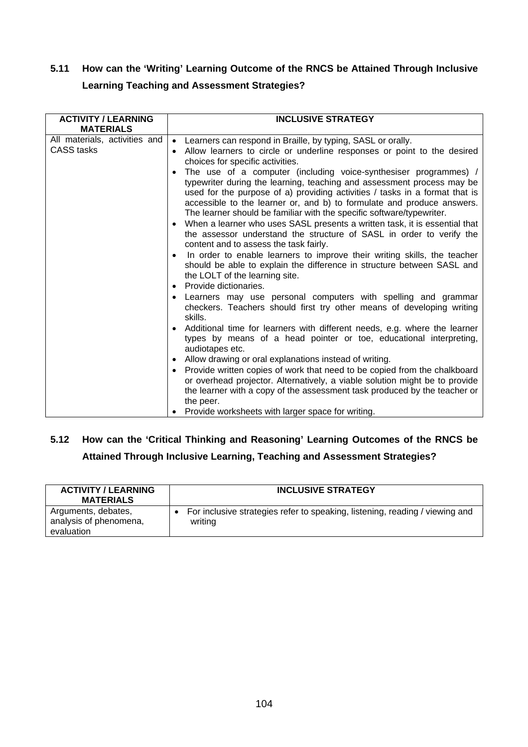# **5.11 How can the 'Writing' Learning Outcome of the RNCS be Attained Through Inclusive Learning Teaching and Assessment Strategies?**

| <b>ACTIVITY / LEARNING</b>                                             | <b>INCLUSIVE STRATEGY</b>                                                                                                                                                                                                                                                                                                                                                                                                                                                                                                                                                                                                                                                                                                                                                                                                                                                                                                                                                                                                                                                                                                                                                                                                                                                                                                                                                                                                                                                                                                                                                                                                                       |
|------------------------------------------------------------------------|-------------------------------------------------------------------------------------------------------------------------------------------------------------------------------------------------------------------------------------------------------------------------------------------------------------------------------------------------------------------------------------------------------------------------------------------------------------------------------------------------------------------------------------------------------------------------------------------------------------------------------------------------------------------------------------------------------------------------------------------------------------------------------------------------------------------------------------------------------------------------------------------------------------------------------------------------------------------------------------------------------------------------------------------------------------------------------------------------------------------------------------------------------------------------------------------------------------------------------------------------------------------------------------------------------------------------------------------------------------------------------------------------------------------------------------------------------------------------------------------------------------------------------------------------------------------------------------------------------------------------------------------------|
| <b>MATERIALS</b><br>All materials, activities and<br><b>CASS tasks</b> | • Learners can respond in Braille, by typing, SASL or orally.<br>Allow learners to circle or underline responses or point to the desired<br>choices for specific activities.<br>The use of a computer (including voice-synthesiser programmes) /<br>typewriter during the learning, teaching and assessment process may be<br>used for the purpose of a) providing activities / tasks in a format that is<br>accessible to the learner or, and b) to formulate and produce answers.<br>The learner should be familiar with the specific software/typewriter.<br>• When a learner who uses SASL presents a written task, it is essential that<br>the assessor understand the structure of SASL in order to verify the<br>content and to assess the task fairly.<br>In order to enable learners to improve their writing skills, the teacher<br>should be able to explain the difference in structure between SASL and<br>the LOLT of the learning site.<br>• Provide dictionaries.<br>• Learners may use personal computers with spelling and grammar<br>checkers. Teachers should first try other means of developing writing<br>skills.<br>• Additional time for learners with different needs, e.g. where the learner<br>types by means of a head pointer or toe, educational interpreting,<br>audiotapes etc.<br>• Allow drawing or oral explanations instead of writing.<br>Provide written copies of work that need to be copied from the chalkboard<br>$\bullet$<br>or overhead projector. Alternatively, a viable solution might be to provide<br>the learner with a copy of the assessment task produced by the teacher or<br>the peer. |
|                                                                        | • Provide worksheets with larger space for writing.                                                                                                                                                                                                                                                                                                                                                                                                                                                                                                                                                                                                                                                                                                                                                                                                                                                                                                                                                                                                                                                                                                                                                                                                                                                                                                                                                                                                                                                                                                                                                                                             |

# **5.12 How can the 'Critical Thinking and Reasoning' Learning Outcomes of the RNCS be Attained Through Inclusive Learning, Teaching and Assessment Strategies?**

| <b>ACTIVITY / LEARNING</b><br><b>MATERIALS</b>              | <b>INCLUSIVE STRATEGY</b>                                                               |
|-------------------------------------------------------------|-----------------------------------------------------------------------------------------|
| Arguments, debates,<br>analysis of phenomena,<br>evaluation | For inclusive strategies refer to speaking, listening, reading / viewing and<br>writing |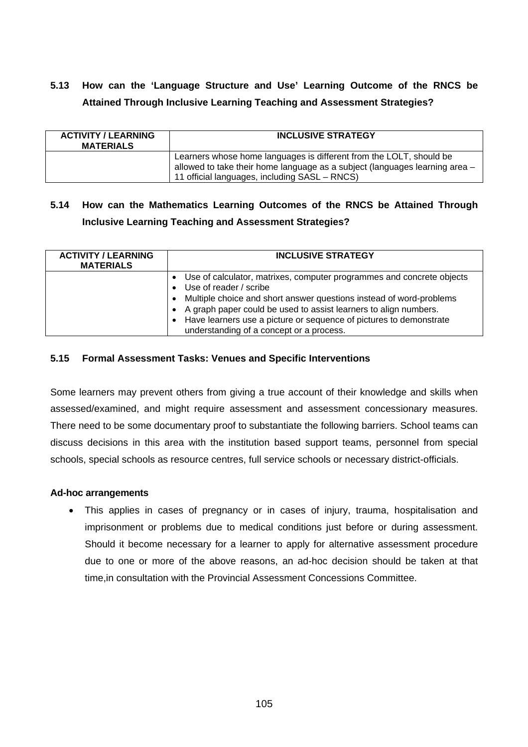# **5.13 How can the 'Language Structure and Use' Learning Outcome of the RNCS be Attained Through Inclusive Learning Teaching and Assessment Strategies?**

| <b>ACTIVITY / LEARNING</b><br><b>MATERIALS</b> | <b>INCLUSIVE STRATEGY</b>                                                                                                                                                                           |
|------------------------------------------------|-----------------------------------------------------------------------------------------------------------------------------------------------------------------------------------------------------|
|                                                | Learners whose home languages is different from the LOLT, should be<br>allowed to take their home language as a subject (languages learning area -<br>11 official languages, including SASL - RNCS) |

# **5.14 How can the Mathematics Learning Outcomes of the RNCS be Attained Through Inclusive Learning Teaching and Assessment Strategies?**

| <b>ACTIVITY / LEARNING</b><br><b>MATERIALS</b> | <b>INCLUSIVE STRATEGY</b>                                                                                                                                                                                                                                                                                                                                              |
|------------------------------------------------|------------------------------------------------------------------------------------------------------------------------------------------------------------------------------------------------------------------------------------------------------------------------------------------------------------------------------------------------------------------------|
|                                                | • Use of calculator, matrixes, computer programmes and concrete objects<br>• Use of reader / scribe<br>• Multiple choice and short answer questions instead of word-problems<br>• A graph paper could be used to assist learners to align numbers.<br>• Have learners use a picture or sequence of pictures to demonstrate<br>understanding of a concept or a process. |

### **5.15 Formal Assessment Tasks: Venues and Specific Interventions**

Some learners may prevent others from giving a true account of their knowledge and skills when assessed/examined, and might require assessment and assessment concessionary measures. There need to be some documentary proof to substantiate the following barriers. School teams can discuss decisions in this area with the institution based support teams, personnel from special schools, special schools as resource centres, full service schools or necessary district-officials.

#### **Ad-hoc arrangements**

This applies in cases of pregnancy or in cases of injury, trauma, hospitalisation and imprisonment or problems due to medical conditions just before or during assessment. Should it become necessary for a learner to apply for alternative assessment procedure due to one or more of the above reasons, an ad-hoc decision should be taken at that time,in consultation with the Provincial Assessment Concessions Committee.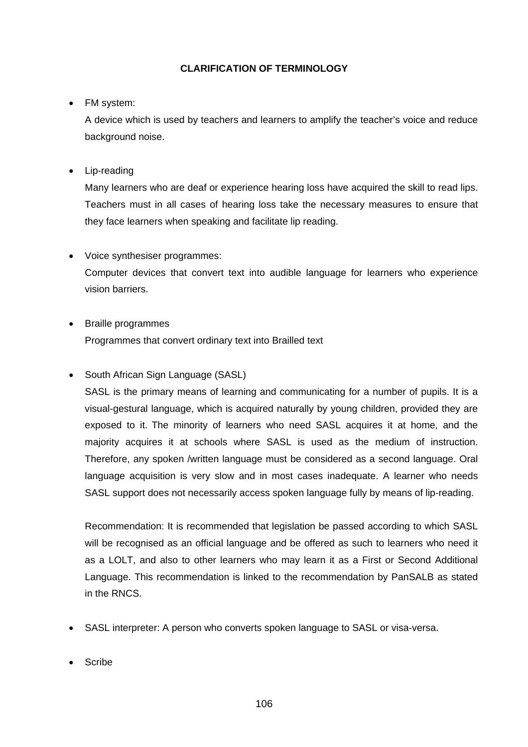## **CLARIFICATION OF TERMINOLOGY**

## • FM system:

A device which is used by teachers and learners to amplify the teacher's voice and reduce background noise.

• Lip-reading

Many learners who are deaf or experience hearing loss have acquired the skill to read lips. Teachers must in all cases of hearing loss take the necessary measures to ensure that they face learners when speaking and facilitate lip reading.

- Voice synthesiser programmes: Computer devices that convert text into audible language for learners who experience vision barriers.
- Braille programmes Programmes that convert ordinary text into Brailled text
- South African Sign Language (SASL)

SASL is the primary means of learning and communicating for a number of pupils. It is a visual-gestural language, which is acquired naturally by young children, provided they are exposed to it. The minority of learners who need SASL acquires it at home, and the majority acquires it at schools where SASL is used as the medium of instruction. Therefore, any spoken /written language must be considered as a second language. Oral language acquisition is very slow and in most cases inadequate. A learner who needs SASL support does not necessarily access spoken language fully by means of lip-reading.

Recommendation: It is recommended that legislation be passed according to which SASL will be recognised as an official language and be offered as such to learners who need it as a LOLT, and also to other learners who may learn it as a First or Second Additional Language. This recommendation is linked to the recommendation by PanSALB as stated in the RNCS.

- SASL interpreter: A person who converts spoken language to SASL or visa-versa.
- Scribe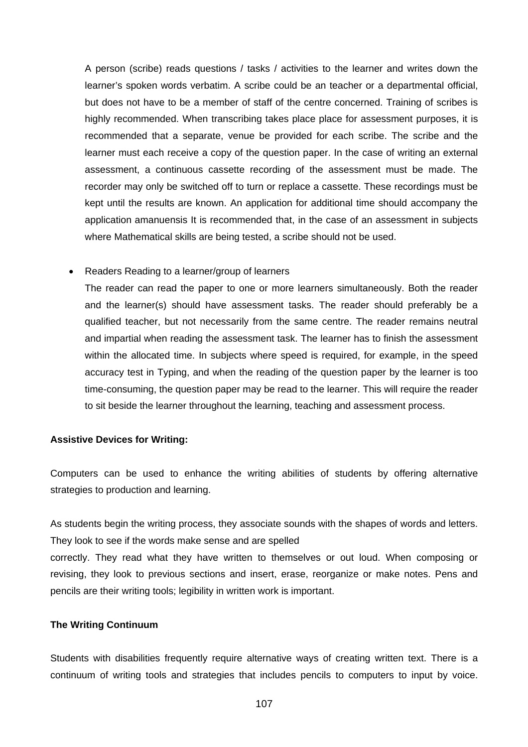A person (scribe) reads questions / tasks / activities to the learner and writes down the learner's spoken words verbatim. A scribe could be an teacher or a departmental official, but does not have to be a member of staff of the centre concerned. Training of scribes is highly recommended. When transcribing takes place place for assessment purposes, it is recommended that a separate, venue be provided for each scribe. The scribe and the learner must each receive a copy of the question paper. In the case of writing an external assessment, a continuous cassette recording of the assessment must be made. The recorder may only be switched off to turn or replace a cassette. These recordings must be kept until the results are known. An application for additional time should accompany the application amanuensis It is recommended that, in the case of an assessment in subjects where Mathematical skills are being tested, a scribe should not be used.

#### • Readers Reading to a learner/group of learners

The reader can read the paper to one or more learners simultaneously. Both the reader and the learner(s) should have assessment tasks. The reader should preferably be a qualified teacher, but not necessarily from the same centre. The reader remains neutral and impartial when reading the assessment task. The learner has to finish the assessment within the allocated time. In subjects where speed is required, for example, in the speed accuracy test in Typing, and when the reading of the question paper by the learner is too time-consuming, the question paper may be read to the learner. This will require the reader to sit beside the learner throughout the learning, teaching and assessment process.

#### **Assistive Devices for Writing:**

Computers can be used to enhance the writing abilities of students by offering alternative strategies to production and learning.

As students begin the writing process, they associate sounds with the shapes of words and letters. They look to see if the words make sense and are spelled

correctly. They read what they have written to themselves or out loud. When composing or revising, they look to previous sections and insert, erase, reorganize or make notes. Pens and pencils are their writing tools; legibility in written work is important.

#### **The Writing Continuum**

Students with disabilities frequently require alternative ways of creating written text. There is a continuum of writing tools and strategies that includes pencils to computers to input by voice.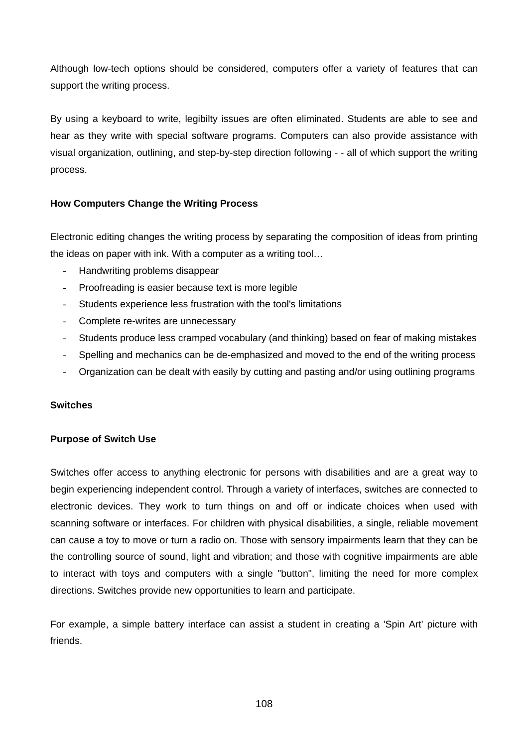Although low-tech options should be considered, computers offer a variety of features that can support the writing process.

By using a keyboard to write, legibilty issues are often eliminated. Students are able to see and hear as they write with special software programs. Computers can also provide assistance with visual organization, outlining, and step-by-step direction following - - all of which support the writing process.

## **How Computers Change the Writing Process**

Electronic editing changes the writing process by separating the composition of ideas from printing the ideas on paper with ink. With a computer as a writing tool…

- Handwriting problems disappear
- Proofreading is easier because text is more legible
- Students experience less frustration with the tool's limitations
- Complete re-writes are unnecessary
- Students produce less cramped vocabulary (and thinking) based on fear of making mistakes
- Spelling and mechanics can be de-emphasized and moved to the end of the writing process
- Organization can be dealt with easily by cutting and pasting and/or using outlining programs

## **Switches**

## **Purpose of Switch Use**

Switches offer access to anything electronic for persons with disabilities and are a great way to begin experiencing independent control. Through a variety of interfaces, switches are connected to electronic devices. They work to turn things on and off or indicate choices when used with scanning software or interfaces. For children with physical disabilities, a single, reliable movement can cause a toy to move or turn a radio on. Those with sensory impairments learn that they can be the controlling source of sound, light and vibration; and those with cognitive impairments are able to interact with toys and computers with a single "button", limiting the need for more complex directions. Switches provide new opportunities to learn and participate.

For example, a simple battery interface can assist a student in creating a 'Spin Art' picture with friends.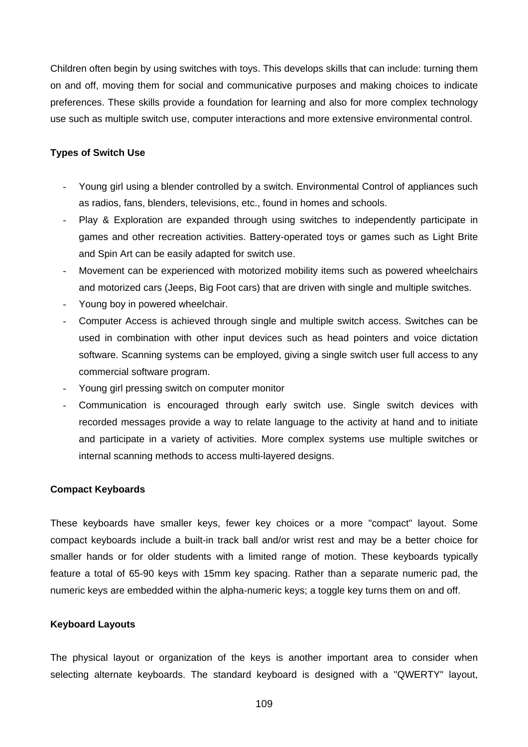Children often begin by using switches with toys. This develops skills that can include: turning them on and off, moving them for social and communicative purposes and making choices to indicate preferences. These skills provide a foundation for learning and also for more complex technology use such as multiple switch use, computer interactions and more extensive environmental control.

## **Types of Switch Use**

- Young girl using a blender controlled by a switch. Environmental Control of appliances such as radios, fans, blenders, televisions, etc., found in homes and schools.
- Play & Exploration are expanded through using switches to independently participate in games and other recreation activities. Battery-operated toys or games such as Light Brite and Spin Art can be easily adapted for switch use.
- Movement can be experienced with motorized mobility items such as powered wheelchairs and motorized cars (Jeeps, Big Foot cars) that are driven with single and multiple switches.
- Young boy in powered wheelchair.
- Computer Access is achieved through single and multiple switch access. Switches can be used in combination with other input devices such as head pointers and voice dictation software. Scanning systems can be employed, giving a single switch user full access to any commercial software program.
- Young girl pressing switch on computer monitor
- Communication is encouraged through early switch use. Single switch devices with recorded messages provide a way to relate language to the activity at hand and to initiate and participate in a variety of activities. More complex systems use multiple switches or internal scanning methods to access multi-layered designs.

#### **Compact Keyboards**

These keyboards have smaller keys, fewer key choices or a more "compact" layout. Some compact keyboards include a built-in track ball and/or wrist rest and may be a better choice for smaller hands or for older students with a limited range of motion. These keyboards typically feature a total of 65-90 keys with 15mm key spacing. Rather than a separate numeric pad, the numeric keys are embedded within the alpha-numeric keys; a toggle key turns them on and off.

#### **Keyboard Layouts**

The physical layout or organization of the keys is another important area to consider when selecting alternate keyboards. The standard keyboard is designed with a "QWERTY" layout,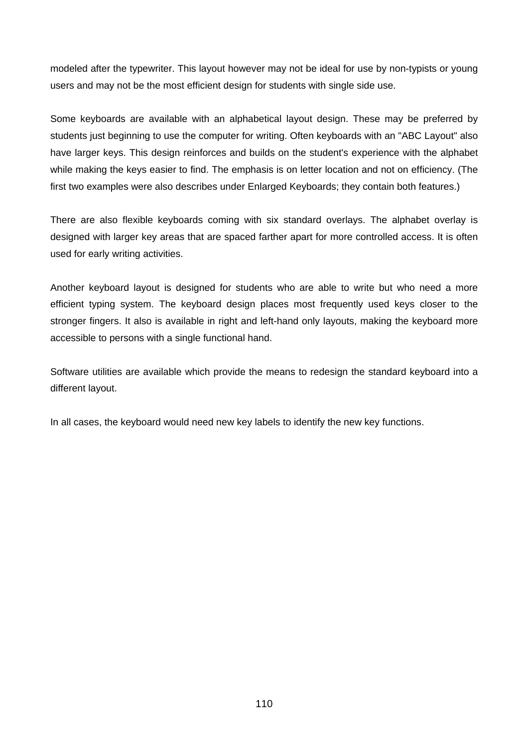modeled after the typewriter. This layout however may not be ideal for use by non-typists or young users and may not be the most efficient design for students with single side use.

Some keyboards are available with an alphabetical layout design. These may be preferred by students just beginning to use the computer for writing. Often keyboards with an "ABC Layout" also have larger keys. This design reinforces and builds on the student's experience with the alphabet while making the keys easier to find. The emphasis is on letter location and not on efficiency. (The first two examples were also describes under Enlarged Keyboards; they contain both features.)

There are also flexible keyboards coming with six standard overlays. The alphabet overlay is designed with larger key areas that are spaced farther apart for more controlled access. It is often used for early writing activities.

Another keyboard layout is designed for students who are able to write but who need a more efficient typing system. The keyboard design places most frequently used keys closer to the stronger fingers. It also is available in right and left-hand only layouts, making the keyboard more accessible to persons with a single functional hand.

Software utilities are available which provide the means to redesign the standard keyboard into a different layout.

In all cases, the keyboard would need new key labels to identify the new key functions.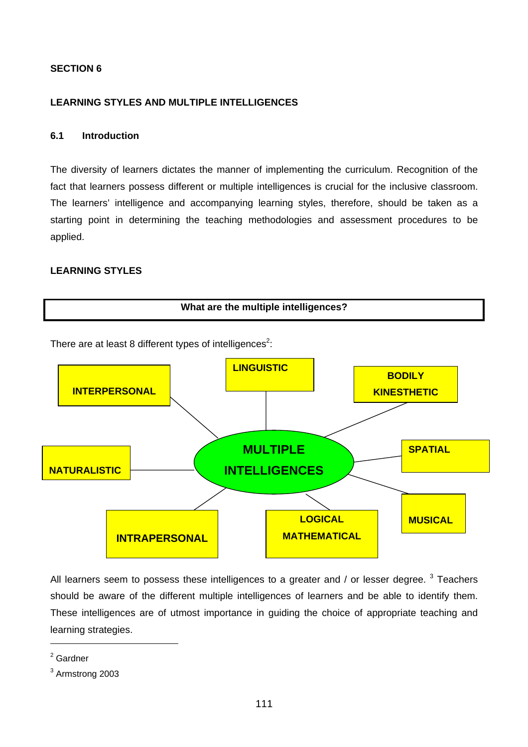## **SECTION 6**

## **LEARNING STYLES AND MULTIPLE INTELLIGENCES**

#### **6.1 Introduction**

The diversity of learners dictates the manner of implementing the curriculum. Recognition of the fact that learners possess different or multiple intelligences is crucial for the inclusive classroom. The learners' intelligence and accompanying learning styles, therefore, should be taken as a starting point in determining the teaching methodologies and assessment procedures to be applied.

## **LEARNING STYLES**



All learners seem to possess these intelligences to a greater and / or lesser degree.  $3$  Teachers should be aware of the different multiple intelligences of learners and be able to identify them. These intelligences are of utmost importance in guiding the choice of appropriate teaching and learning strategies.

<sup>&</sup>lt;sup>2</sup> Gardner

 $3$  Armstrong 2003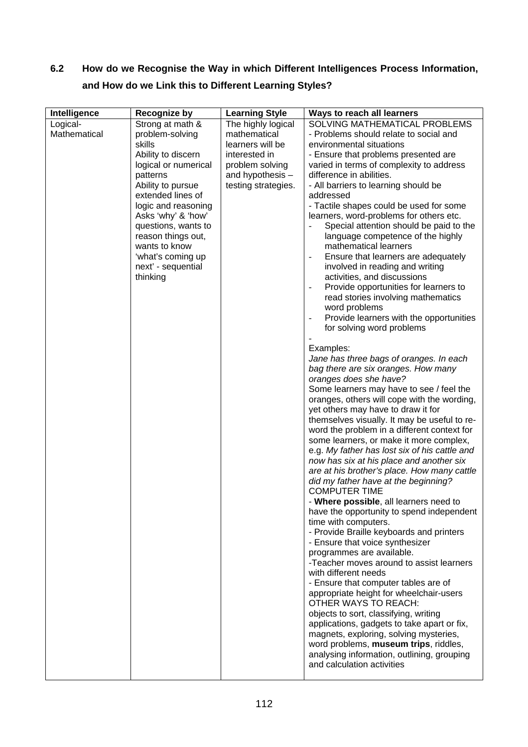# **6.2 How do we Recognise the Way in which Different Intelligences Process Information, and How do we Link this to Different Learning Styles?**

| Intelligence | <b>Recognize by</b>  | <b>Learning Style</b> | Ways to reach all learners                                                                    |
|--------------|----------------------|-----------------------|-----------------------------------------------------------------------------------------------|
| Logical-     | Strong at math &     | The highly logical    | SOLVING MATHEMATICAL PROBLEMS                                                                 |
| Mathematical | problem-solving      | mathematical          | - Problems should relate to social and                                                        |
|              | skills               | learners will be      | environmental situations                                                                      |
|              | Ability to discern   | interested in         | - Ensure that problems presented are                                                          |
|              | logical or numerical | problem solving       | varied in terms of complexity to address                                                      |
|              | patterns             | and hypothesis -      | difference in abilities.                                                                      |
|              | Ability to pursue    | testing strategies.   | - All barriers to learning should be                                                          |
|              | extended lines of    |                       | addressed                                                                                     |
|              | logic and reasoning  |                       | - Tactile shapes could be used for some                                                       |
|              | Asks 'why' & 'how'   |                       | learners, word-problems for others etc.                                                       |
|              | questions, wants to  |                       | Special attention should be paid to the                                                       |
|              | reason things out,   |                       | language competence of the highly                                                             |
|              | wants to know        |                       | mathematical learners                                                                         |
|              | 'what's coming up    |                       | Ensure that learners are adequately                                                           |
|              | next' - sequential   |                       | involved in reading and writing                                                               |
|              | thinking             |                       | activities, and discussions                                                                   |
|              |                      |                       | Provide opportunities for learners to<br>$\blacksquare$<br>read stories involving mathematics |
|              |                      |                       | word problems                                                                                 |
|              |                      |                       | Provide learners with the opportunities<br>$\blacksquare$                                     |
|              |                      |                       | for solving word problems                                                                     |
|              |                      |                       |                                                                                               |
|              |                      |                       | Examples:                                                                                     |
|              |                      |                       | Jane has three bags of oranges. In each                                                       |
|              |                      |                       | bag there are six oranges. How many                                                           |
|              |                      |                       | oranges does she have?                                                                        |
|              |                      |                       | Some learners may have to see / feel the                                                      |
|              |                      |                       | oranges, others will cope with the wording,                                                   |
|              |                      |                       | yet others may have to draw it for                                                            |
|              |                      |                       | themselves visually. It may be useful to re-                                                  |
|              |                      |                       | word the problem in a different context for                                                   |
|              |                      |                       | some learners, or make it more complex,                                                       |
|              |                      |                       | e.g. My father has lost six of his cattle and                                                 |
|              |                      |                       | now has six at his place and another six<br>are at his brother's place. How many cattle       |
|              |                      |                       | did my father have at the beginning?                                                          |
|              |                      |                       | <b>COMPUTER TIME</b>                                                                          |
|              |                      |                       | Where possible, all learners need to                                                          |
|              |                      |                       | have the opportunity to spend independent                                                     |
|              |                      |                       | time with computers.                                                                          |
|              |                      |                       | - Provide Braille keyboards and printers                                                      |
|              |                      |                       | - Ensure that voice synthesizer                                                               |
|              |                      |                       | programmes are available.                                                                     |
|              |                      |                       | -Teacher moves around to assist learners                                                      |
|              |                      |                       | with different needs                                                                          |
|              |                      |                       | - Ensure that computer tables are of                                                          |
|              |                      |                       | appropriate height for wheelchair-users                                                       |
|              |                      |                       | OTHER WAYS TO REACH:<br>objects to sort, classifying, writing                                 |
|              |                      |                       | applications, gadgets to take apart or fix,                                                   |
|              |                      |                       | magnets, exploring, solving mysteries,                                                        |
|              |                      |                       | word problems, museum trips, riddles,                                                         |
|              |                      |                       | analysing information, outlining, grouping                                                    |
|              |                      |                       | and calculation activities                                                                    |
|              |                      |                       |                                                                                               |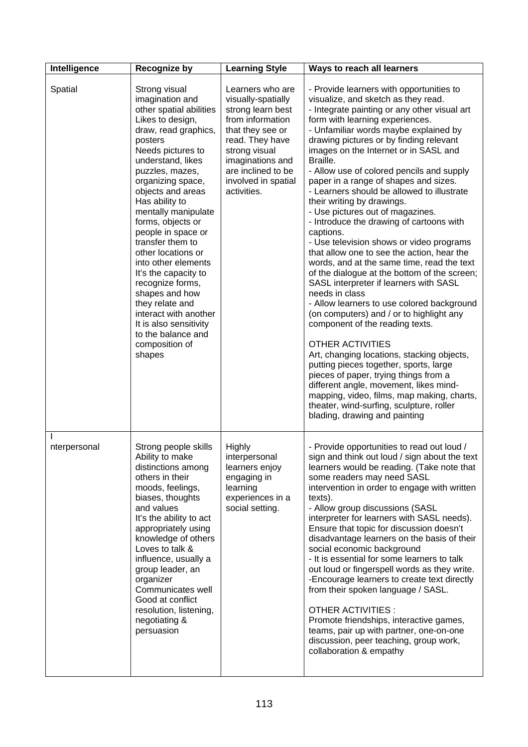| Intelligence | <b>Recognize by</b>                                                                                                                                                                                                                                                                                                                                                                                                                                                                                                                                                  | <b>Learning Style</b>                                                                                                                                                                                                   | Ways to reach all learners                                                                                                                                                                                                                                                                                                                                                                                                                                                                                                                                                                                                                                                                                                                                                                                                                                                                                                                                                                                                                                                                                                                                                                                                                                                                   |
|--------------|----------------------------------------------------------------------------------------------------------------------------------------------------------------------------------------------------------------------------------------------------------------------------------------------------------------------------------------------------------------------------------------------------------------------------------------------------------------------------------------------------------------------------------------------------------------------|-------------------------------------------------------------------------------------------------------------------------------------------------------------------------------------------------------------------------|----------------------------------------------------------------------------------------------------------------------------------------------------------------------------------------------------------------------------------------------------------------------------------------------------------------------------------------------------------------------------------------------------------------------------------------------------------------------------------------------------------------------------------------------------------------------------------------------------------------------------------------------------------------------------------------------------------------------------------------------------------------------------------------------------------------------------------------------------------------------------------------------------------------------------------------------------------------------------------------------------------------------------------------------------------------------------------------------------------------------------------------------------------------------------------------------------------------------------------------------------------------------------------------------|
| Spatial      | Strong visual<br>imagination and<br>other spatial abilities<br>Likes to design,<br>draw, read graphics,<br>posters<br>Needs pictures to<br>understand, likes<br>puzzles, mazes,<br>organizing space,<br>objects and areas<br>Has ability to<br>mentally manipulate<br>forms, objects or<br>people in space or<br>transfer them to<br>other locations or<br>into other elements<br>It's the capacity to<br>recognize forms,<br>shapes and how<br>they relate and<br>interact with another<br>It is also sensitivity<br>to the balance and<br>composition of<br>shapes | Learners who are<br>visually-spatially<br>strong learn best<br>from information<br>that they see or<br>read. They have<br>strong visual<br>imaginations and<br>are inclined to be<br>involved in spatial<br>activities. | - Provide learners with opportunities to<br>visualize, and sketch as they read.<br>- Integrate painting or any other visual art<br>form with learning experiences.<br>- Unfamiliar words maybe explained by<br>drawing pictures or by finding relevant<br>images on the Internet or in SASL and<br>Braille.<br>- Allow use of colored pencils and supply<br>paper in a range of shapes and sizes.<br>- Learners should be allowed to illustrate<br>their writing by drawings.<br>- Use pictures out of magazines.<br>- Introduce the drawing of cartoons with<br>captions.<br>- Use television shows or video programs<br>that allow one to see the action, hear the<br>words, and at the same time, read the text<br>of the dialogue at the bottom of the screen;<br>SASL interpreter if learners with SASL<br>needs in class<br>- Allow learners to use colored background<br>(on computers) and / or to highlight any<br>component of the reading texts.<br><b>OTHER ACTIVITIES</b><br>Art, changing locations, stacking objects,<br>putting pieces together, sports, large<br>pieces of paper, trying things from a<br>different angle, movement, likes mind-<br>mapping, video, films, map making, charts,<br>theater, wind-surfing, sculpture, roller<br>blading, drawing and painting |
| nterpersonal | Strong people skills<br>Ability to make<br>distinctions among<br>others in their<br>moods, feelings,<br>biases, thoughts<br>and values<br>It's the ability to act<br>appropriately using<br>knowledge of others<br>Loves to talk &<br>influence, usually a<br>group leader, an<br>organizer<br>Communicates well<br>Good at conflict<br>resolution, listening,<br>negotiating &<br>persuasion                                                                                                                                                                        | <b>Highly</b><br>interpersonal<br>learners enjoy<br>engaging in<br>learning<br>experiences in a<br>social setting.                                                                                                      | - Provide opportunities to read out loud /<br>sign and think out loud / sign about the text<br>learners would be reading. (Take note that<br>some readers may need SASL<br>intervention in order to engage with written<br>texts).<br>- Allow group discussions (SASL<br>interpreter for learners with SASL needs).<br>Ensure that topic for discussion doesn't<br>disadvantage learners on the basis of their<br>social economic background<br>- It is essential for some learners to talk<br>out loud or fingerspell words as they write.<br>-Encourage learners to create text directly<br>from their spoken language / SASL.<br><b>OTHER ACTIVITIES:</b><br>Promote friendships, interactive games,<br>teams, pair up with partner, one-on-one<br>discussion, peer teaching, group work,<br>collaboration & empathy                                                                                                                                                                                                                                                                                                                                                                                                                                                                      |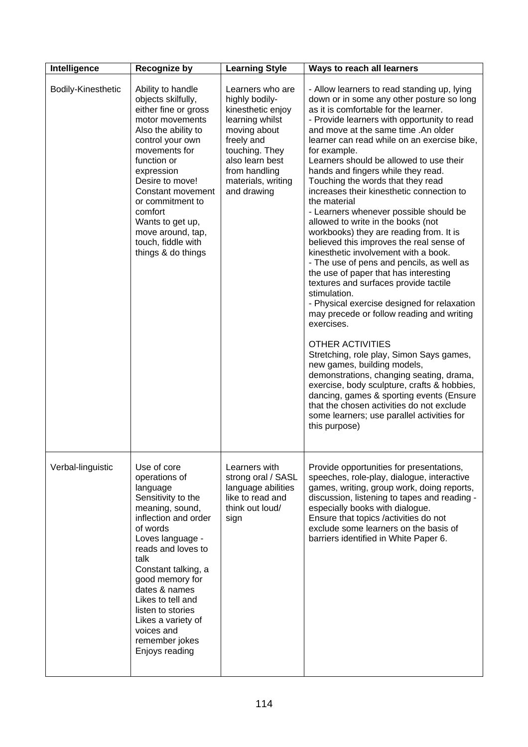| Intelligence       | <b>Recognize by</b>                                                                                                                                                                                                                                                                                                                                  | <b>Learning Style</b>                                                                                                                                                                               | Ways to reach all learners                                                                                                                                                                                                                                                                                                                                                                                                                                                                                                                                                                                                                                                                                                                                                                                                                                                                                                                                                                                                                                                                                                                                                                                                                                                                                 |
|--------------------|------------------------------------------------------------------------------------------------------------------------------------------------------------------------------------------------------------------------------------------------------------------------------------------------------------------------------------------------------|-----------------------------------------------------------------------------------------------------------------------------------------------------------------------------------------------------|------------------------------------------------------------------------------------------------------------------------------------------------------------------------------------------------------------------------------------------------------------------------------------------------------------------------------------------------------------------------------------------------------------------------------------------------------------------------------------------------------------------------------------------------------------------------------------------------------------------------------------------------------------------------------------------------------------------------------------------------------------------------------------------------------------------------------------------------------------------------------------------------------------------------------------------------------------------------------------------------------------------------------------------------------------------------------------------------------------------------------------------------------------------------------------------------------------------------------------------------------------------------------------------------------------|
| Bodily-Kinesthetic | Ability to handle<br>objects skilfully,<br>either fine or gross<br>motor movements<br>Also the ability to<br>control your own<br>movements for<br>function or<br>expression<br>Desire to move!<br>Constant movement<br>or commitment to<br>comfort<br>Wants to get up,<br>move around, tap,<br>touch, fiddle with<br>things & do things              | Learners who are<br>highly bodily-<br>kinesthetic enjoy<br>learning whilst<br>moving about<br>freely and<br>touching. They<br>also learn best<br>from handling<br>materials, writing<br>and drawing | - Allow learners to read standing up, lying<br>down or in some any other posture so long<br>as it is comfortable for the learner.<br>- Provide learners with opportunity to read<br>and move at the same time .An older<br>learner can read while on an exercise bike,<br>for example.<br>Learners should be allowed to use their<br>hands and fingers while they read.<br>Touching the words that they read<br>increases their kinesthetic connection to<br>the material<br>- Learners whenever possible should be<br>allowed to write in the books (not<br>workbooks) they are reading from. It is<br>believed this improves the real sense of<br>kinesthetic involvement with a book.<br>- The use of pens and pencils, as well as<br>the use of paper that has interesting<br>textures and surfaces provide tactile<br>stimulation.<br>- Physical exercise designed for relaxation<br>may precede or follow reading and writing<br>exercises.<br><b>OTHER ACTIVITIES</b><br>Stretching, role play, Simon Says games,<br>new games, building models,<br>demonstrations, changing seating, drama,<br>exercise, body sculpture, crafts & hobbies,<br>dancing, games & sporting events (Ensure<br>that the chosen activities do not exclude<br>some learners; use parallel activities for<br>this purpose) |
| Verbal-linguistic  | Use of core<br>operations of<br>language<br>Sensitivity to the<br>meaning, sound,<br>inflection and order<br>of words<br>Loves language -<br>reads and loves to<br>talk<br>Constant talking, a<br>good memory for<br>dates & names<br>Likes to tell and<br>listen to stories<br>Likes a variety of<br>voices and<br>remember jokes<br>Enjoys reading | Learners with<br>strong oral / SASL<br>language abilities<br>like to read and<br>think out loud/<br>sign                                                                                            | Provide opportunities for presentations,<br>speeches, role-play, dialogue, interactive<br>games, writing, group work, doing reports,<br>discussion, listening to tapes and reading -<br>especially books with dialogue.<br>Ensure that topics /activities do not<br>exclude some learners on the basis of<br>barriers identified in White Paper 6.                                                                                                                                                                                                                                                                                                                                                                                                                                                                                                                                                                                                                                                                                                                                                                                                                                                                                                                                                         |